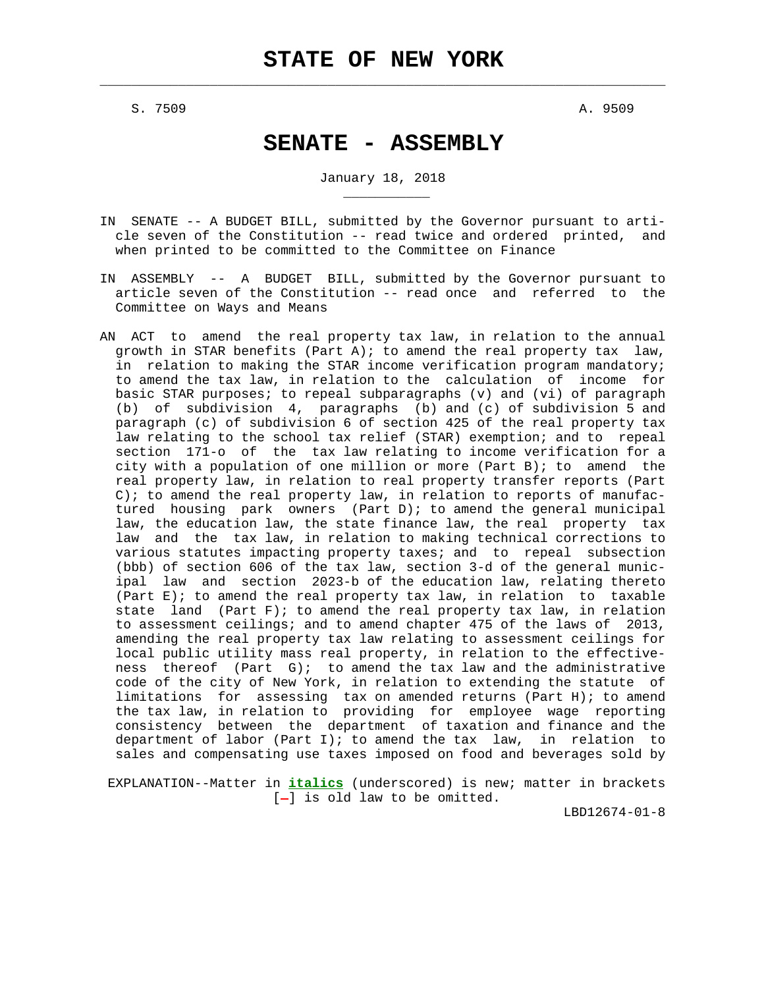$\mathcal{L}_\text{max} = \frac{1}{2} \sum_{i=1}^{n} \frac{1}{2} \sum_{i=1}^{n} \frac{1}{2} \sum_{i=1}^{n} \frac{1}{2} \sum_{i=1}^{n} \frac{1}{2} \sum_{i=1}^{n} \frac{1}{2} \sum_{i=1}^{n} \frac{1}{2} \sum_{i=1}^{n} \frac{1}{2} \sum_{i=1}^{n} \frac{1}{2} \sum_{i=1}^{n} \frac{1}{2} \sum_{i=1}^{n} \frac{1}{2} \sum_{i=1}^{n} \frac{1}{2} \sum_{i=1}^{n} \frac{1$ 

 $S. 7509$   $A. 9509$ 

\_\_\_\_\_\_\_\_\_\_\_

# **SENATE - ASSEMBLY**

January 18, 2018

- IN SENATE -- A BUDGET BILL, submitted by the Governor pursuant to arti cle seven of the Constitution -- read twice and ordered printed, and when printed to be committed to the Committee on Finance
- IN ASSEMBLY -- A BUDGET BILL, submitted by the Governor pursuant to article seven of the Constitution -- read once and referred to the Committee on Ways and Means
- AN ACT to amend the real property tax law, in relation to the annual growth in STAR benefits (Part A); to amend the real property tax law, in relation to making the STAR income verification program mandatory; to amend the tax law, in relation to the calculation of income for basic STAR purposes; to repeal subparagraphs (v) and (vi) of paragraph (b) of subdivision 4, paragraphs (b) and (c) of subdivision 5 and paragraph (c) of subdivision 6 of section 425 of the real property tax law relating to the school tax relief (STAR) exemption; and to repeal section 171-o of the tax law relating to income verification for a city with a population of one million or more (Part B); to amend the real property law, in relation to real property transfer reports (Part C); to amend the real property law, in relation to reports of manufac tured housing park owners (Part D); to amend the general municipal law, the education law, the state finance law, the real property tax law and the tax law, in relation to making technical corrections to various statutes impacting property taxes; and to repeal subsection (bbb) of section 606 of the tax law, section 3-d of the general munic ipal law and section 2023-b of the education law, relating thereto (Part  $E$ ); to amend the real property tax law, in relation to taxable state land (Part  $F$ ); to amend the real property tax law, in relation to assessment ceilings; and to amend chapter 475 of the laws of 2013, amending the real property tax law relating to assessment ceilings for local public utility mass real property, in relation to the effective ness thereof (Part G); to amend the tax law and the administrative code of the city of New York, in relation to extending the statute of limitations for assessing tax on amended returns (Part H); to amend the tax law, in relation to providing for employee wage reporting consistency between the department of taxation and finance and the department of labor (Part I); to amend the tax law, in relation to sales and compensating use taxes imposed on food and beverages sold by

 EXPLANATION--Matter in **italics** (underscored) is new; matter in brackets  $[-]$  is old law to be omitted.

LBD12674-01-8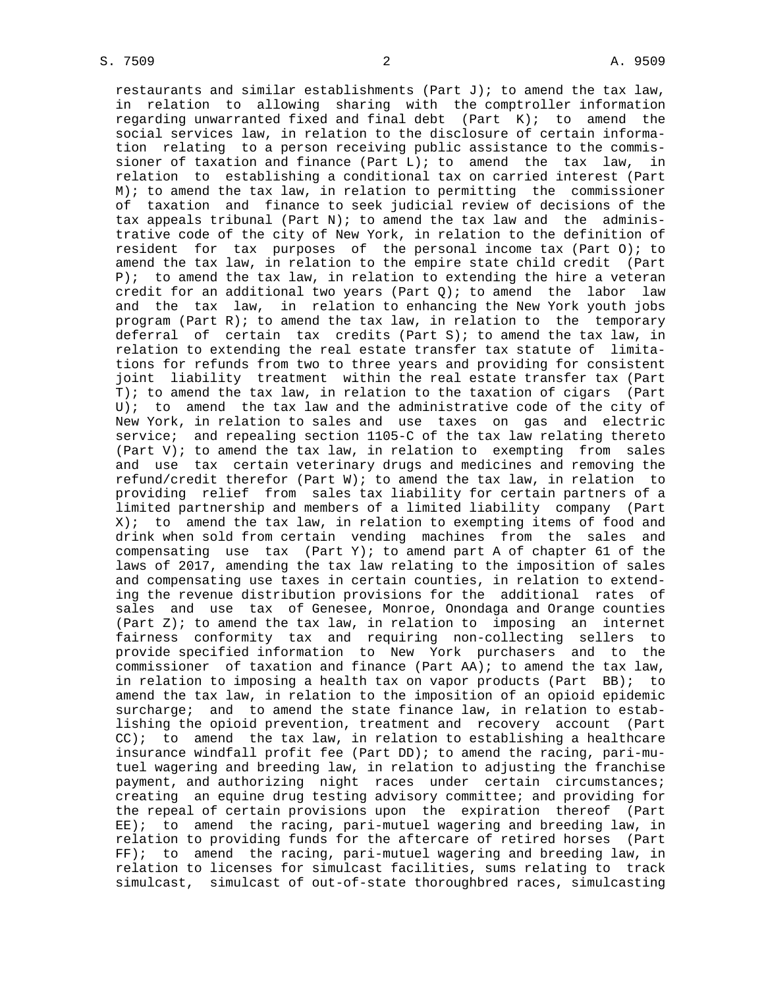restaurants and similar establishments (Part J); to amend the tax law, in relation to allowing sharing with the comptroller information regarding unwarranted fixed and final debt (Part K); to amend the social services law, in relation to the disclosure of certain informa tion relating to a person receiving public assistance to the commis sioner of taxation and finance (Part L); to amend the tax law, in relation to establishing a conditional tax on carried interest (Part M); to amend the tax law, in relation to permitting the commissioner of taxation and finance to seek judicial review of decisions of the tax appeals tribunal (Part N); to amend the tax law and the adminis trative code of the city of New York, in relation to the definition of resident for tax purposes of the personal income tax (Part O); to amend the tax law, in relation to the empire state child credit (Part P); to amend the tax law, in relation to extending the hire a veteran credit for an additional two years (Part  $Q$ ); to amend the labor law and the tax law, in relation to enhancing the New York youth jobs program (Part R); to amend the tax law, in relation to the temporary deferral of certain tax credits (Part S); to amend the tax law, in relation to extending the real estate transfer tax statute of limita tions for refunds from two to three years and providing for consistent joint liability treatment within the real estate transfer tax (Part T); to amend the tax law, in relation to the taxation of cigars (Part U); to amend the tax law and the administrative code of the city of New York, in relation to sales and use taxes on gas and electric service; and repealing section 1105-C of the tax law relating thereto (Part V); to amend the tax law, in relation to exempting from sales and use tax certain veterinary drugs and medicines and removing the refund/credit therefor (Part W); to amend the tax law, in relation to providing relief from sales tax liability for certain partners of a limited partnership and members of a limited liability company (Part X); to amend the tax law, in relation to exempting items of food and drink when sold from certain vending machines from the sales and compensating use tax (Part Y); to amend part A of chapter 61 of the laws of 2017, amending the tax law relating to the imposition of sales and compensating use taxes in certain counties, in relation to extend ing the revenue distribution provisions for the additional rates of sales and use tax of Genesee, Monroe, Onondaga and Orange counties (Part  $Z$ ); to amend the tax law, in relation to imposing an internet fairness conformity tax and requiring non-collecting sellers to provide specified information to New York purchasers and to the commissioner of taxation and finance (Part AA); to amend the tax law, in relation to imposing a health tax on vapor products (Part BB); to amend the tax law, in relation to the imposition of an opioid epidemic surcharge; and to amend the state finance law, in relation to estab lishing the opioid prevention, treatment and recovery account (Part CC); to amend the tax law, in relation to establishing a healthcare insurance windfall profit fee (Part DD); to amend the racing, pari-mu tuel wagering and breeding law, in relation to adjusting the franchise payment, and authorizing night races under certain circumstances; creating an equine drug testing advisory committee; and providing for the repeal of certain provisions upon the expiration thereof (Part EE); to amend the racing, pari-mutuel wagering and breeding law, in relation to providing funds for the aftercare of retired horses (Part FF); to amend the racing, pari-mutuel wagering and breeding law, in relation to licenses for simulcast facilities, sums relating to track simulcast, simulcast of out-of-state thoroughbred races, simulcasting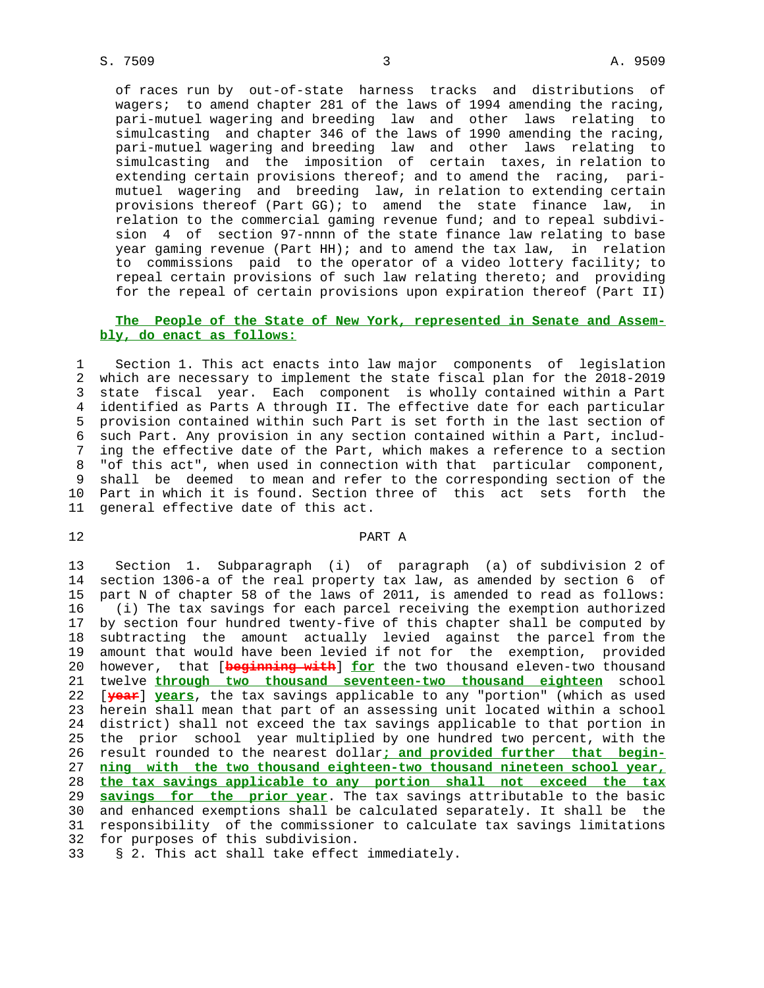of races run by out-of-state harness tracks and distributions of wagers; to amend chapter 281 of the laws of 1994 amending the racing, pari-mutuel wagering and breeding law and other laws relating to simulcasting and chapter 346 of the laws of 1990 amending the racing, pari-mutuel wagering and breeding law and other laws relating to simulcasting and the imposition of certain taxes, in relation to extending certain provisions thereof; and to amend the racing, pari mutuel wagering and breeding law, in relation to extending certain provisions thereof (Part GG); to amend the state finance law, in relation to the commercial gaming revenue fund; and to repeal subdivi sion 4 of section 97-nnnn of the state finance law relating to base year gaming revenue (Part HH); and to amend the tax law, in relation to commissions paid to the operator of a video lottery facility; to repeal certain provisions of such law relating thereto; and providing for the repeal of certain provisions upon expiration thereof (Part II)

# **The People of the State of New York, represented in Senate and Assem bly, do enact as follows:**

 1 Section 1. This act enacts into law major components of legislation 2 which are necessary to implement the state fiscal plan for the 2018-2019 3 state fiscal year. Each component is wholly contained within a Part 4 identified as Parts A through II. The effective date for each particular 5 provision contained within such Part is set forth in the last section of 6 such Part. Any provision in any section contained within a Part, includ- 7 ing the effective date of the Part, which makes a reference to a section 8 "of this act", when used in connection with that particular component, 9 shall be deemed to mean and refer to the corresponding section of the 10 Part in which it is found. Section three of this act sets forth the 11 general effective date of this act.

# 12 PART A

 13 Section 1. Subparagraph (i) of paragraph (a) of subdivision 2 of 14 section 1306-a of the real property tax law, as amended by section 6 of 15 part N of chapter 58 of the laws of 2011, is amended to read as follows: 16 (i) The tax savings for each parcel receiving the exemption authorized 17 by section four hundred twenty-five of this chapter shall be computed by 18 subtracting the amount actually levied against the parcel from the 19 amount that would have been levied if not for the exemption, provided 20 however, that [**beginning with**] **for** the two thousand eleven-two thousand 21 twelve **through two thousand seventeen-two thousand eighteen** school 22 [**year**] **years**, the tax savings applicable to any "portion" (which as used 23 herein shall mean that part of an assessing unit located within a school 24 district) shall not exceed the tax savings applicable to that portion in 25 the prior school year multiplied by one hundred two percent, with the 26 result rounded to the nearest dollar**; and provided further that begin-** 27 **ning with the two thousand eighteen-two thousand nineteen school year,** 28 **the tax savings applicable to any portion shall not exceed the tax** 29 **savings for the prior year**. The tax savings attributable to the basic 30 and enhanced exemptions shall be calculated separately. It shall be the 31 responsibility of the commissioner to calculate tax savings limitations 32 for purposes of this subdivision.

33 § 2. This act shall take effect immediately.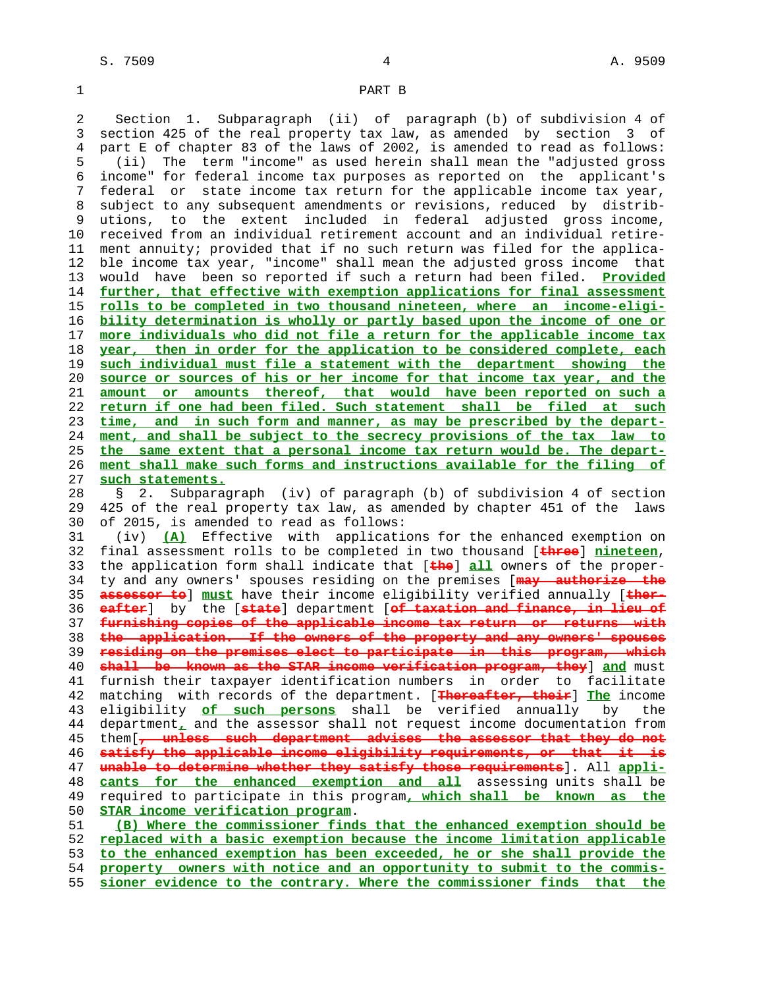### 1 PART B

 2 Section 1. Subparagraph (ii) of paragraph (b) of subdivision 4 of 3 section 425 of the real property tax law, as amended by section 3 of 4 part E of chapter 83 of the laws of 2002, is amended to read as follows: 5 (ii) The term "income" as used herein shall mean the "adjusted gross 6 income" for federal income tax purposes as reported on the applicant's 7 federal or state income tax return for the applicable income tax year, 8 subject to any subsequent amendments or revisions, reduced by distrib- 9 utions, to the extent included in federal adjusted gross income, 10 received from an individual retirement account and an individual retire- 11 ment annuity; provided that if no such return was filed for the applica- 12 ble income tax year, "income" shall mean the adjusted gross income that 13 would have been so reported if such a return had been filed. **Provided** 14 **further, that effective with exemption applications for final assessment** 15 **rolls to be completed in two thousand nineteen, where an income-eligi-** 16 **bility determination is wholly or partly based upon the income of one or** 17 **more individuals who did not file a return for the applicable income tax** 18 **year, then in order for the application to be considered complete, each** 19 **such individual must file a statement with the department showing the** 20 **source or sources of his or her income for that income tax year, and the** 21 **amount or amounts thereof, that would have been reported on such a** 22 **return if one had been filed. Such statement shall be filed at such** 23 **time, and in such form and manner, as may be prescribed by the depart-** 24 **ment, and shall be subject to the secrecy provisions of the tax law to** 25 **the same extent that a personal income tax return would be. The depart-** 26 **ment shall make such forms and instructions available for the filing of** 27 **such statements.** 28 § 2. Subparagraph (iv) of paragraph (b) of subdivision 4 of section 29 425 of the real property tax law, as amended by chapter 451 of the laws 30 of 2015, is amended to read as follows: 31 (iv) **(A)** Effective with applications for the enhanced exemption on 32 final assessment rolls to be completed in two thousand [**three**] **nineteen**, 33 the application form shall indicate that [**the**] **all** owners of the proper- 34 ty and any owners' spouses residing on the premises [**may authorize the** 35 **assessor to**] **must** have their income eligibility verified annually [**ther-** 36 **eafter**] by the [**state**] department [**of taxation and finance, in lieu of** 37 **furnishing copies of the applicable income tax return or returns with** 38 **the application. If the owners of the property and any owners' spouses** 39 **residing on the premises elect to participate in this program, which** 40 **shall be known as the STAR income verification program, they**] **and** must 41 furnish their taxpayer identification numbers in order to facilitate 42 matching with records of the department. [**Thereafter, their**] **The** income 43 eligibility **of such persons** shall be verified annually by the 44 department**,** and the assessor shall not request income documentation from 45 them[**, unless such department advises the assessor that they do not** 46 **satisfy the applicable income eligibility requirements, or that it is** 47 **unable to determine whether they satisfy those requirements**]. All **appli-** 48 **cants for the enhanced exemption and all** assessing units shall be

 49 required to participate in this program**, which shall be known as the** 50 **STAR income verification program**.

**(B) Where the commissioner finds that the enhanced exemption should be replaced with a basic exemption because the income limitation applicable to the enhanced exemption has been exceeded, he or she shall provide the property owners with notice and an opportunity to submit to the commis- sioner evidence to the contrary. Where the commissioner finds that the**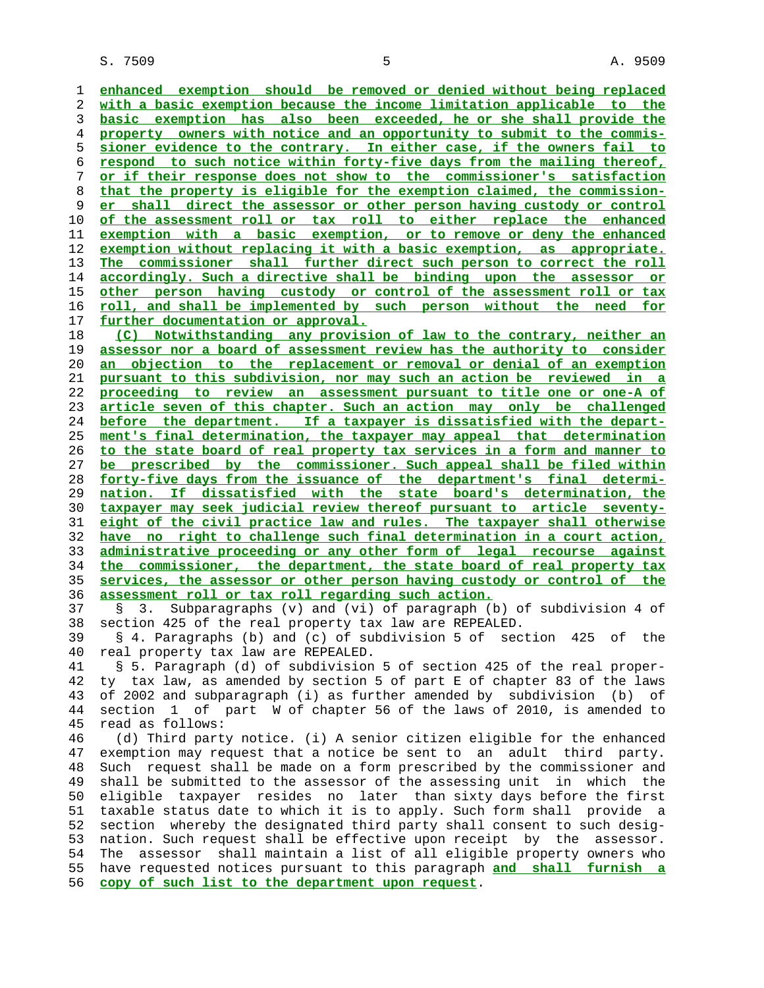$S. 7509$   $5$   $A. 9509$ 

**enhanced exemption should be removed or denied without being replaced with a basic exemption because the income limitation applicable to the basic exemption has also been exceeded, he or she shall provide the property owners with notice and an opportunity to submit to the commis- sioner evidence to the contrary. In either case, if the owners fail to respond to such notice within forty-five days from the mailing thereof, or if their response does not show to the commissioner's satisfaction that the property is eligible for the exemption claimed, the commission- er shall direct the assessor or other person having custody or control of the assessment roll or tax roll to either replace the enhanced exemption with a basic exemption, or to remove or deny the enhanced exemption without replacing it with a basic exemption, as appropriate. The commissioner shall further direct such person to correct the roll accordingly. Such a directive shall be binding upon the assessor or other person having custody or control of the assessment roll or tax roll, and shall be implemented by such person without the need for further documentation or approval. (C) Notwithstanding any provision of law to the contrary, neither an**

**assessor nor a board of assessment review has the authority to consider an objection to the replacement or removal or denial of an exemption pursuant to this subdivision, nor may such an action be reviewed in a proceeding to review an assessment pursuant to title one or one-A of article seven of this chapter. Such an action may only be challenged before the department. If a taxpayer is dissatisfied with the depart- ment's final determination, the taxpayer may appeal that determination to the state board of real property tax services in a form and manner to be prescribed by the commissioner. Such appeal shall be filed within forty-five days from the issuance of the department's final determi- nation. If dissatisfied with the state board's determination, the taxpayer may seek judicial review thereof pursuant to article seventy- eight of the civil practice law and rules. The taxpayer shall otherwise have no right to challenge such final determination in a court action, administrative proceeding or any other form of legal recourse against the commissioner, the department, the state board of real property tax services, the assessor or other person having custody or control of the assessment roll or tax roll regarding such action.**

 37 § 3. Subparagraphs (v) and (vi) of paragraph (b) of subdivision 4 of 38 section 425 of the real property tax law are REPEALED.

 39 § 4. Paragraphs (b) and (c) of subdivision 5 of section 425 of the 40 real property tax law are REPEALED.

 41 § 5. Paragraph (d) of subdivision 5 of section 425 of the real proper- 42 ty tax law, as amended by section 5 of part E of chapter 83 of the laws 43 of 2002 and subparagraph (i) as further amended by subdivision (b) of 44 section 1 of part W of chapter 56 of the laws of 2010, is amended to 45 read as follows:

 46 (d) Third party notice. (i) A senior citizen eligible for the enhanced 47 exemption may request that a notice be sent to an adult third party. 48 Such request shall be made on a form prescribed by the commissioner and 49 shall be submitted to the assessor of the assessing unit in which the 50 eligible taxpayer resides no later than sixty days before the first 51 taxable status date to which it is to apply. Such form shall provide a 52 section whereby the designated third party shall consent to such desig- 53 nation. Such request shall be effective upon receipt by the assessor. 54 The assessor shall maintain a list of all eligible property owners who 55 have requested notices pursuant to this paragraph **and shall furnish a copy of such list to the department upon request**.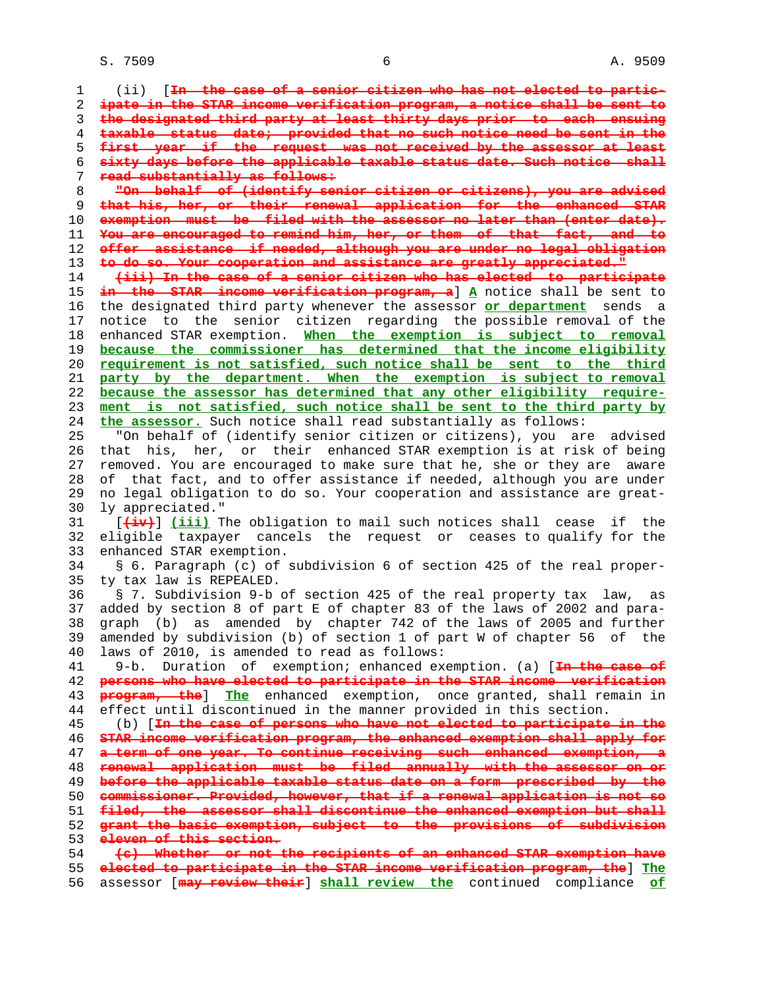$S. 7509$  and  $S. 9509$  and  $S. 9509$ 

 1 (ii) [**In the case of a senior citizen who has not elected to partic-** 2 **ipate in the STAR income verification program, a notice shall be sent to** 3 **the designated third party at least thirty days prior to each ensuing** 4 **taxable status date; provided that no such notice need be sent in the** 5 **first year if the request was not received by the assessor at least** 6 **sixty days before the applicable taxable status date. Such notice shall** 7 **read substantially as follows:** 8 **"On behalf of (identify senior citizen or citizens), you are advised** 9 **that his, her, or their renewal application for the enhanced STAR** 10 **exemption must be filed with the assessor no later than (enter date).** 11 **You are encouraged to remind him, her, or them of that fact, and to** 12 **offer assistance if needed, although you are under no legal obligation** 13 **to do so. Your cooperation and assistance are greatly appreciated."** 14 **(iii) In the case of a senior citizen who has elected to participate** 15 **in the STAR income verification program, a**] **A** notice shall be sent to 16 the designated third party whenever the assessor **or department** sends a 17 notice to the senior citizen regarding the possible removal of the 18 enhanced STAR exemption. **When the exemption is subject to removal** 19 **because the commissioner has determined that the income eligibility** 20 **requirement is not satisfied, such notice shall be sent to the third** 21 **party by the department. When the exemption is subject to removal** 22 **because the assessor has determined that any other eligibility require-** 23 **ment is not satisfied, such notice shall be sent to the third party by** 24 **the assessor.** Such notice shall read substantially as follows: 25 "On behalf of (identify senior citizen or citizens), you are advised 26 that his, her, or their enhanced STAR exemption is at risk of being 27 removed. You are encouraged to make sure that he, she or they are aware 28 of that fact, and to offer assistance if needed, although you are under 29 no legal obligation to do so. Your cooperation and assistance are great- 30 ly appreciated." 31 [**(iv)**] **(iii)** The obligation to mail such notices shall cease if the 32 eligible taxpayer cancels the request or ceases to qualify for the 33 enhanced STAR exemption. 34 § 6. Paragraph (c) of subdivision 6 of section 425 of the real proper- 35 ty tax law is REPEALED. 36 § 7. Subdivision 9-b of section 425 of the real property tax law, as 37 added by section 8 of part E of chapter 83 of the laws of 2002 and para- 38 graph (b) as amended by chapter 742 of the laws of 2005 and further 39 amended by subdivision (b) of section 1 of part W of chapter 56 of the 40 laws of 2010, is amended to read as follows: 41 9-b. Duration of exemption; enhanced exemption. (a) [**In the case of** 42 **persons who have elected to participate in the STAR income verification** 43 **program, the**] **The** enhanced exemption, once granted, shall remain in 44 effect until discontinued in the manner provided in this section. 45 (b) [**In the case of persons who have not elected to participate in the** 46 **STAR income verification program, the enhanced exemption shall apply for** 47 **a term of one year. To continue receiving such enhanced exemption, a** 48 **renewal application must be filed annually with the assessor on or** 49 **before the applicable taxable status date on a form prescribed by the** 50 **commissioner. Provided, however, that if a renewal application is not so** 51 **filed, the assessor shall discontinue the enhanced exemption but shall** 52 **grant the basic exemption, subject to the provisions of subdivision** 53 **eleven of this section.** 54 **(c) Whether or not the recipients of an enhanced STAR exemption have** 55 **elected to participate in the STAR income verification program, the**] **The** 56 assessor [**may review their**] **shall review the** continued compliance **of**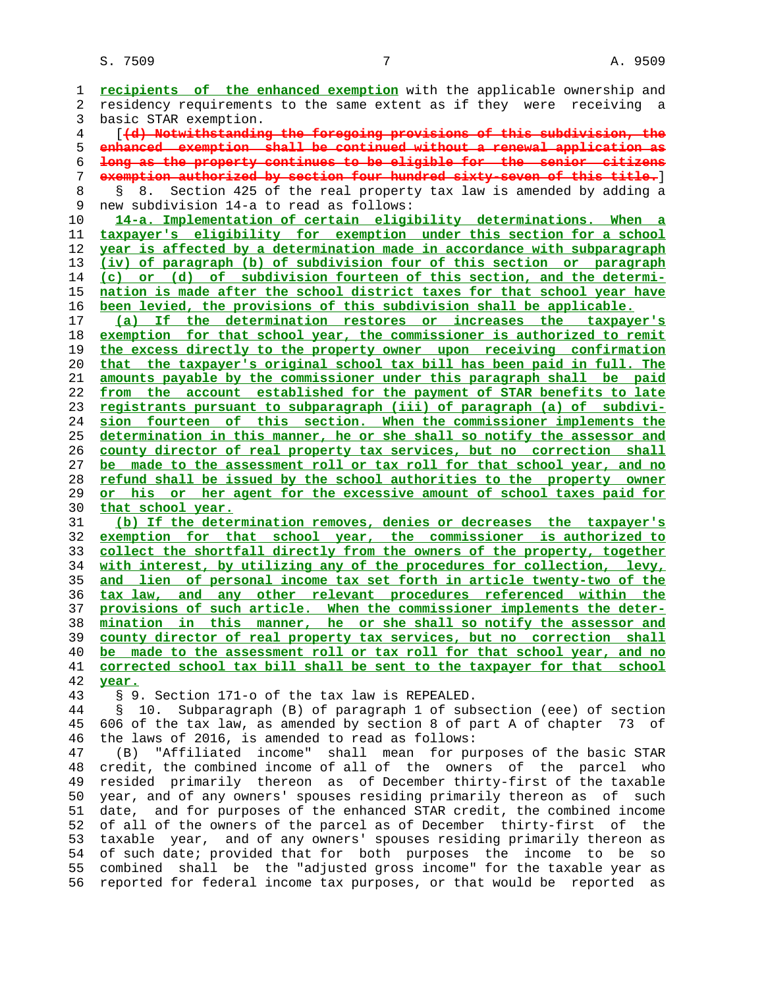$S. 7509$  and  $S. 9509$  and  $S. 9509$ 

**recipients of the enhanced exemption** with the applicable ownership and 2 residency requirements to the same extent as if they were receiving a 3 basic STAR exemption. 4 [**(d) Notwithstanding the foregoing provisions of this subdivision, the enhanced exemption shall be continued without a renewal application as long as the property continues to be eligible for the senior citizens exemption authorized by section four hundred sixty-seven of this title.**] 8 § 8. Section 425 of the real property tax law is amended by adding a<br>9 new subdivision 14-a to read as follows: new subdivision 14-a to read as follows: **14-a. Implementation of certain eligibility determinations. When a taxpayer's eligibility for exemption under this section for a school year is affected by a determination made in accordance with subparagraph (iv) of paragraph (b) of subdivision four of this section or paragraph (c) or (d) of subdivision fourteen of this section, and the determi- nation is made after the school district taxes for that school year have been levied, the provisions of this subdivision shall be applicable. (a) If the determination restores or increases the taxpayer's exemption for that school year, the commissioner is authorized to remit the excess directly to the property owner upon receiving confirmation that the taxpayer's original school tax bill has been paid in full. The amounts payable by the commissioner under this paragraph shall be paid from the account established for the payment of STAR benefits to late registrants pursuant to subparagraph (iii) of paragraph (a) of subdivi- sion fourteen of this section. When the commissioner implements the determination in this manner, he or she shall so notify the assessor and county director of real property tax services, but no correction shall be made to the assessment roll or tax roll for that school year, and no refund shall be issued by the school authorities to the property owner or his or her agent for the excessive amount of school taxes paid for that school year. (b) If the determination removes, denies or decreases the taxpayer's exemption for that school year, the commissioner is authorized to collect the shortfall directly from the owners of the property, together with interest, by utilizing any of the procedures for collection, levy, and lien of personal income tax set forth in article twenty-two of the tax law, and any other relevant procedures referenced within the provisions of such article. When the commissioner implements the deter- mination in this manner, he or she shall so notify the assessor and county director of real property tax services, but no correction shall be made to the assessment roll or tax roll for that school year, and no corrected school tax bill shall be sent to the taxpayer for that school year.** 43 § 9. Section 171-o of the tax law is REPEALED. 44 § 10. Subparagraph (B) of paragraph 1 of subsection (eee) of section 45 606 of the tax law, as amended by section 8 of part A of chapter 73 of 46 the laws of 2016, is amended to read as follows: 47 (B) "Affiliated income" shall mean for purposes of the basic STAR 48 credit, the combined income of all of the owners of the parcel who 49 resided primarily thereon as of December thirty-first of the taxable 50 year, and of any owners' spouses residing primarily thereon as of such 51 date, and for purposes of the enhanced STAR credit, the combined income 52 of all of the owners of the parcel as of December thirty-first of the 53 taxable year, and of any owners' spouses residing primarily thereon as 54 of such date; provided that for both purposes the income to be so 55 combined shall be the "adjusted gross income" for the taxable year as 56 reported for federal income tax purposes, or that would be reported as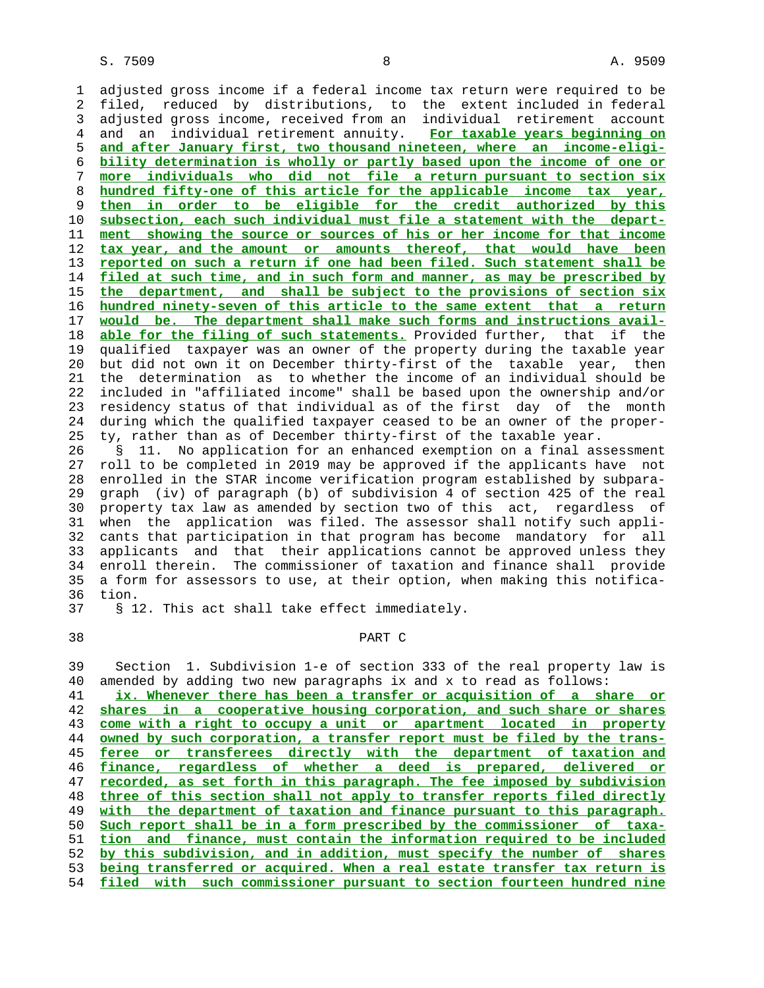1 adjusted gross income if a federal income tax return were required to be 2 filed, reduced by distributions, to the extent included in federal 3 adjusted gross income, received from an individual retirement account 4 and an individual retirement annuity. **For taxable years beginning on** 5 **and after January first, two thousand nineteen, where an income-eligi-** 6 **bility determination is wholly or partly based upon the income of one or** 7 **more individuals who did not file a return pursuant to section six** 8 **hundred fifty-one of this article for the applicable income tax year,** 9 **then in order to be eligible for the credit authorized by this** 10 **subsection, each such individual must file a statement with the depart-** 11 **ment showing the source or sources of his or her income for that income** 12 **tax year, and the amount or amounts thereof, that would have been** 13 **reported on such a return if one had been filed. Such statement shall be** 14 **filed at such time, and in such form and manner, as may be prescribed by** 15 **the department, and shall be subject to the provisions of section six** 16 **hundred ninety-seven of this article to the same extent that a return** 17 **would be. The department shall make such forms and instructions avail-** 18 **able for the filing of such statements.** Provided further, that if the 19 qualified taxpayer was an owner of the property during the taxable year 20 but did not own it on December thirty-first of the taxable year, then 21 the determination as to whether the income of an individual should be 22 included in "affiliated income" shall be based upon the ownership and/or 23 residency status of that individual as of the first day of the month 24 during which the qualified taxpayer ceased to be an owner of the proper- 25 ty, rather than as of December thirty-first of the taxable year.

 26 § 11. No application for an enhanced exemption on a final assessment 27 roll to be completed in 2019 may be approved if the applicants have not 28 enrolled in the STAR income verification program established by subpara- 29 graph (iv) of paragraph (b) of subdivision 4 of section 425 of the real 30 property tax law as amended by section two of this act, regardless of 31 when the application was filed. The assessor shall notify such appli- 32 cants that participation in that program has become mandatory for all 33 applicants and that their applications cannot be approved unless they 34 enroll therein. The commissioner of taxation and finance shall provide 35 a form for assessors to use, at their option, when making this notifica- 36 tion.

- 37 § 12. This act shall take effect immediately.
- 

### 38 PART C

 39 Section 1. Subdivision 1-e of section 333 of the real property law is 40 amended by adding two new paragraphs ix and x to read as follows: **ix. Whenever there has been a transfer or acquisition of a share or shares in a cooperative housing corporation, and such share or shares come with a right to occupy a unit or apartment located in property owned by such corporation, a transfer report must be filed by the trans- feree or transferees directly with the department of taxation and finance, regardless of whether a deed is prepared, delivered or recorded, as set forth in this paragraph. The fee imposed by subdivision three of this section shall not apply to transfer reports filed directly with the department of taxation and finance pursuant to this paragraph. Such report shall be in a form prescribed by the commissioner of taxa- tion and finance, must contain the information required to be included by this subdivision, and in addition, must specify the number of shares being transferred or acquired. When a real estate transfer tax return is filed with such commissioner pursuant to section fourteen hundred nine**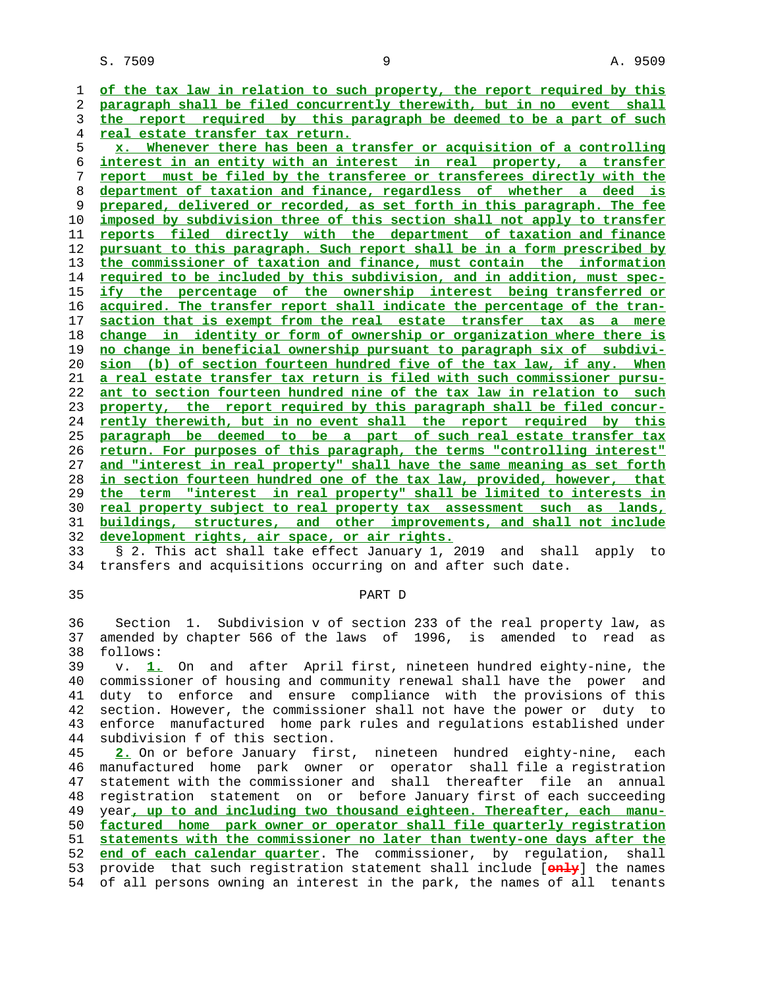S. 7509 9 A. 9509

**of the tax law in relation to such property, the report required by this paragraph shall be filed concurrently therewith, but in no event shall the report required by this paragraph be deemed to be a part of such real estate transfer tax return.**

**x. Whenever there has been a transfer or acquisition of a controlling interest in an entity with an interest in real property, a transfer report must be filed by the transferee or transferees directly with the department of taxation and finance, regardless of whether a deed is prepared, delivered or recorded, as set forth in this paragraph. The fee imposed by subdivision three of this section shall not apply to transfer reports filed directly with the department of taxation and finance pursuant to this paragraph. Such report shall be in a form prescribed by the commissioner of taxation and finance, must contain the information required to be included by this subdivision, and in addition, must spec- ify the percentage of the ownership interest being transferred or acquired. The transfer report shall indicate the percentage of the tran- saction that is exempt from the real estate transfer tax as a mere change in identity or form of ownership or organization where there is no change in beneficial ownership pursuant to paragraph six of subdivi- sion (b) of section fourteen hundred five of the tax law, if any. When a real estate transfer tax return is filed with such commissioner pursu- ant to section fourteen hundred nine of the tax law in relation to such property, the report required by this paragraph shall be filed concur- rently therewith, but in no event shall the report required by this paragraph be deemed to be a part of such real estate transfer tax return. For purposes of this paragraph, the terms "controlling interest" and "interest in real property" shall have the same meaning as set forth in section fourteen hundred one of the tax law, provided, however, that the term "interest in real property" shall be limited to interests in real property subject to real property tax assessment such as lands, buildings, structures, and other improvements, and shall not include development rights, air space, or air rights.**

 33 § 2. This act shall take effect January 1, 2019 and shall apply to 34 transfers and acquisitions occurring on and after such date.

### 35 PART D

 36 Section 1. Subdivision v of section 233 of the real property law, as 37 amended by chapter 566 of the laws of 1996, is amended to read as 38 follows:

 39 v. **1.** On and after April first, nineteen hundred eighty-nine, the 40 commissioner of housing and community renewal shall have the power and 41 duty to enforce and ensure compliance with the provisions of this 42 section. However, the commissioner shall not have the power or duty to 43 enforce manufactured home park rules and regulations established under 44 subdivision f of this section.

**2.** On or before January first, nineteen hundred eighty-nine, each 46 manufactured home park owner or operator shall file a registration 47 statement with the commissioner and shall thereafter file an annual 48 registration statement on or before January first of each succeeding 49 year**, up to and including two thousand eighteen. Thereafter, each manu- factured home park owner or operator shall file quarterly registration statements with the commissioner no later than twenty-one days after the end of each calendar quarter**. The commissioner, by regulation, shall 53 provide that such registration statement shall include [**only**] the names 54 of all persons owning an interest in the park, the names of all tenants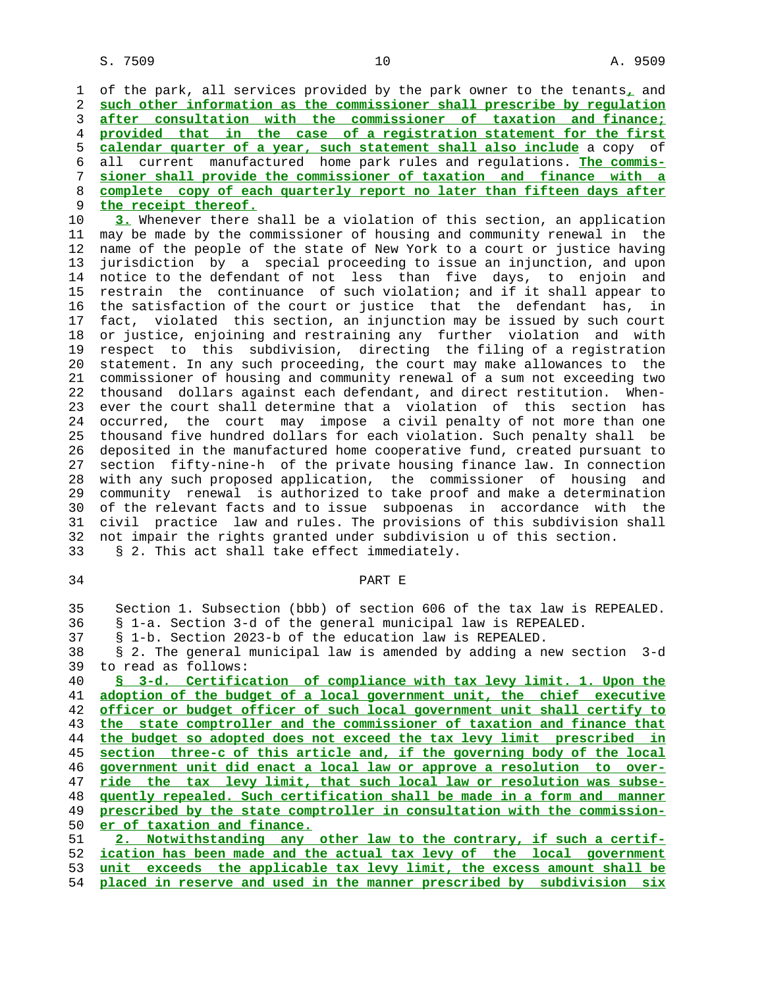1 of the park, all services provided by the park owner to the tenants**,** and **such other information as the commissioner shall prescribe by regulation after consultation with the commissioner of taxation and finance; provided that in the case of a registration statement for the first calendar quarter of a year, such statement shall also include** a copy of 6 all current manufactured home park rules and regulations. **The commis- sioner shall provide the commissioner of taxation and finance with a complete copy of each quarterly report no later than fifteen days after the receipt thereof.**

 10 **3.** Whenever there shall be a violation of this section, an application 11 may be made by the commissioner of housing and community renewal in the 12 name of the people of the state of New York to a court or justice having 13 jurisdiction by a special proceeding to issue an injunction, and upon 14 notice to the defendant of not less than five days, to enjoin and 15 restrain the continuance of such violation; and if it shall appear to 16 the satisfaction of the court or justice that the defendant has, in 17 fact, violated this section, an injunction may be issued by such court 18 or justice, enjoining and restraining any further violation and with 19 respect to this subdivision, directing the filing of a registration 20 statement. In any such proceeding, the court may make allowances to the 21 commissioner of housing and community renewal of a sum not exceeding two 22 thousand dollars against each defendant, and direct restitution. When- 23 ever the court shall determine that a violation of this section has 24 occurred, the court may impose a civil penalty of not more than one 25 thousand five hundred dollars for each violation. Such penalty shall be 26 deposited in the manufactured home cooperative fund, created pursuant to 27 section fifty-nine-h of the private housing finance law. In connection 28 with any such proposed application, the commissioner of housing and 29 community renewal is authorized to take proof and make a determination 30 of the relevant facts and to issue subpoenas in accordance with the 31 civil practice law and rules. The provisions of this subdivision shall 32 not impair the rights granted under subdivision u of this section. 33 § 2. This act shall take effect immediately.

### 34 PART E

 35 Section 1. Subsection (bbb) of section 606 of the tax law is REPEALED. 36 § 1-a. Section 3-d of the general municipal law is REPEALED. 37 § 1-b. Section 2023-b of the education law is REPEALED. 38 § 2. The general municipal law is amended by adding a new section 3-d 39 to read as follows: **§ 3-d. Certification of compliance with tax levy limit. 1. Upon the adoption of the budget of a local government unit, the chief executive officer or budget officer of such local government unit shall certify to the state comptroller and the commissioner of taxation and finance that the budget so adopted does not exceed the tax levy limit prescribed in section three-c of this article and, if the governing body of the local government unit did enact a local law or approve a resolution to over- ride the tax levy limit, that such local law or resolution was subse- quently repealed. Such certification shall be made in a form and manner prescribed by the state comptroller in consultation with the commission- er of taxation and finance. 2. Notwithstanding any other law to the contrary, if such a certif- ication has been made and the actual tax levy of the local government unit exceeds the applicable tax levy limit, the excess amount shall be**

54 **placed in reserve and used in the manner prescribed by subdivision six**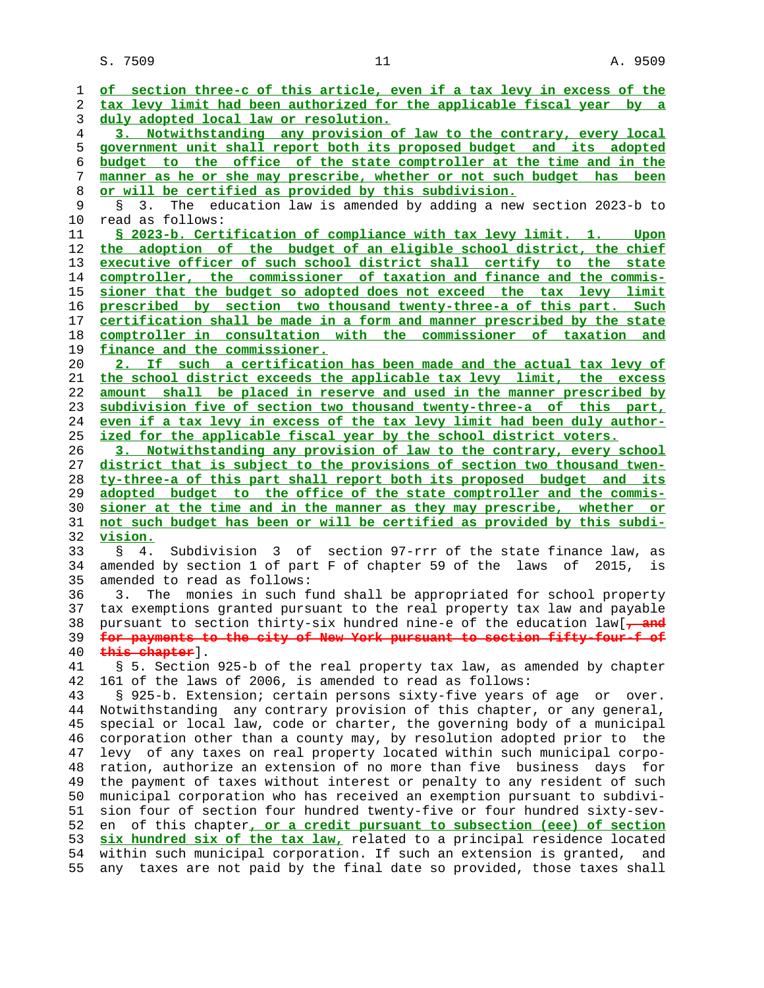$S. 7509$  and  $I1$  and  $I1$  and  $I1$  and  $I2$  and  $I3$  and  $I4$  and  $I509$ 

 1 **of section three-c of this article, even if a tax levy in excess of the** 2 **tax levy limit had been authorized for the applicable fiscal year by a** 3 **duly adopted local law or resolution.** 4 **3. Notwithstanding any provision of law to the contrary, every local** 5 **government unit shall report both its proposed budget and its adopted** 6 **budget to the office of the state comptroller at the time and in the** 7 **manner as he or she may prescribe, whether or not such budget has been** 8 **or will be certified as provided by this subdivision.** 9 § 3. The education law is amended by adding a new section 2023-b to 10 read as follows: 11 **§ 2023-b. Certification of compliance with tax levy limit. 1. Upon** 12 **the adoption of the budget of an eligible school district, the chief** 13 **executive officer of such school district shall certify to the state** 14 **comptroller, the commissioner of taxation and finance and the commis-** 15 **sioner that the budget so adopted does not exceed the tax levy limit** 16 **prescribed by section two thousand twenty-three-a of this part. Such** 17 **certification shall be made in a form and manner prescribed by the state** 18 **comptroller in consultation with the commissioner of taxation and** 19 **finance and the commissioner.** 20 **2. If such a certification has been made and the actual tax levy of** 21 **the school district exceeds the applicable tax levy limit, the excess** 22 **amount shall be placed in reserve and used in the manner prescribed by** 23 **subdivision five of section two thousand twenty-three-a of this part,** 24 **even if a tax levy in excess of the tax levy limit had been duly author-** 25 **ized for the applicable fiscal year by the school district voters.** 26 **3. Notwithstanding any provision of law to the contrary, every school** 27 **district that is subject to the provisions of section two thousand twen-** 28 **ty-three-a of this part shall report both its proposed budget and its** 29 **adopted budget to the office of the state comptroller and the commis-** 30 **sioner at the time and in the manner as they may prescribe, whether or** 31 **not such budget has been or will be certified as provided by this subdi-** 32 **vision.** 33 § 4. Subdivision 3 of section 97-rrr of the state finance law, as 34 amended by section 1 of part F of chapter 59 of the laws of 2015, is 35 amended to read as follows: 36 3. The monies in such fund shall be appropriated for school property 37 tax exemptions granted pursuant to the real property tax law and payable 38 pursuant to section thirty-six hundred nine-e of the education law[**, and** 39 **for payments to the city of New York pursuant to section fifty-four-f of** 40 **this chapter**]. 41 § 5. Section 925-b of the real property tax law, as amended by chapter 42 161 of the laws of 2006, is amended to read as follows: 43 § 925-b. Extension; certain persons sixty-five years of age or over. 44 Notwithstanding any contrary provision of this chapter, or any general, 45 special or local law, code or charter, the governing body of a municipal 46 corporation other than a county may, by resolution adopted prior to the 47 levy of any taxes on real property located within such municipal corpo- 48 ration, authorize an extension of no more than five business days for 49 the payment of taxes without interest or penalty to any resident of such 50 municipal corporation who has received an exemption pursuant to subdivi- 51 sion four of section four hundred twenty-five or four hundred sixty-sev- 52 en of this chapter**, or a credit pursuant to subsection (eee) of section** 53 **six hundred six of the tax law,** related to a principal residence located 54 within such municipal corporation. If such an extension is granted, and 55 any taxes are not paid by the final date so provided, those taxes shall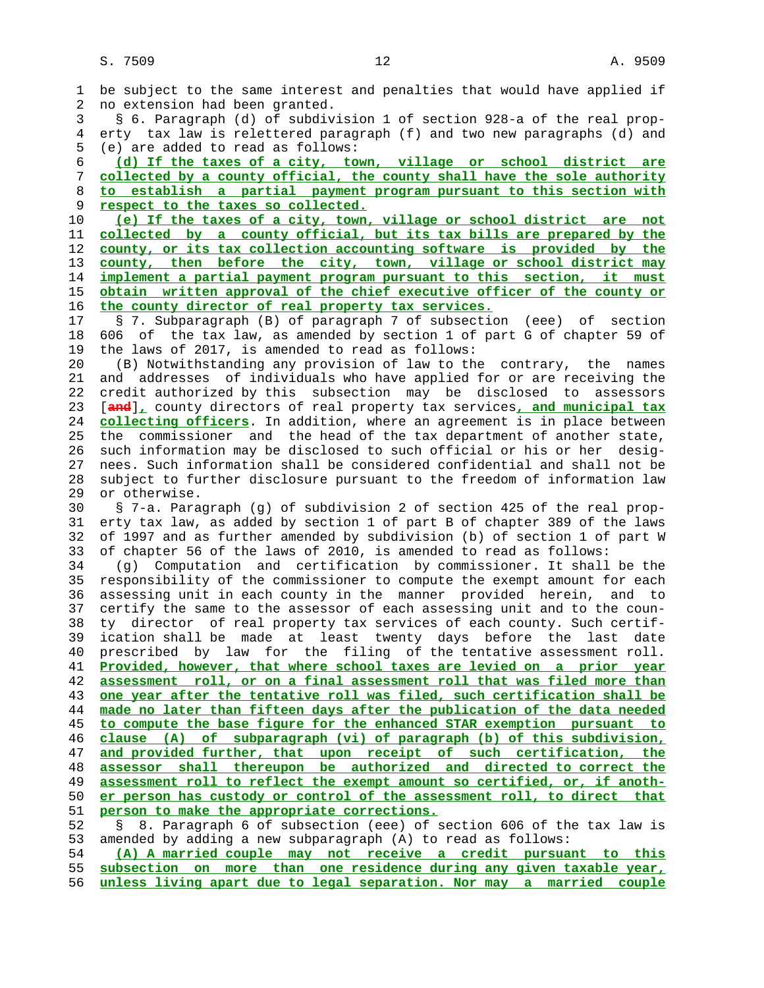1 be subject to the same interest and penalties that would have applied if 2 no extension had been granted. 3 § 6. Paragraph (d) of subdivision 1 of section 928-a of the real prop- 4 erty tax law is relettered paragraph (f) and two new paragraphs (d) and 5 (e) are added to read as follows: 6 **(d) If the taxes of a city, town, village or school district are** 7 **collected by a county official, the county shall have the sole authority** 8 **to establish a partial payment program pursuant to this section with** 9 **respect to the taxes so collected.** 10 **(e) If the taxes of a city, town, village or school district are not** 11 **collected by a county official, but its tax bills are prepared by the** 12 **county, or its tax collection accounting software is provided by the** 13 **county, then before the city, town, village or school district may** 14 **implement a partial payment program pursuant to this section, it must** 15 **obtain written approval of the chief executive officer of the county or** 16 **the county director of real property tax services.** 17 § 7. Subparagraph (B) of paragraph 7 of subsection (eee) of section 18 606 of the tax law, as amended by section 1 of part G of chapter 59 of 19 the laws of 2017, is amended to read as follows: 20 (B) Notwithstanding any provision of law to the contrary, the names 21 and addresses of individuals who have applied for or are receiving the 22 credit authorized by this subsection may be disclosed to assessors 23 [**and**]**,** county directors of real property tax services**, and municipal tax** 24 **collecting officers**. In addition, where an agreement is in place between 25 the commissioner and the head of the tax department of another state, 26 such information may be disclosed to such official or his or her desig- 27 nees. Such information shall be considered confidential and shall not be 28 subject to further disclosure pursuant to the freedom of information law 29 or otherwise. 30 § 7-a. Paragraph (g) of subdivision 2 of section 425 of the real prop- 31 erty tax law, as added by section 1 of part B of chapter 389 of the laws 32 of 1997 and as further amended by subdivision (b) of section 1 of part W 33 of chapter 56 of the laws of 2010, is amended to read as follows: 34 (g) Computation and certification by commissioner. It shall be the 35 responsibility of the commissioner to compute the exempt amount for each 36 assessing unit in each county in the manner provided herein, and to 37 certify the same to the assessor of each assessing unit and to the coun- 38 ty director of real property tax services of each county. Such certif- 39 ication shall be made at least twenty days before the last date 40 prescribed by law for the filing of the tentative assessment roll. 41 **Provided, however, that where school taxes are levied on a prior year** 42 **assessment roll, or on a final assessment roll that was filed more than** 43 **one year after the tentative roll was filed, such certification shall be** 44 **made no later than fifteen days after the publication of the data needed** 45 **to compute the base figure for the enhanced STAR exemption pursuant to** 46 **clause (A) of subparagraph (vi) of paragraph (b) of this subdivision,** 47 **and provided further, that upon receipt of such certification, the** 48 **assessor shall thereupon be authorized and directed to correct the** 49 **assessment roll to reflect the exempt amount so certified, or, if anoth-** 50 **er person has custody or control of the assessment roll, to direct that** 51 **person to make the appropriate corrections.** 52 § 8. Paragraph 6 of subsection (eee) of section 606 of the tax law is 53 amended by adding a new subparagraph (A) to read as follows: 54 **(A) A married couple may not receive a credit pursuant to this** 55 **subsection on more than one residence during any given taxable year,** 56 **unless living apart due to legal separation. Nor may a married couple**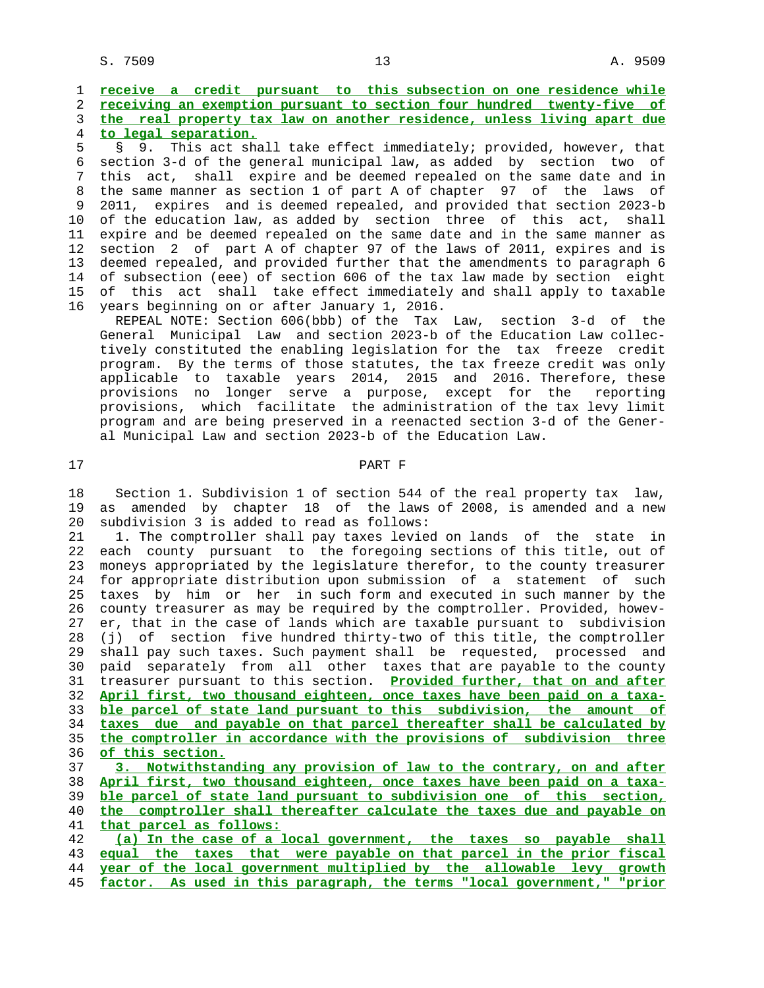$S. 7509$  and  $I. 9509$  and  $I. 9509$  and  $I. 9509$ 

| 1 receive a credit pursuant to this subsection on one residence while     |
|---------------------------------------------------------------------------|
| 2 receiving an exemption pursuant to section four hundred twenty-five of  |
| 3 the real property tax law on another residence, unless living apart due |
| 4 to legal separation.                                                    |

 5 § 9. This act shall take effect immediately; provided, however, that 6 section 3-d of the general municipal law, as added by section two of 7 this act, shall expire and be deemed repealed on the same date and in 8 the same manner as section 1 of part A of chapter 97 of the laws of 9 2011, expires and is deemed repealed, and provided that section 2023-b 10 of the education law, as added by section three of this act, shall 11 expire and be deemed repealed on the same date and in the same manner as 12 section 2 of part A of chapter 97 of the laws of 2011, expires and is 13 deemed repealed, and provided further that the amendments to paragraph 6 14 of subsection (eee) of section 606 of the tax law made by section eight 15 of this act shall take effect immediately and shall apply to taxable 16 years beginning on or after January 1, 2016.

 REPEAL NOTE: Section 606(bbb) of the Tax Law, section 3-d of the General Municipal Law and section 2023-b of the Education Law collec tively constituted the enabling legislation for the tax freeze credit program. By the terms of those statutes, the tax freeze credit was only applicable to taxable years 2014, 2015 and 2016. Therefore, these provisions no longer serve a purpose, except for the reporting provisions, which facilitate the administration of the tax levy limit program and are being preserved in a reenacted section 3-d of the Gener al Municipal Law and section 2023-b of the Education Law.

# 17 PART F

 18 Section 1. Subdivision 1 of section 544 of the real property tax law, 19 as amended by chapter 18 of the laws of 2008, is amended and a new 20 subdivision 3 is added to read as follows:

 21 1. The comptroller shall pay taxes levied on lands of the state in 22 each county pursuant to the foregoing sections of this title, out of 23 moneys appropriated by the legislature therefor, to the county treasurer 24 for appropriate distribution upon submission of a statement of such 25 taxes by him or her in such form and executed in such manner by the 26 county treasurer as may be required by the comptroller. Provided, howev- 27 er, that in the case of lands which are taxable pursuant to subdivision 28 (j) of section five hundred thirty-two of this title, the comptroller 29 shall pay such taxes. Such payment shall be requested, processed and 30 paid separately from all other taxes that are payable to the county 31 treasurer pursuant to this section. **Provided further, that on and after** 32 **April first, two thousand eighteen, once taxes have been paid on a taxa-** 33 **ble parcel of state land pursuant to this subdivision, the amount of** 34 **taxes due and payable on that parcel thereafter shall be calculated by** 35 **the comptroller in accordance with the provisions of subdivision three** 36 **of this section.**

**3. Notwithstanding any provision of law to the contrary, on and after April first, two thousand eighteen, once taxes have been paid on a taxa- ble parcel of state land pursuant to subdivision one of this section, the comptroller shall thereafter calculate the taxes due and payable on that parcel as follows:**

**(a) In the case of a local government, the taxes so payable shall equal the taxes that were payable on that parcel in the prior fiscal year of the local government multiplied by the allowable levy growth factor. As used in this paragraph, the terms "local government," "prior**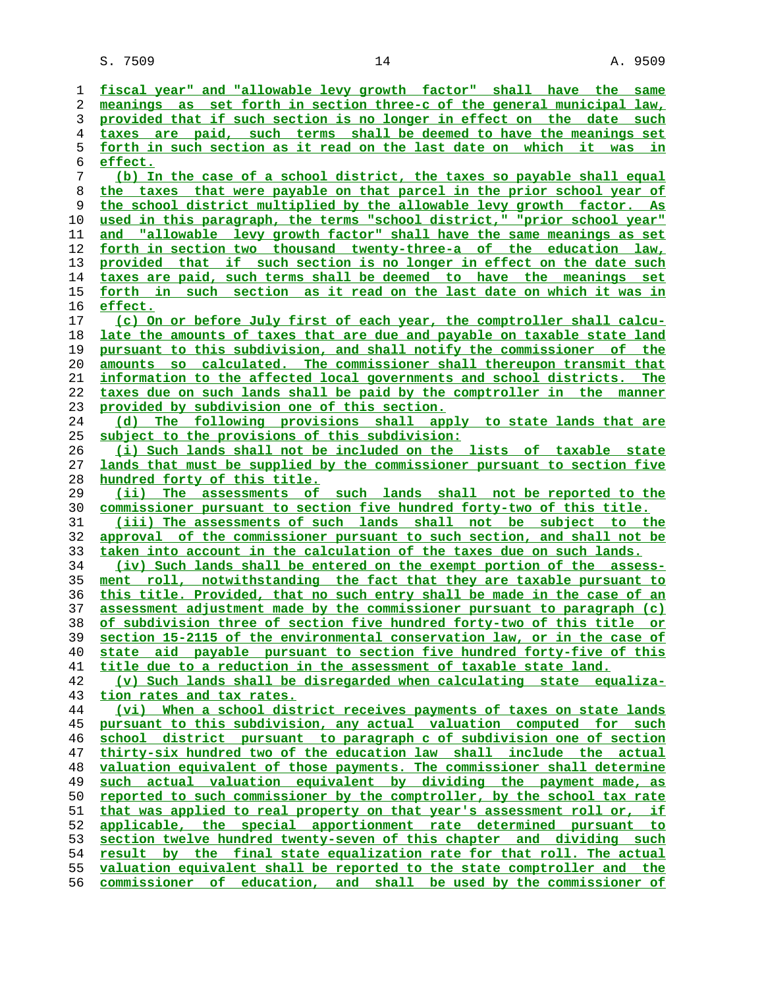$S. 7509$  and  $14$  and  $14$  and  $14$  and  $14$  and  $14$  and  $14$  and  $14$  and  $14$  and  $14$  and  $14$  and  $14$  and  $14$  and  $14$  and  $14$  and  $14$  and  $14$  and  $14$  and  $14$  and  $14$  and  $14$  and  $14$  and  $14$  and  $14$  and

**fiscal year" and "allowable levy growth factor" shall have the same meanings as set forth in section three-c of the general municipal law, provided that if such section is no longer in effect on the date such taxes are paid, such terms shall be deemed to have the meanings set forth in such section as it read on the last date on which it was in effect. (b) In the case of a school district, the taxes so payable shall equal the taxes that were payable on that parcel in the prior school year of the school district multiplied by the allowable levy growth factor. As used in this paragraph, the terms "school district," "prior school year" and "allowable levy growth factor" shall have the same meanings as set forth in section two thousand twenty-three-a of the education law, provided that if such section is no longer in effect on the date such taxes are paid, such terms shall be deemed to have the meanings set forth in such section as it read on the last date on which it was in effect. (c) On or before July first of each year, the comptroller shall calcu- late the amounts of taxes that are due and payable on taxable state land pursuant to this subdivision, and shall notify the commissioner of the amounts so calculated. The commissioner shall thereupon transmit that information to the affected local governments and school districts. The taxes due on such lands shall be paid by the comptroller in the manner provided by subdivision one of this section. (d) The following provisions shall apply to state lands that are subject to the provisions of this subdivision: (i) Such lands shall not be included on the lists of taxable state lands that must be supplied by the commissioner pursuant to section five hundred forty of this title. (ii) The assessments of such lands shall not be reported to the commissioner pursuant to section five hundred forty-two of this title. (iii) The assessments of such lands shall not be subject to the approval of the commissioner pursuant to such section, and shall not be taken into account in the calculation of the taxes due on such lands. (iv) Such lands shall be entered on the exempt portion of the assess- ment roll, notwithstanding the fact that they are taxable pursuant to this title. Provided, that no such entry shall be made in the case of an assessment adjustment made by the commissioner pursuant to paragraph (c) of subdivision three of section five hundred forty-two of this title or section 15-2115 of the environmental conservation law, or in the case of state aid payable pursuant to section five hundred forty-five of this title due to a reduction in the assessment of taxable state land. (v) Such lands shall be disregarded when calculating state equaliza- tion rates and tax rates. (vi) When a school district receives payments of taxes on state lands pursuant to this subdivision, any actual valuation computed for such school district pursuant to paragraph c of subdivision one of section thirty-six hundred two of the education law shall include the actual valuation equivalent of those payments. The commissioner shall determine such actual valuation equivalent by dividing the payment made, as reported to such commissioner by the comptroller, by the school tax rate that was applied to real property on that year's assessment roll or, if applicable, the special apportionment rate determined pursuant to section twelve hundred twenty-seven of this chapter and dividing such result by the final state equalization rate for that roll. The actual valuation equivalent shall be reported to the state comptroller and the commissioner of education, and shall be used by the commissioner of**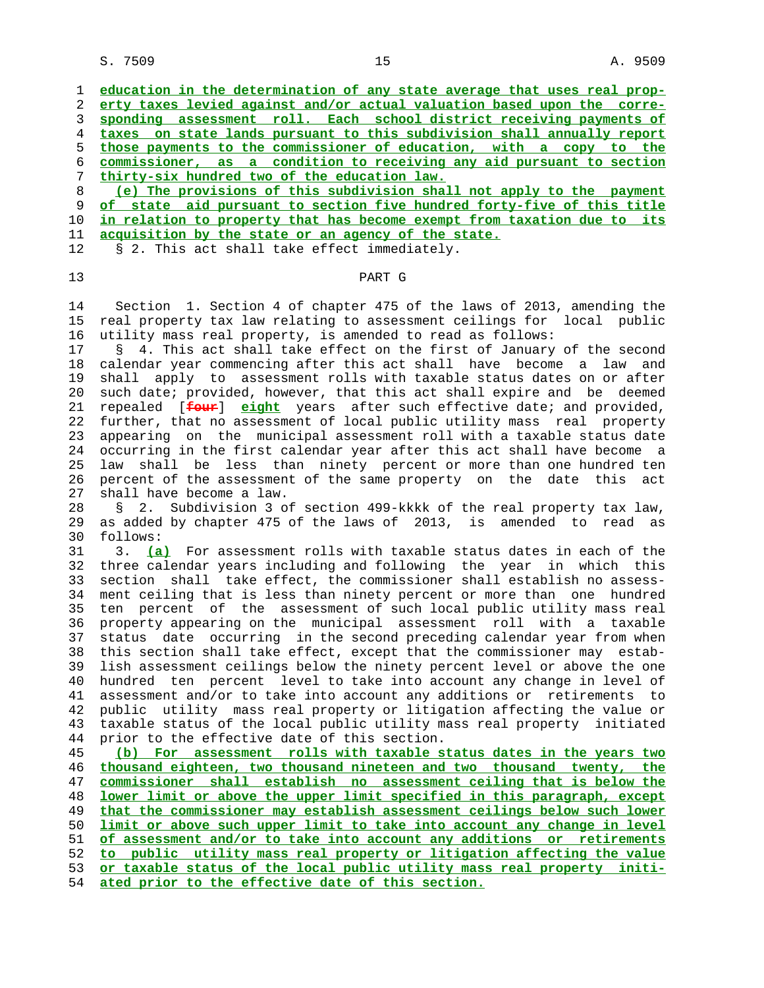$S. 7509$  and  $I5$  and  $I5$  and  $I5$  and  $I5$  and  $I5$  and  $I5$  and  $I5$  and  $I5$  and  $I5$  and  $I5$  and  $I5$  and  $I5$  and  $I5$  and  $I5$  and  $I5$  and  $I5$  and  $I5$  and  $I5$  and  $I5$  and  $I5$  and  $I5$  and  $I5$  and  $I5$  and

**education in the determination of any state average that uses real prop- erty taxes levied against and/or actual valuation based upon the corre- sponding assessment roll. Each school district receiving payments of taxes on state lands pursuant to this subdivision shall annually report those payments to the commissioner of education, with a copy to the commissioner, as a condition to receiving any aid pursuant to section thirty-six hundred two of the education law.**

**(e) The provisions of this subdivision shall not apply to the payment of state aid pursuant to section five hundred forty-five of this title in relation to property that has become exempt from taxation due to its acquisition by the state or an agency of the state.**

12 § 2. This act shall take effect immediately.

# 13 PART G

 14 Section 1. Section 4 of chapter 475 of the laws of 2013, amending the 15 real property tax law relating to assessment ceilings for local public 16 utility mass real property, is amended to read as follows:

 17 § 4. This act shall take effect on the first of January of the second 18 calendar year commencing after this act shall have become a law and 19 shall apply to assessment rolls with taxable status dates on or after 20 such date; provided, however, that this act shall expire and be deemed 21 repealed [**four**] **eight** years after such effective date; and provided, 22 further, that no assessment of local public utility mass real property 23 appearing on the municipal assessment roll with a taxable status date 24 occurring in the first calendar year after this act shall have become a 25 law shall be less than ninety percent or more than one hundred ten 26 percent of the assessment of the same property on the date this act 27 shall have become a law.

 28 § 2. Subdivision 3 of section 499-kkkk of the real property tax law, 29 as added by chapter 475 of the laws of 2013, is amended to read as 30 follows:

 31 3. **(a)** For assessment rolls with taxable status dates in each of the 32 three calendar years including and following the year in which this 33 section shall take effect, the commissioner shall establish no assess- 34 ment ceiling that is less than ninety percent or more than one hundred 35 ten percent of the assessment of such local public utility mass real 36 property appearing on the municipal assessment roll with a taxable 37 status date occurring in the second preceding calendar year from when 38 this section shall take effect, except that the commissioner may estab- 39 lish assessment ceilings below the ninety percent level or above the one 40 hundred ten percent level to take into account any change in level of 41 assessment and/or to take into account any additions or retirements to 42 public utility mass real property or litigation affecting the value or 43 taxable status of the local public utility mass real property initiated 44 prior to the effective date of this section.

**(b) For assessment rolls with taxable status dates in the years two thousand eighteen, two thousand nineteen and two thousand twenty, the commissioner shall establish no assessment ceiling that is below the lower limit or above the upper limit specified in this paragraph, except that the commissioner may establish assessment ceilings below such lower limit or above such upper limit to take into account any change in level of assessment and/or to take into account any additions or retirements to public utility mass real property or litigation affecting the value or taxable status of the local public utility mass real property initi- ated prior to the effective date of this section.**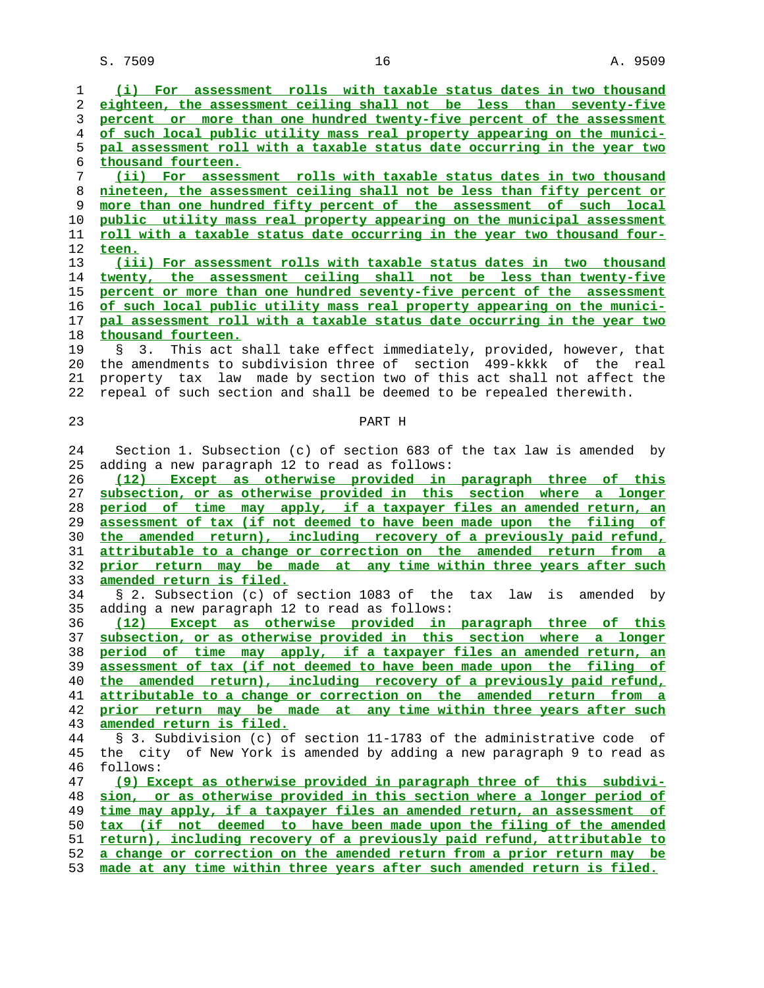$S. 7509$  and  $16$  and  $16$  and  $16$  and  $16$  and  $16$  and  $16$  and  $16$  and  $16$  and  $16$  and  $16$  and  $16$  and  $16$  and  $16$  and  $16$  and  $16$  and  $16$  and  $16$  and  $16$  and  $16$  and  $16$  and  $16$  and  $16$  and  $16$  and

| 1              | (i) For assessment rolls with taxable status dates in two thousand         |
|----------------|----------------------------------------------------------------------------|
| $\overline{c}$ | eighteen, the assessment ceiling shall not be less than seventy-five       |
| 3              | percent or more than one hundred twenty-five percent of the assessment     |
| $\overline{4}$ | of such local public utility mass real property appearing on the munici-   |
| 5              | pal assessment roll with a taxable status date occurring in the year two   |
| 6              | thousand fourteen.                                                         |
| 7              | (ii) For assessment rolls with taxable status dates in two thousand        |
| 8              | nineteen, the assessment ceiling shall not be less than fifty percent or   |
| 9              | more than one hundred fifty percent of the assessment of such local        |
| 10             | public utility mass real property appearing on the municipal assessment    |
| 11             | roll with a taxable status date occurring in the year two thousand four-   |
| 12             | teen.                                                                      |
| 13             | (iii) For assessment rolls with taxable status dates in two thousand       |
| 14             | twenty, the assessment ceiling shall not be less than twenty-five          |
| 15             | percent or more than one hundred seventy-five percent of the assessment    |
| 16             |                                                                            |
|                | of such local public utility mass real property appearing on the munici-   |
| 17             | pal assessment roll with a taxable status date occurring in the year two   |
| 18             | thousand fourteen.                                                         |
| 19             | This act shall take effect immediately, provided, however, that<br>$\S$ 3. |
| 20             | the amendments to subdivision three of section 499-kkkk of the real        |
| 21             | property tax law made by section two of this act shall not affect the      |
| 22             | repeal of such section and shall be deemed to be repealed therewith.       |
|                |                                                                            |
| 23             | PART H                                                                     |
|                |                                                                            |
| 24             | Section 1. Subsection (c) of section 683 of the tax law is amended by      |
| 25             | adding a new paragraph 12 to read as follows:                              |
| 26             | (12) Except as otherwise provided in paragraph three of this               |
| 27             | subsection, or as otherwise provided in this section where a longer        |
| 28             | period of time may apply, if a taxpayer files an amended return, an        |
| 29             | assessment of tax (if not deemed to have been made upon the filing of      |
| 30             | the amended return), including recovery of a previously paid refund,       |
| 31             | attributable to a change or correction on the amended return from a        |
| 32             | prior return may be made at any time within three years after such         |
| 33             | amended return is filed.                                                   |
| 34             | § 2. Subsection (c) of section 1083 of the tax law<br>is<br>amended by     |
| 35             | adding a new paragraph 12 to read as follows:                              |
| 36             | (12) Except as otherwise provided in paragraph three of this               |
| 37             | subsection, or as otherwise provided in this section where a longer        |
| 38             | period of time may apply, if a taxpayer files an amended return, an        |
| 39             | assessment of tax (if not deemed to have been made upon the filing of      |
| 40             | the amended return), including recovery of a previously paid refund,       |
| 41             | attributable to a change or correction on the amended return from a        |
| 42             | prior return may be made at any time within three years after such         |
| 43             | amended return is filed.                                                   |
| 44             | § 3. Subdivision (c) of section 11-1783 of the administrative code of      |
| 45             | the city of New York is amended by adding a new paragraph 9 to read as     |
| 46             | follows:                                                                   |
| 47             | (9) Except as otherwise provided in paragraph three of this subdivi-       |
| 48             | sion, or as otherwise provided in this section where a longer period of    |
| 49             | time may apply, if a taxpayer files an amended return, an assessment of    |
| 50             | tax (if not deemed to have been made upon the filing of the amended        |
| 51             | return), including recovery of a previously paid refund, attributable to   |
| 52             | a change or correction on the amended return from a prior return may be    |
|                | made at any time within three years after such amended return is filed.    |
| 53             |                                                                            |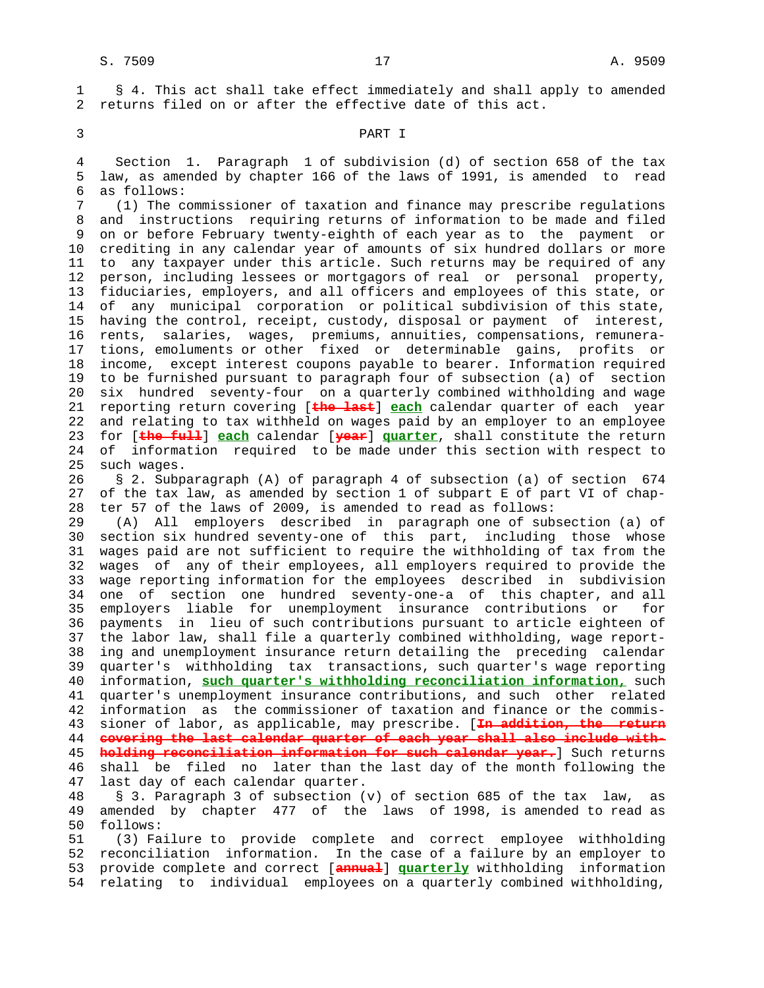1 § 4. This act shall take effect immediately and shall apply to amended 2 returns filed on or after the effective date of this act.

# 3 PART I

 4 Section 1. Paragraph 1 of subdivision (d) of section 658 of the tax 5 law, as amended by chapter 166 of the laws of 1991, is amended to read 6 as follows:<br>7 (1) The c

(1) The commissioner of taxation and finance may prescribe regulations 8 and instructions requiring returns of information to be made and filed 9 on or before February twenty-eighth of each year as to the payment or 10 crediting in any calendar year of amounts of six hundred dollars or more 11 to any taxpayer under this article. Such returns may be required of any 12 person, including lessees or mortgagors of real or personal property, 13 fiduciaries, employers, and all officers and employees of this state, or 14 of any municipal corporation or political subdivision of this state, 15 having the control, receipt, custody, disposal or payment of interest, 16 rents, salaries, wages, premiums, annuities, compensations, remunera- 17 tions, emoluments or other fixed or determinable gains, profits or 18 income, except interest coupons payable to bearer. Information required 19 to be furnished pursuant to paragraph four of subsection (a) of section 20 six hundred seventy-four on a quarterly combined withholding and wage 21 reporting return covering [**the last**] **each** calendar quarter of each year 22 and relating to tax withheld on wages paid by an employer to an employee 23 for [**the full**] **each** calendar [**year**] **quarter**, shall constitute the return 24 of information required to be made under this section with respect to 25 such wages.

 26 § 2. Subparagraph (A) of paragraph 4 of subsection (a) of section 674 27 of the tax law, as amended by section 1 of subpart E of part VI of chap- 28 ter 57 of the laws of 2009, is amended to read as follows:

 29 (A) All employers described in paragraph one of subsection (a) of 30 section six hundred seventy-one of this part, including those whose 31 wages paid are not sufficient to require the withholding of tax from the 32 wages of any of their employees, all employers required to provide the 33 wage reporting information for the employees described in subdivision 34 one of section one hundred seventy-one-a of this chapter, and all 35 employers liable for unemployment insurance contributions or for 36 payments in lieu of such contributions pursuant to article eighteen of 37 the labor law, shall file a quarterly combined withholding, wage report- 38 ing and unemployment insurance return detailing the preceding calendar 39 quarter's withholding tax transactions, such quarter's wage reporting 40 information, **such quarter's withholding reconciliation information,** such 41 quarter's unemployment insurance contributions, and such other related 42 information as the commissioner of taxation and finance or the commis- 43 sioner of labor, as applicable, may prescribe. [**In addition, the return** 44 **covering the last calendar quarter of each year shall also include with-** 45 **holding reconciliation information for such calendar year.**] Such returns 46 shall be filed no later than the last day of the month following the 47 last day of each calendar quarter.

 48 § 3. Paragraph 3 of subsection (v) of section 685 of the tax law, as 49 amended by chapter 477 of the laws of 1998, is amended to read as 50 follows:

 51 (3) Failure to provide complete and correct employee withholding 52 reconciliation information. In the case of a failure by an employer to 53 provide complete and correct [**annual**] **quarterly** withholding information 54 relating to individual employees on a quarterly combined withholding,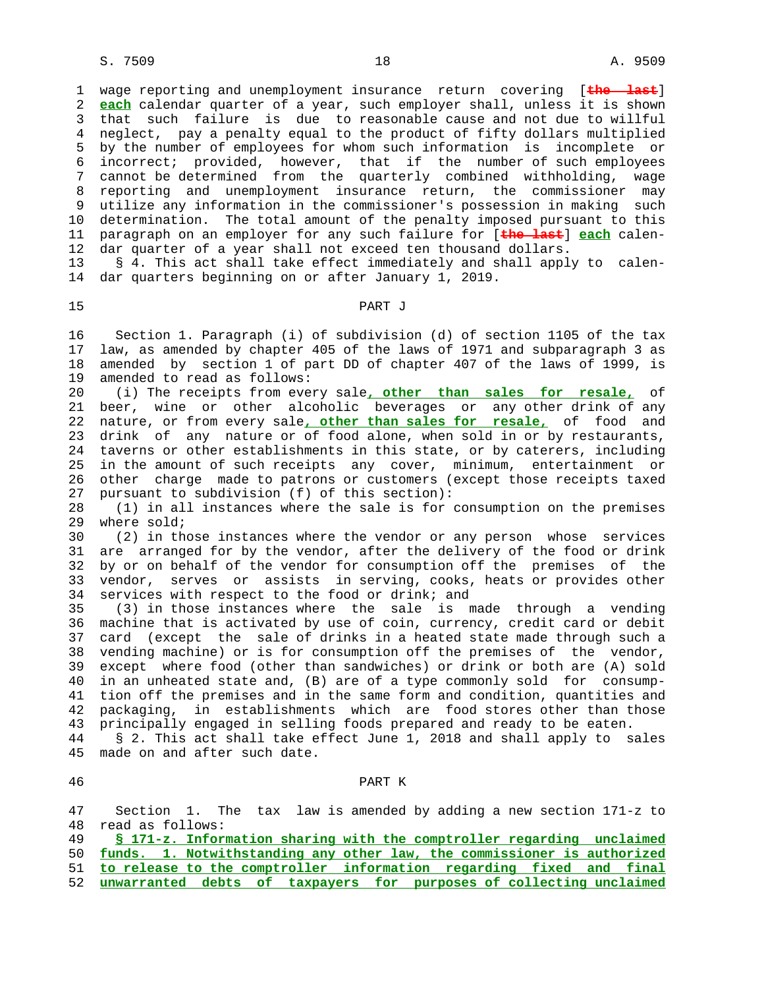1 wage reporting and unemployment insurance return covering [**the last**] 2 **each** calendar quarter of a year, such employer shall, unless it is shown 3 that such failure is due to reasonable cause and not due to willful 4 neglect, pay a penalty equal to the product of fifty dollars multiplied 5 by the number of employees for whom such information is incomplete or 6 incorrect; provided, however, that if the number of such employees 7 cannot be determined from the quarterly combined withholding, wage 8 reporting and unemployment insurance return, the commissioner may 9 utilize any information in the commissioner's possession in making such 10 determination. The total amount of the penalty imposed pursuant to this 11 paragraph on an employer for any such failure for [**the last**] **each** calen- 12 dar quarter of a year shall not exceed ten thousand dollars.

 13 § 4. This act shall take effect immediately and shall apply to calen- 14 dar quarters beginning on or after January 1, 2019.

### 15 PART J

 16 Section 1. Paragraph (i) of subdivision (d) of section 1105 of the tax 17 law, as amended by chapter 405 of the laws of 1971 and subparagraph 3 as 18 amended by section 1 of part DD of chapter 407 of the laws of 1999, is 19 amended to read as follows:

 20 (i) The receipts from every sale**, other than sales for resale,** of 21 beer, wine or other alcoholic beverages or any other drink of any 22 nature, or from every sale**, other than sales for resale,** of food and 23 drink of any nature or of food alone, when sold in or by restaurants, 24 taverns or other establishments in this state, or by caterers, including 25 in the amount of such receipts any cover, minimum, entertainment or 26 other charge made to patrons or customers (except those receipts taxed 27 pursuant to subdivision (f) of this section):

 28 (1) in all instances where the sale is for consumption on the premises 29 where sold;

 30 (2) in those instances where the vendor or any person whose services 31 are arranged for by the vendor, after the delivery of the food or drink 32 by or on behalf of the vendor for consumption off the premises of the 33 vendor, serves or assists in serving, cooks, heats or provides other 34 services with respect to the food or drink; and

 35 (3) in those instances where the sale is made through a vending 36 machine that is activated by use of coin, currency, credit card or debit 37 card (except the sale of drinks in a heated state made through such a 38 vending machine) or is for consumption off the premises of the vendor, 39 except where food (other than sandwiches) or drink or both are (A) sold 40 in an unheated state and, (B) are of a type commonly sold for consump- 41 tion off the premises and in the same form and condition, quantities and 42 packaging, in establishments which are food stores other than those 43 principally engaged in selling foods prepared and ready to be eaten.

 44 § 2. This act shall take effect June 1, 2018 and shall apply to sales 45 made on and after such date.

#### 46 PART K

 47 Section 1. The tax law is amended by adding a new section 171-z to 48 read as follows:

**§ 171-z. Information sharing with the comptroller regarding unclaimed funds. 1. Notwithstanding any other law, the commissioner is authorized to release to the comptroller information regarding fixed and final unwarranted debts of taxpayers for purposes of collecting unclaimed**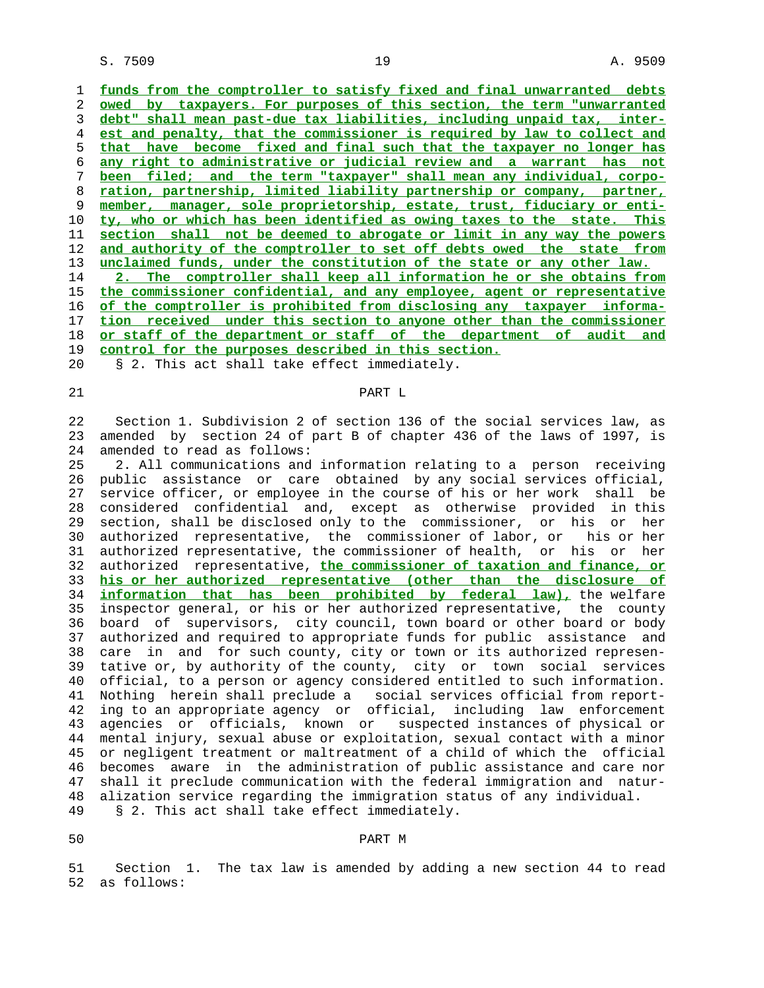S. 7509 19 A. 9509

**funds from the comptroller to satisfy fixed and final unwarranted debts owed by taxpayers. For purposes of this section, the term "unwarranted debt" shall mean past-due tax liabilities, including unpaid tax, inter- est and penalty, that the commissioner is required by law to collect and that have become fixed and final such that the taxpayer no longer has any right to administrative or judicial review and a warrant has not been filed; and the term "taxpayer" shall mean any individual, corpo- ration, partnership, limited liability partnership or company, partner, member, manager, sole proprietorship, estate, trust, fiduciary or enti- ty, who or which has been identified as owing taxes to the state. This section shall not be deemed to abrogate or limit in any way the powers and authority of the comptroller to set off debts owed the state from unclaimed funds, under the constitution of the state or any other law. 2. The comptroller shall keep all information he or she obtains from**

**the commissioner confidential, and any employee, agent or representative of the comptroller is prohibited from disclosing any taxpayer informa- tion received under this section to anyone other than the commissioner or staff of the department or staff of the department of audit and control for the purposes described in this section.**

20 § 2. This act shall take effect immediately.

# 21 PART L

 22 Section 1. Subdivision 2 of section 136 of the social services law, as 23 amended by section 24 of part B of chapter 436 of the laws of 1997, is 24 amended to read as follows:

 25 2. All communications and information relating to a person receiving 26 public assistance or care obtained by any social services official, 27 service officer, or employee in the course of his or her work shall be 28 considered confidential and, except as otherwise provided in this 29 section, shall be disclosed only to the commissioner, or his or her 30 authorized representative, the commissioner of labor, or his or her 31 authorized representative, the commissioner of health, or his or her 32 authorized representative, **the commissioner of taxation and finance, or** 33 **his or her authorized representative (other than the disclosure of** 34 **information that has been prohibited by federal law),** the welfare 35 inspector general, or his or her authorized representative, the county 36 board of supervisors, city council, town board or other board or body 37 authorized and required to appropriate funds for public assistance and 38 care in and for such county, city or town or its authorized represen- 39 tative or, by authority of the county, city or town social services 40 official, to a person or agency considered entitled to such information. 41 Nothing herein shall preclude a social services official from report- 42 ing to an appropriate agency or official, including law enforcement 43 agencies or officials, known or suspected instances of physical or 44 mental injury, sexual abuse or exploitation, sexual contact with a minor 45 or negligent treatment or maltreatment of a child of which the official 46 becomes aware in the administration of public assistance and care nor 47 shall it preclude communication with the federal immigration and natur- 48 alization service regarding the immigration status of any individual. 49 § 2. This act shall take effect immediately.

# 50 PART M

 51 Section 1. The tax law is amended by adding a new section 44 to read 52 as follows: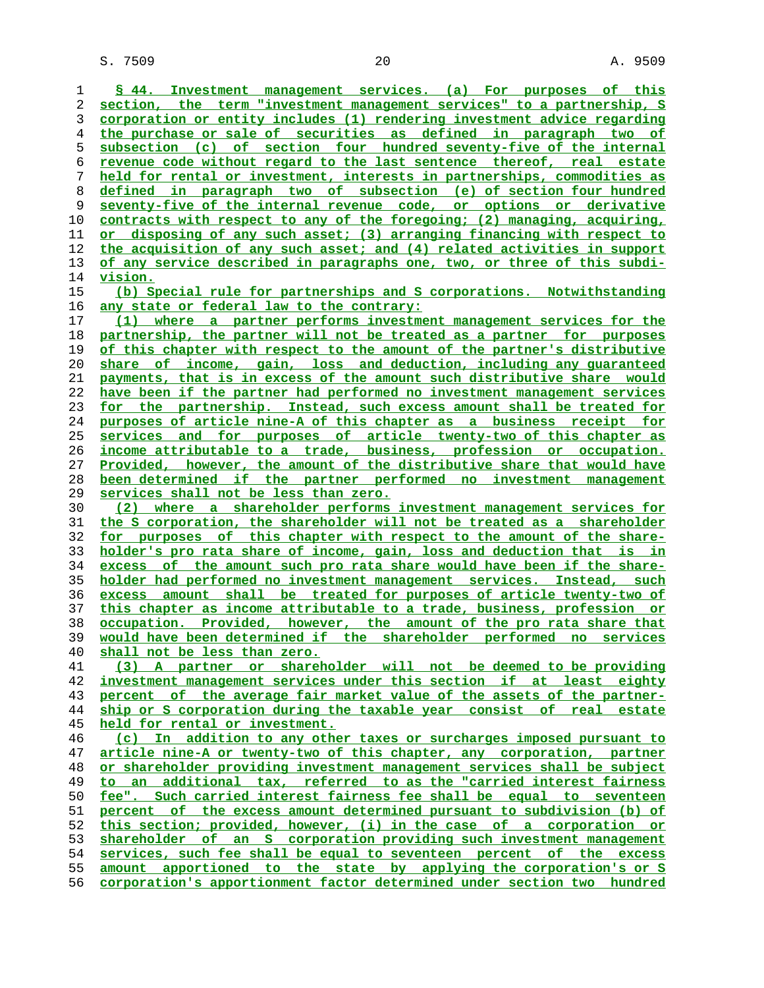$S. 7509$   $20$   $A. 9509$ 

**§ 44. Investment management services. (a) For purposes of this section, the term "investment management services" to a partnership, S corporation or entity includes (1) rendering investment advice regarding the purchase or sale of securities as defined in paragraph two of subsection (c) of section four hundred seventy-five of the internal revenue code without regard to the last sentence thereof, real estate held for rental or investment, interests in partnerships, commodities as defined in paragraph two of subsection (e) of section four hundred seventy-five of the internal revenue code, or options or derivative contracts with respect to any of the foregoing; (2) managing, acquiring, or disposing of any such asset; (3) arranging financing with respect to the acquisition of any such asset; and (4) related activities in support of any service described in paragraphs one, two, or three of this subdi- vision. (b) Special rule for partnerships and S corporations. Notwithstanding any state or federal law to the contrary: (1) where a partner performs investment management services for the partnership, the partner will not be treated as a partner for purposes of this chapter with respect to the amount of the partner's distributive share of income, gain, loss and deduction, including any guaranteed payments, that is in excess of the amount such distributive share would have been if the partner had performed no investment management services for the partnership. Instead, such excess amount shall be treated for purposes of article nine-A of this chapter as a business receipt for services and for purposes of article twenty-two of this chapter as income attributable to a trade, business, profession or occupation. Provided, however, the amount of the distributive share that would have been determined if the partner performed no investment management services shall not be less than zero. (2) where a shareholder performs investment management services for the S corporation, the shareholder will not be treated as a shareholder for purposes of this chapter with respect to the amount of the share- holder's pro rata share of income, gain, loss and deduction that is in excess of the amount such pro rata share would have been if the share- holder had performed no investment management services. Instead, such excess amount shall be treated for purposes of article twenty-two of this chapter as income attributable to a trade, business, profession or occupation. Provided, however, the amount of the pro rata share that would have been determined if the shareholder performed no services shall not be less than zero. (3) A partner or shareholder will not be deemed to be providing investment management services under this section if at least eighty percent of the average fair market value of the assets of the partner- ship or S corporation during the taxable year consist of real estate held for rental or investment. (c) In addition to any other taxes or surcharges imposed pursuant to article nine-A or twenty-two of this chapter, any corporation, partner or shareholder providing investment management services shall be subject to an additional tax, referred to as the "carried interest fairness fee". Such carried interest fairness fee shall be equal to seventeen percent of the excess amount determined pursuant to subdivision (b) of this section; provided, however, (i) in the case of a corporation or shareholder of an S corporation providing such investment management services, such fee shall be equal to seventeen percent of the excess amount apportioned to the state by applying the corporation's or S corporation's apportionment factor determined under section two hundred**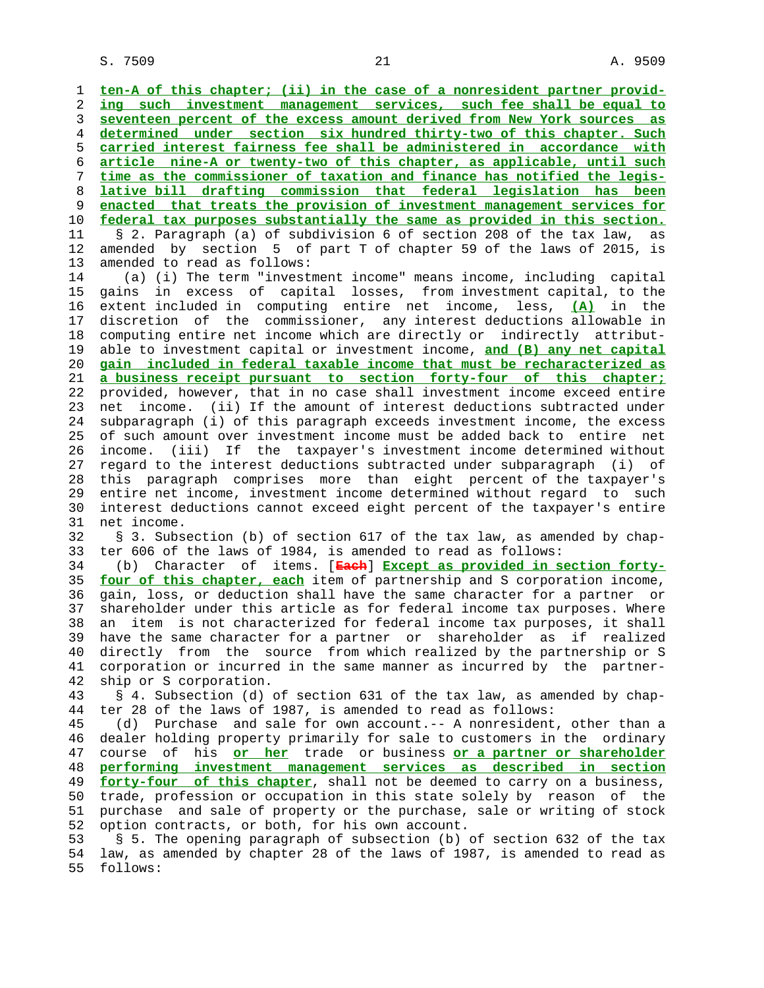$S. 7509$  and  $21$  and  $21$  and  $21$  and  $21$  and  $21$  and  $21$  and  $21$  and  $21$  and  $21$  and  $21$  and  $21$  and  $21$  and  $21$  and  $21$  and  $21$  and  $21$  and  $21$  and  $21$  and  $21$  and  $21$  and  $21$  and  $21$  and  $21$  and

 1 **ten-A of this chapter; (ii) in the case of a nonresident partner provid-** 2 **ing such investment management services, such fee shall be equal to** 3 **seventeen percent of the excess amount derived from New York sources as** 4 **determined under section six hundred thirty-two of this chapter. Such** 5 **carried interest fairness fee shall be administered in accordance with** 6 **article nine-A or twenty-two of this chapter, as applicable, until such** 7 **time as the commissioner of taxation and finance has notified the legis-** 8 **lative bill drafting commission that federal legislation has been** 9 **enacted that treats the provision of investment management services for** 10 **federal tax purposes substantially the same as provided in this section.** 11 § 2. Paragraph (a) of subdivision 6 of section 208 of the tax law, as 12 amended by section 5 of part T of chapter 59 of the laws of 2015, is 13 amended to read as follows: 14 (a) (i) The term "investment income" means income, including capital 15 gains in excess of capital losses, from investment capital, to the 16 extent included in computing entire net income, less, **(A)** in the 17 discretion of the commissioner, any interest deductions allowable in 18 computing entire net income which are directly or indirectly attribut- 19 able to investment capital or investment income, **and (B) any net capital** 20 **gain included in federal taxable income that must be recharacterized as** 21 **a business receipt pursuant to section forty-four of this chapter;** 22 provided, however, that in no case shall investment income exceed entire 23 net income. (ii) If the amount of interest deductions subtracted under 24 subparagraph (i) of this paragraph exceeds investment income, the excess 25 of such amount over investment income must be added back to entire net 26 income. (iii) If the taxpayer's investment income determined without 27 regard to the interest deductions subtracted under subparagraph (i) of 28 this paragraph comprises more than eight percent of the taxpayer's 29 entire net income, investment income determined without regard to such 30 interest deductions cannot exceed eight percent of the taxpayer's entire 31 net income. 32 § 3. Subsection (b) of section 617 of the tax law, as amended by chap- 33 ter 606 of the laws of 1984, is amended to read as follows: 34 (b) Character of items. [**Each**] **Except as provided in section forty-** 35 **four of this chapter, each** item of partnership and S corporation income, 36 gain, loss, or deduction shall have the same character for a partner or 37 shareholder under this article as for federal income tax purposes. Where 38 an item is not characterized for federal income tax purposes, it shall 39 have the same character for a partner or shareholder as if realized 40 directly from the source from which realized by the partnership or S 41 corporation or incurred in the same manner as incurred by the partner- 42 ship or S corporation. 43 § 4. Subsection (d) of section 631 of the tax law, as amended by chap- 44 ter 28 of the laws of 1987, is amended to read as follows: 45 (d) Purchase and sale for own account.-- A nonresident, other than a 46 dealer holding property primarily for sale to customers in the ordinary 47 course of his **or her** trade or business **or a partner or shareholder** 48 **performing investment management services as described in section** 49 **forty-four of this chapter**, shall not be deemed to carry on a business, 50 trade, profession or occupation in this state solely by reason of the 51 purchase and sale of property or the purchase, sale or writing of stock 52 option contracts, or both, for his own account. 53 § 5. The opening paragraph of subsection (b) of section 632 of the tax 54 law, as amended by chapter 28 of the laws of 1987, is amended to read as 55 follows: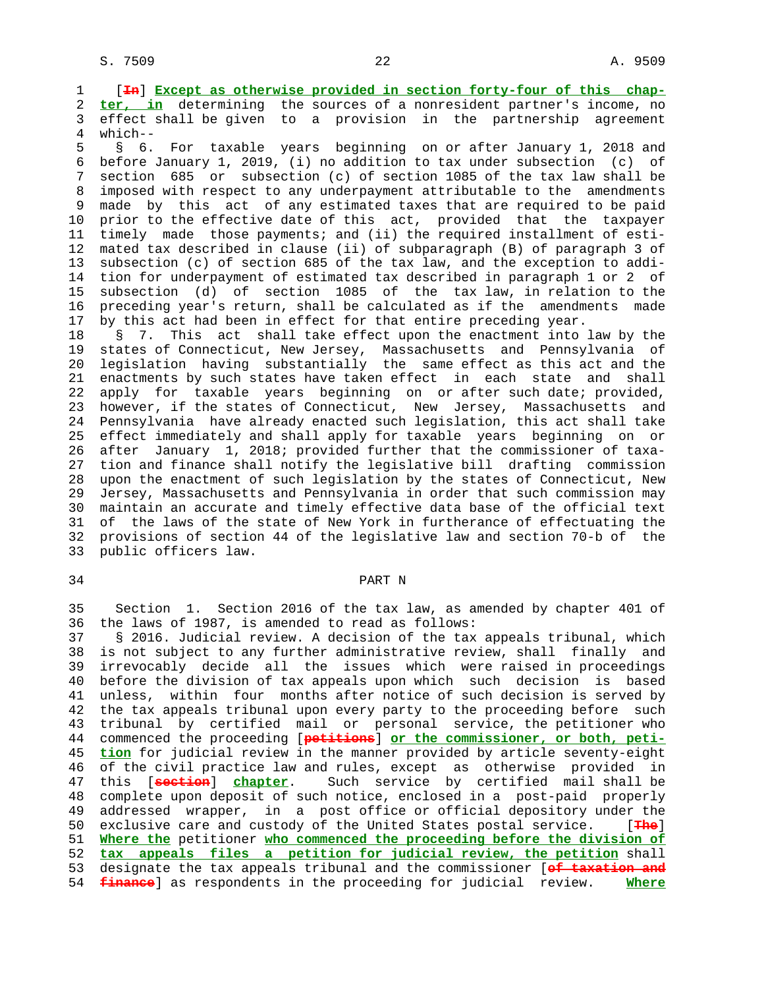1 [**In**] **Except as otherwise provided in section forty-four of this chap-** 2 **ter, in** determining the sources of a nonresident partner's income, no 3 effect shall be given to a provision in the partnership agreement 4 which--

 5 § 6. For taxable years beginning on or after January 1, 2018 and 6 before January 1, 2019, (i) no addition to tax under subsection (c) of 7 section 685 or subsection (c) of section 1085 of the tax law shall be 8 imposed with respect to any underpayment attributable to the amendments<br>9 made by this act of any estimated taxes that are required to be paid made by this act of any estimated taxes that are required to be paid 10 prior to the effective date of this act, provided that the taxpayer 11 timely made those payments; and (ii) the required installment of esti- 12 mated tax described in clause (ii) of subparagraph (B) of paragraph 3 of 13 subsection (c) of section 685 of the tax law, and the exception to addi- 14 tion for underpayment of estimated tax described in paragraph 1 or 2 of 15 subsection (d) of section 1085 of the tax law, in relation to the 16 preceding year's return, shall be calculated as if the amendments made 17 by this act had been in effect for that entire preceding year.

 18 § 7. This act shall take effect upon the enactment into law by the 19 states of Connecticut, New Jersey, Massachusetts and Pennsylvania of 20 legislation having substantially the same effect as this act and the 21 enactments by such states have taken effect in each state and shall 22 apply for taxable years beginning on or after such date; provided, 23 however, if the states of Connecticut, New Jersey, Massachusetts and 24 Pennsylvania have already enacted such legislation, this act shall take 25 effect immediately and shall apply for taxable years beginning on or 26 after January 1, 2018; provided further that the commissioner of taxa- 27 tion and finance shall notify the legislative bill drafting commission 28 upon the enactment of such legislation by the states of Connecticut, New 29 Jersey, Massachusetts and Pennsylvania in order that such commission may 30 maintain an accurate and timely effective data base of the official text 31 of the laws of the state of New York in furtherance of effectuating the 32 provisions of section 44 of the legislative law and section 70-b of the 33 public officers law.

# 34 PART N

 35 Section 1. Section 2016 of the tax law, as amended by chapter 401 of 36 the laws of 1987, is amended to read as follows:

 37 § 2016. Judicial review. A decision of the tax appeals tribunal, which 38 is not subject to any further administrative review, shall finally and 39 irrevocably decide all the issues which were raised in proceedings 40 before the division of tax appeals upon which such decision is based 41 unless, within four months after notice of such decision is served by 42 the tax appeals tribunal upon every party to the proceeding before such 43 tribunal by certified mail or personal service, the petitioner who 44 commenced the proceeding [**petitions**] **or the commissioner, or both, peti-** 45 **tion** for judicial review in the manner provided by article seventy-eight 46 of the civil practice law and rules, except as otherwise provided in<br>47 this [section] chapter. Such service by certified mail shall be 47 this [**section**] **chapter**. Such service by certified mail shall be 48 complete upon deposit of such notice, enclosed in a post-paid properly 49 addressed wrapper, in a post office or official depository under the 50 exclusive care and custody of the United States postal service. [**The**] 51 **Where the** petitioner **who commenced the proceeding before the division of** 52 **tax appeals files a petition for judicial review, the petition** shall 53 designate the tax appeals tribunal and the commissioner [**of taxation and** 54 **finance**] as respondents in the proceeding for judicial review. **Where**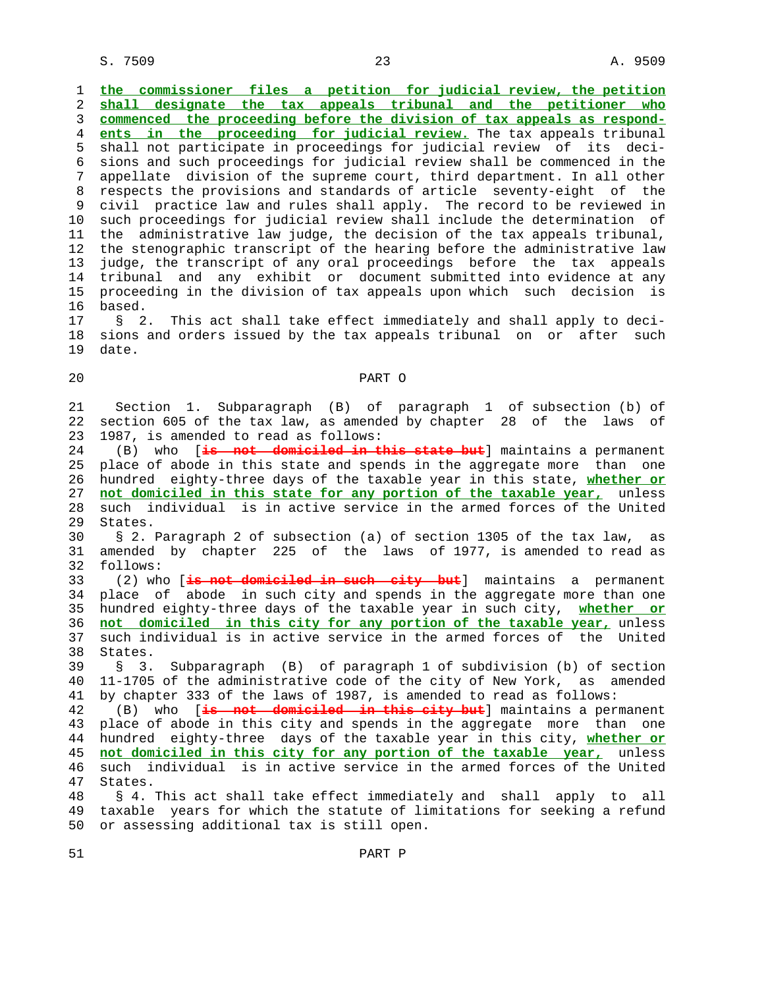1 **the commissioner files a petition for judicial review, the petition** 2 **shall designate the tax appeals tribunal and the petitioner who** 3 **commenced the proceeding before the division of tax appeals as respond-** 4 **ents in the proceeding for judicial review.** The tax appeals tribunal 5 shall not participate in proceedings for judicial review of its deci- 6 sions and such proceedings for judicial review shall be commenced in the 7 appellate division of the supreme court, third department. In all other 8 respects the provisions and standards of article seventy-eight of the 9 civil practice law and rules shall apply. The record to be reviewed in 10 such proceedings for judicial review shall include the determination of 11 the administrative law judge, the decision of the tax appeals tribunal, 12 the stenographic transcript of the hearing before the administrative law 13 judge, the transcript of any oral proceedings before the tax appeals 14 tribunal and any exhibit or document submitted into evidence at any 15 proceeding in the division of tax appeals upon which such decision is 16 based.

 17 § 2. This act shall take effect immediately and shall apply to deci- 18 sions and orders issued by the tax appeals tribunal on or after such 19 date.

20 PART O

 21 Section 1. Subparagraph (B) of paragraph 1 of subsection (b) of 22 section 605 of the tax law, as amended by chapter 28 of the laws of 23 1987, is amended to read as follows:

 24 (B) who [**is not domiciled in this state but**] maintains a permanent 25 place of abode in this state and spends in the aggregate more than one 26 hundred eighty-three days of the taxable year in this state, **whether or** 27 **not domiciled in this state for any portion of the taxable year,** unless 28 such individual is in active service in the armed forces of the United 29 States.

 30 § 2. Paragraph 2 of subsection (a) of section 1305 of the tax law, as 31 amended by chapter 225 of the laws of 1977, is amended to read as 32 follows:

 33 (2) who [**is not domiciled in such city but**] maintains a permanent 34 place of abode in such city and spends in the aggregate more than one 35 hundred eighty-three days of the taxable year in such city, **whether or** 36 **not domiciled in this city for any portion of the taxable year,** unless 37 such individual is in active service in the armed forces of the United 38 States.

 39 § 3. Subparagraph (B) of paragraph 1 of subdivision (b) of section 40 11-1705 of the administrative code of the city of New York, as amended 41 by chapter 333 of the laws of 1987, is amended to read as follows:

 42 (B) who [**is not domiciled in this city but**] maintains a permanent 43 place of abode in this city and spends in the aggregate more than one 44 hundred eighty-three days of the taxable year in this city, **whether or** 45 **not domiciled in this city for any portion of the taxable year,** unless 46 such individual is in active service in the armed forces of the United States.

 48 § 4. This act shall take effect immediately and shall apply to all 49 taxable years for which the statute of limitations for seeking a refund 50 or assessing additional tax is still open.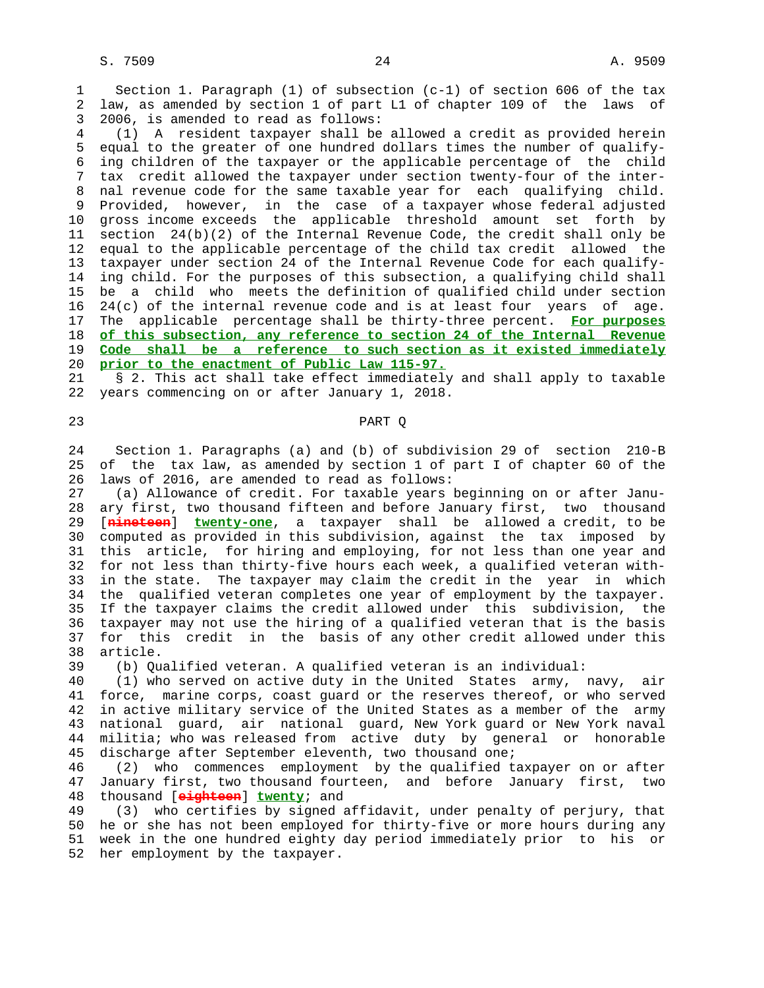1 Section 1. Paragraph (1) of subsection (c-1) of section 606 of the tax 2 law, as amended by section 1 of part L1 of chapter 109 of the laws of 3 2006, is amended to read as follows:

 4 (1) A resident taxpayer shall be allowed a credit as provided herein 5 equal to the greater of one hundred dollars times the number of qualify- 6 ing children of the taxpayer or the applicable percentage of the child 7 tax credit allowed the taxpayer under section twenty-four of the inter- 8 nal revenue code for the same taxable year for each qualifying child. 9 Provided, however, in the case of a taxpayer whose federal adjusted 10 gross income exceeds the applicable threshold amount set forth by 11 section 24(b)(2) of the Internal Revenue Code, the credit shall only be 12 equal to the applicable percentage of the child tax credit allowed the 13 taxpayer under section 24 of the Internal Revenue Code for each qualify- 14 ing child. For the purposes of this subsection, a qualifying child shall 15 be a child who meets the definition of qualified child under section 16  $24(c)$  of the internal revenue code and is at least four years of age. 17 The applicable percentage shall be thirty-three percent. **For purposes** 18 **of this subsection, any reference to section 24 of the Internal Revenue** 19 **Code shall be a reference to such section as it existed immediately** 20 **prior to the enactment of Public Law 115-97.**

 21 § 2. This act shall take effect immediately and shall apply to taxable 22 years commencing on or after January 1, 2018.

# 23 PART Q

 24 Section 1. Paragraphs (a) and (b) of subdivision 29 of section 210-B 25 of the tax law, as amended by section 1 of part I of chapter 60 of the 26 laws of 2016, are amended to read as follows:

 27 (a) Allowance of credit. For taxable years beginning on or after Janu- 28 ary first, two thousand fifteen and before January first, two thousand 29 [**nineteen**] **twenty-one**, a taxpayer shall be allowed a credit, to be 30 computed as provided in this subdivision, against the tax imposed by 31 this article, for hiring and employing, for not less than one year and 32 for not less than thirty-five hours each week, a qualified veteran with- 33 in the state. The taxpayer may claim the credit in the year in which 34 the qualified veteran completes one year of employment by the taxpayer. 35 If the taxpayer claims the credit allowed under this subdivision, the 36 taxpayer may not use the hiring of a qualified veteran that is the basis 37 for this credit in the basis of any other credit allowed under this 38 article.

39 (b) Qualified veteran. A qualified veteran is an individual:

 40 (1) who served on active duty in the United States army, navy, air 41 force, marine corps, coast guard or the reserves thereof, or who served 42 in active military service of the United States as a member of the army 43 national guard, air national guard, New York guard or New York naval 44 militia; who was released from active duty by general or honorable 45 discharge after September eleventh, two thousand one;

 46 (2) who commences employment by the qualified taxpayer on or after 47 January first, two thousand fourteen, and before January first, two 48 thousand [**eighteen**] **twenty**; and

 49 (3) who certifies by signed affidavit, under penalty of perjury, that 50 he or she has not been employed for thirty-five or more hours during any 51 week in the one hundred eighty day period immediately prior to his or 52 her employment by the taxpayer.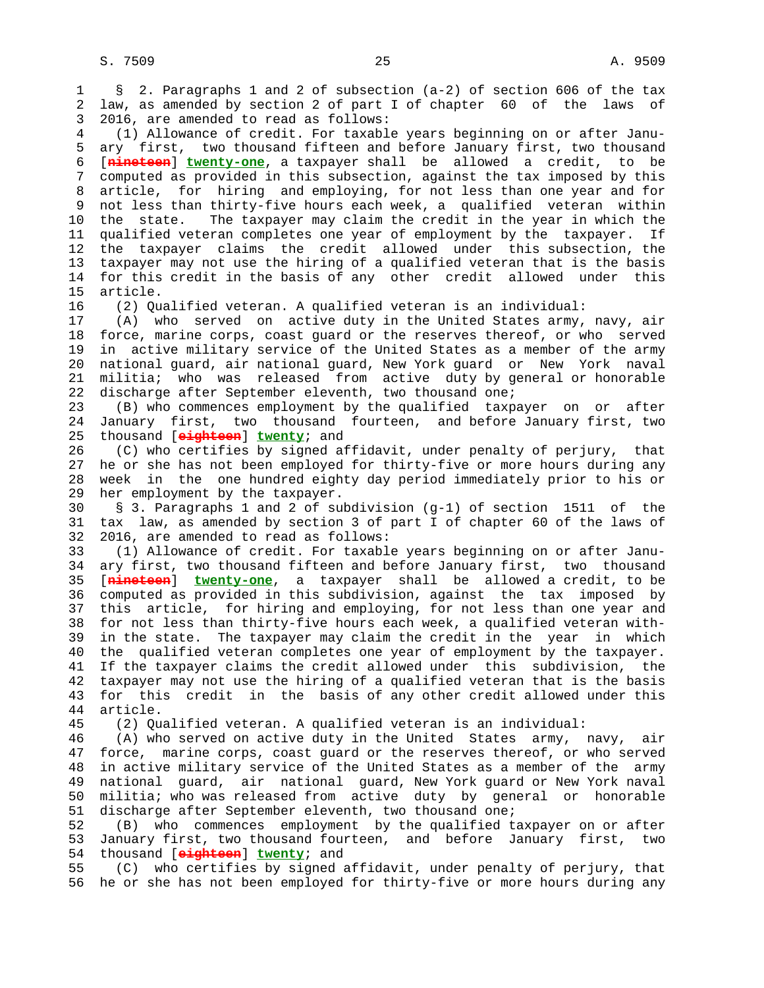1 § 2. Paragraphs 1 and 2 of subsection (a-2) of section 606 of the tax 2 law, as amended by section 2 of part I of chapter 60 of the laws of 3 2016, are amended to read as follows: 4 (1) Allowance of credit. For taxable years beginning on or after Janu- 5 ary first, two thousand fifteen and before January first, two thousand 6 [**nineteen**] **twenty-one**, a taxpayer shall be allowed a credit, to be 7 computed as provided in this subsection, against the tax imposed by this 8 article, for hiring and employing, for not less than one year and for 9 not less than thirty-five hours each week, a qualified veteran within 10 the state. The taxpayer may claim the credit in the year in which the 11 qualified veteran completes one year of employment by the taxpayer. If 12 the taxpayer claims the credit allowed under this subsection, the 13 taxpayer may not use the hiring of a qualified veteran that is the basis 14 for this credit in the basis of any other credit allowed under this 15 article. 16 (2) Qualified veteran. A qualified veteran is an individual: 17 (A) who served on active duty in the United States army, navy, air 18 force, marine corps, coast guard or the reserves thereof, or who served 19 in active military service of the United States as a member of the army 20 national guard, air national guard, New York guard or New York naval 21 militia; who was released from active duty by general or honorable 22 discharge after September eleventh, two thousand one; 23 (B) who commences employment by the qualified taxpayer on or after 24 January first, two thousand fourteen, and before January first, two 25 thousand [**eighteen**] **twenty**; and 26 (C) who certifies by signed affidavit, under penalty of perjury, that 27 he or she has not been employed for thirty-five or more hours during any 28 week in the one hundred eighty day period immediately prior to his or 29 her employment by the taxpayer. 30 § 3. Paragraphs 1 and 2 of subdivision (g-1) of section 1511 of the 31 tax law, as amended by section 3 of part I of chapter 60 of the laws of 32 2016, are amended to read as follows: 33 (1) Allowance of credit. For taxable years beginning on or after Janu- 34 ary first, two thousand fifteen and before January first, two thousand 35 [**nineteen**] **twenty-one**, a taxpayer shall be allowed a credit, to be 36 computed as provided in this subdivision, against the tax imposed by 37 this article, for hiring and employing, for not less than one year and 38 for not less than thirty-five hours each week, a qualified veteran with- 39 in the state. The taxpayer may claim the credit in the year in which 40 the qualified veteran completes one year of employment by the taxpayer. 41 If the taxpayer claims the credit allowed under this subdivision, the 42 taxpayer may not use the hiring of a qualified veteran that is the basis 43 for this credit in the basis of any other credit allowed under this 44 article. 45 (2) Qualified veteran. A qualified veteran is an individual: 46 (A) who served on active duty in the United States army, navy, air 47 force, marine corps, coast guard or the reserves thereof, or who served 48 in active military service of the United States as a member of the army 49 national guard, air national guard, New York guard or New York naval 50 militia; who was released from active duty by general or honorable 51 discharge after September eleventh, two thousand one; 52 (B) who commences employment by the qualified taxpayer on or after 53 January first, two thousand fourteen, and before January first, two 54 thousand [**eighteen**] **twenty**; and 55 (C) who certifies by signed affidavit, under penalty of perjury, that 56 he or she has not been employed for thirty-five or more hours during any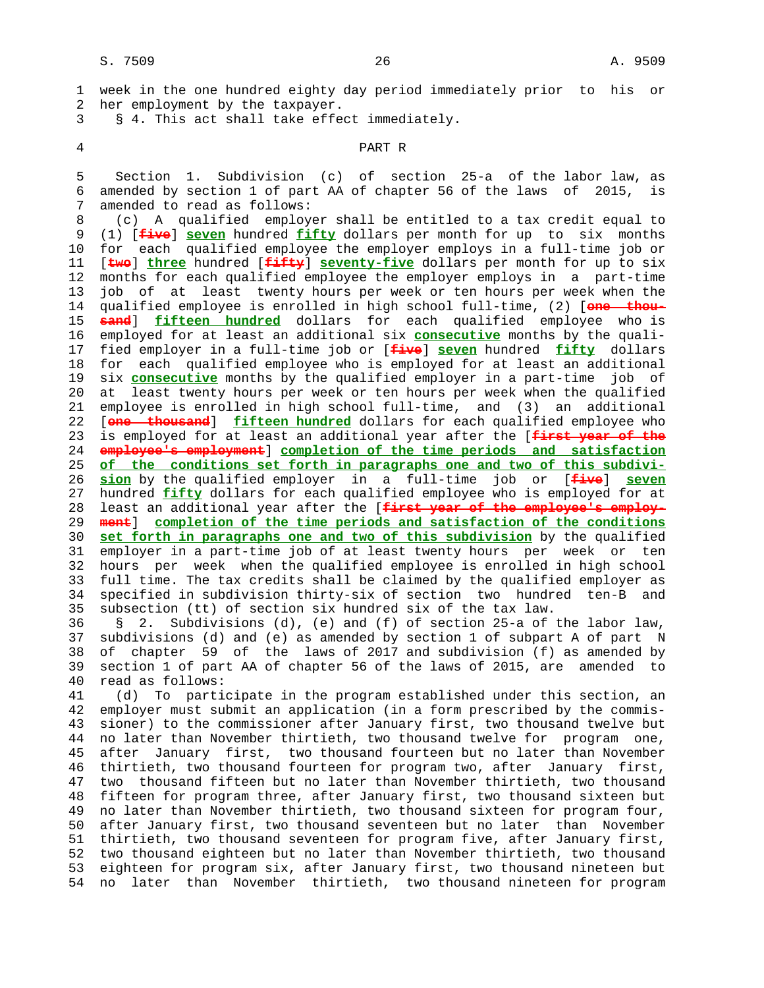1 week in the one hundred eighty day period immediately prior to his or 2 her employment by the taxpayer.

3 § 4. This act shall take effect immediately.

4 PART R

 5 Section 1. Subdivision (c) of section 25-a of the labor law, as 6 amended by section 1 of part AA of chapter 56 of the laws of 2015, is amended to read as follows:

 8 (c) A qualified employer shall be entitled to a tax credit equal to 9 (1) [**five**] **seven** hundred **fifty** dollars per month for up to six months 10 for each qualified employee the employer employs in a full-time job or 11 [**two**] **three** hundred [**fifty**] **seventy-five** dollars per month for up to six 12 months for each qualified employee the employer employs in a part-time 13 job of at least twenty hours per week or ten hours per week when the 14 qualified employee is enrolled in high school full-time, (2) [**one thou-** 15 **sand**] **fifteen hundred** dollars for each qualified employee who is 16 employed for at least an additional six **consecutive** months by the quali- 17 fied employer in a full-time job or [**five**] **seven** hundred **fifty** dollars 18 for each qualified employee who is employed for at least an additional 19 six **consecutive** months by the qualified employer in a part-time job of 20 at least twenty hours per week or ten hours per week when the qualified 21 employee is enrolled in high school full-time, and (3) an additional 22 [**one thousand**] **fifteen hundred** dollars for each qualified employee who 23 is employed for at least an additional year after the [**first year of the** 24 **employee's employment**] **completion of the time periods and satisfaction** 25 **of the conditions set forth in paragraphs one and two of this subdivi-** 26 **sion** by the qualified employer in a full-time job or [**five**] **seven** 27 hundred **fifty** dollars for each qualified employee who is employed for at 28 least an additional year after the [**first year of the employee's employ-** 29 **ment**] **completion of the time periods and satisfaction of the conditions** 30 **set forth in paragraphs one and two of this subdivision** by the qualified 31 employer in a part-time job of at least twenty hours per week or ten 32 hours per week when the qualified employee is enrolled in high school 33 full time. The tax credits shall be claimed by the qualified employer as 34 specified in subdivision thirty-six of section two hundred ten-B and 35 subsection (tt) of section six hundred six of the tax law.

 36 § 2. Subdivisions (d), (e) and (f) of section 25-a of the labor law, 37 subdivisions (d) and (e) as amended by section 1 of subpart A of part N 38 of chapter 59 of the laws of 2017 and subdivision (f) as amended by 39 section 1 of part AA of chapter 56 of the laws of 2015, are amended to 40 read as follows:

 41 (d) To participate in the program established under this section, an 42 employer must submit an application (in a form prescribed by the commis- 43 sioner) to the commissioner after January first, two thousand twelve but 44 no later than November thirtieth, two thousand twelve for program one, 45 after January first, two thousand fourteen but no later than November 46 thirtieth, two thousand fourteen for program two, after January first, 47 two thousand fifteen but no later than November thirtieth, two thousand 48 fifteen for program three, after January first, two thousand sixteen but 49 no later than November thirtieth, two thousand sixteen for program four, 50 after January first, two thousand seventeen but no later than November 51 thirtieth, two thousand seventeen for program five, after January first, 52 two thousand eighteen but no later than November thirtieth, two thousand 53 eighteen for program six, after January first, two thousand nineteen but 54 no later than November thirtieth, two thousand nineteen for program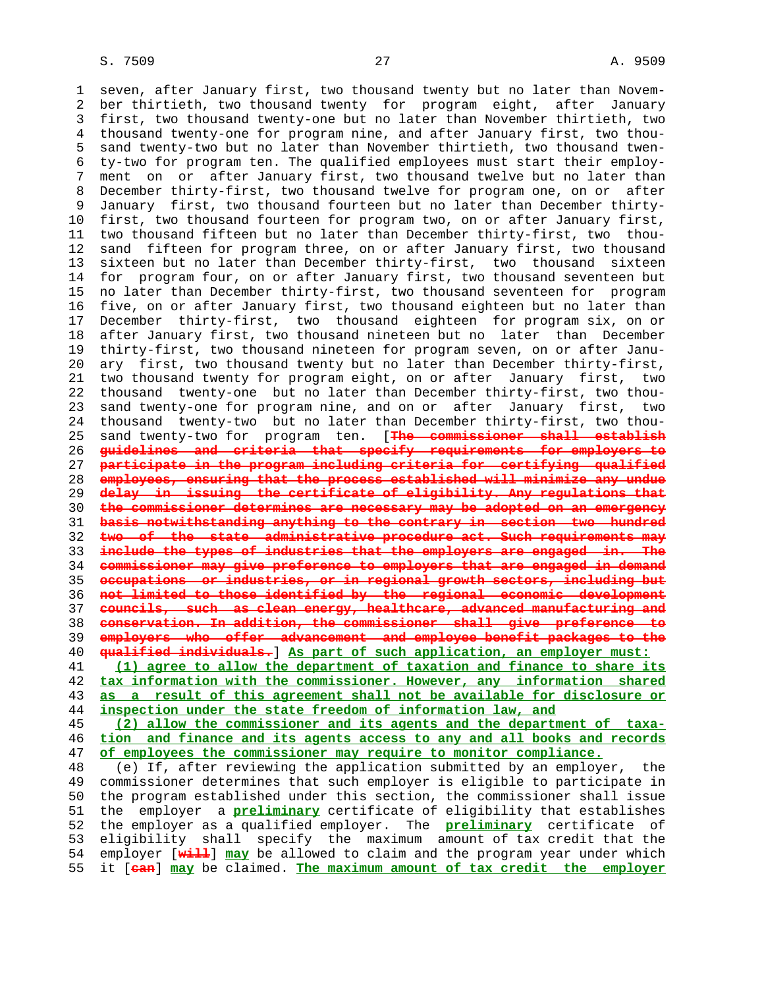1 seven, after January first, two thousand twenty but no later than Novem- 2 ber thirtieth, two thousand twenty for program eight, after January 3 first, two thousand twenty-one but no later than November thirtieth, two 4 thousand twenty-one for program nine, and after January first, two thou- 5 sand twenty-two but no later than November thirtieth, two thousand twen- 6 ty-two for program ten. The qualified employees must start their employ- 7 ment on or after January first, two thousand twelve but no later than 8 December thirty-first, two thousand twelve for program one, on or after 9 January first, two thousand fourteen but no later than December thirty- 10 first, two thousand fourteen for program two, on or after January first, 11 two thousand fifteen but no later than December thirty-first, two thou- 12 sand fifteen for program three, on or after January first, two thousand 13 sixteen but no later than December thirty-first, two thousand sixteen 14 for program four, on or after January first, two thousand seventeen but 15 no later than December thirty-first, two thousand seventeen for program 16 five, on or after January first, two thousand eighteen but no later than 17 December thirty-first, two thousand eighteen for program six, on or 18 after January first, two thousand nineteen but no later than December 19 thirty-first, two thousand nineteen for program seven, on or after Janu- 20 ary first, two thousand twenty but no later than December thirty-first, 21 two thousand twenty for program eight, on or after January first, two 22 thousand twenty-one but no later than December thirty-first, two thou- 23 sand twenty-one for program nine, and on or after January first, two 24 thousand twenty-two but no later than December thirty-first, two thou- 25 sand twenty-two for program ten. [**The commissioner shall establish** 26 **guidelines and criteria that specify requirements for employers to** 27 **participate in the program including criteria for certifying qualified** 28 **employees, ensuring that the process established will minimize any undue** 29 **delay in issuing the certificate of eligibility. Any regulations that** 30 **the commissioner determines are necessary may be adopted on an emergency** 31 **basis notwithstanding anything to the contrary in section two hundred** 32 **two of the state administrative procedure act. Such requirements may** 33 **include the types of industries that the employers are engaged in. The** 34 **commissioner may give preference to employers that are engaged in demand** 35 **occupations or industries, or in regional growth sectors, including but** 36 **not limited to those identified by the regional economic development** 37 **councils, such as clean energy, healthcare, advanced manufacturing and** 38 **conservation. In addition, the commissioner shall give preference to** 39 **employers who offer advancement and employee benefit packages to the** 40 **qualified individuals.**] **As part of such application, an employer must:** 41 **(1) agree to allow the department of taxation and finance to share its** 42 **tax information with the commissioner. However, any information shared** 43 **as a result of this agreement shall not be available for disclosure or** 44 **inspection under the state freedom of information law, and** 45 **(2) allow the commissioner and its agents and the department of taxa-** 46 **tion and finance and its agents access to any and all books and records** 47 **of employees the commissioner may require to monitor compliance.**

 48 (e) If, after reviewing the application submitted by an employer, the 49 commissioner determines that such employer is eligible to participate in 50 the program established under this section, the commissioner shall issue 51 the employer a **preliminary** certificate of eligibility that establishes 52 the employer as a qualified employer. The **preliminary** certificate of 53 eligibility shall specify the maximum amount of tax credit that the 54 employer [**will**] **may** be allowed to claim and the program year under which 55 it [**can**] **may** be claimed. **The maximum amount of tax credit the employer**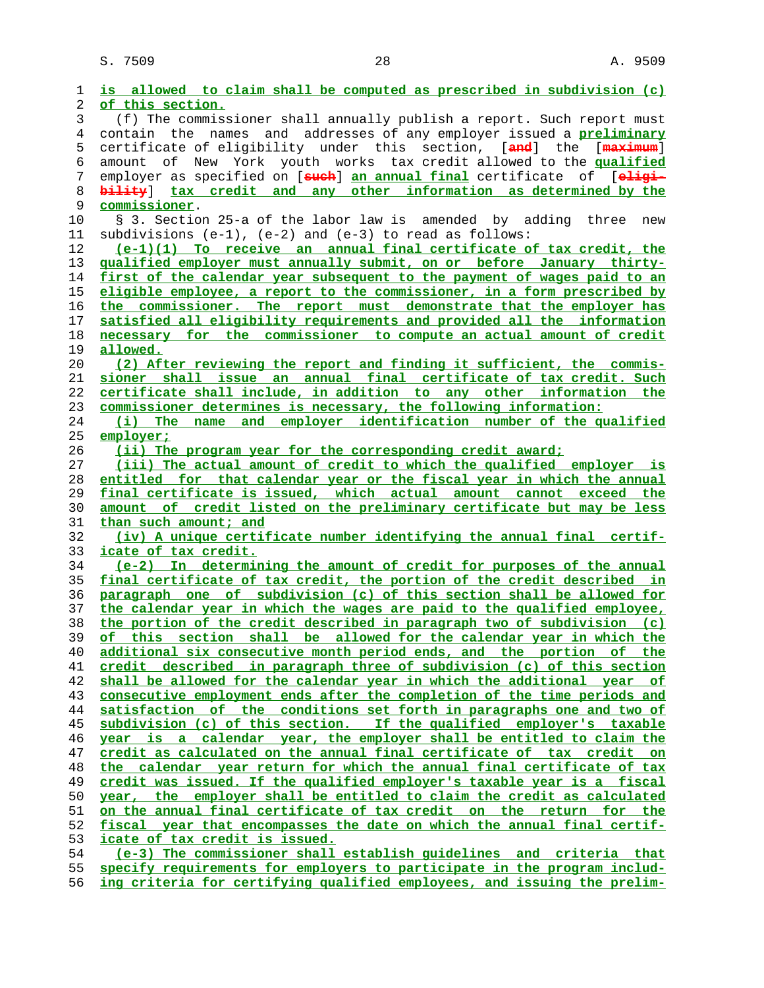S. 7509 28 28 A. 9509

| 1  | is allowed to claim shall be computed as prescribed in subdivision (c)      |
|----|-----------------------------------------------------------------------------|
| 2  | of this section.                                                            |
| 3  | (f) The commissioner shall annually publish a report. Such report must      |
| 4  | contain the names and addresses of any employer issued a <b>preliminary</b> |
| 5  | certificate of eligibility under this section, [and] the [maximum]          |
| 6  | amount of New York youth works tax credit allowed to the <b>qualified</b>   |
| 7  | employer as specified on [oueh] an annual final certificate of [eligi-      |
| 8  | bility] tax credit and any other information as determined by the           |
| 9  | commissioner.                                                               |
| 10 | § 3. Section 25-a of the labor law is amended by adding three<br>new        |
| 11 | subdivisions (e-1), (e-2) and (e-3) to read as follows:                     |
| 12 | (e-1)(1) To receive an annual final certificate of tax credit, the          |
| 13 | qualified employer must annually submit, on or before January thirty-       |
| 14 | first of the calendar year subsequent to the payment of wages paid to an    |
| 15 | eligible employee, a report to the commissioner, in a form prescribed by    |
| 16 | the commissioner. The report must demonstrate that the employer has         |
| 17 | satisfied all eligibility requirements and provided all the information     |
| 18 | necessary for the commissioner to compute an actual amount of credit        |
| 19 | allowed.                                                                    |
| 20 | (2) After reviewing the report and finding it sufficient, the commis-       |
| 21 | sioner shall issue an annual final certificate of tax credit. Such          |
| 22 | certificate shall include, in addition to any other information the         |
| 23 | commissioner determines is necessary, the following information:            |
| 24 | (i) The name and employer identification number of the qualified            |
| 25 | employer;                                                                   |
| 26 | (ii) The program year for the corresponding credit award;                   |
| 27 | (iii) The actual amount of credit to which the qualified employer is        |
| 28 | entitled for that calendar year or the fiscal year in which the annual      |
| 29 | final certificate is issued, which actual amount cannot exceed the          |
| 30 | amount of credit listed on the preliminary certificate but may be less      |
| 31 | than such amount; and                                                       |
| 32 | (iv) A unique certificate number identifying the annual final certif-       |
| 33 | icate of tax credit.                                                        |
| 34 | (e-2) In determining the amount of credit for purposes of the annual        |
| 35 | final certificate of tax credit, the portion of the credit described in     |
| 36 | paragraph one of subdivision (c) of this section shall be allowed for       |
| 37 | the calendar year in which the wages are paid to the qualified employee,    |
| 38 | the portion of the credit described in paragraph two of subdivision (c)     |
|    | 39 of this section shall be allowed for the calendar year in which the      |
| 40 | additional six consecutive month period ends, and the portion of the        |
| 41 | credit described in paragraph three of subdivision (c) of this section      |
| 42 | shall be allowed for the calendar year in which the additional year of      |
| 43 | consecutive employment ends after the completion of the time periods and    |
| 44 | satisfaction of the conditions set forth in paragraphs one and two of       |
| 45 | subdivision (c) of this section. If the qualified employer's taxable        |
| 46 | year is a calendar year, the employer shall be entitled to claim the        |
| 47 | credit as calculated on the annual final certificate of tax credit<br>on    |
| 48 | the calendar year return for which the annual final certificate of tax      |
| 49 | credit was issued. If the qualified employer's taxable year is a fiscal     |
| 50 | year, the employer shall be entitled to claim the credit as calculated      |
| 51 | on the annual final certificate of tax credit on the return for the         |
| 52 | fiscal year that encompasses the date on which the annual final certif-     |
| 53 | icate of tax credit is issued.                                              |
| 54 | (e-3) The commissioner shall establish quidelines and criteria that         |
| 55 | specify requirements for employers to participate in the program includ-    |

**ing criteria for certifying qualified employees, and issuing the prelim-**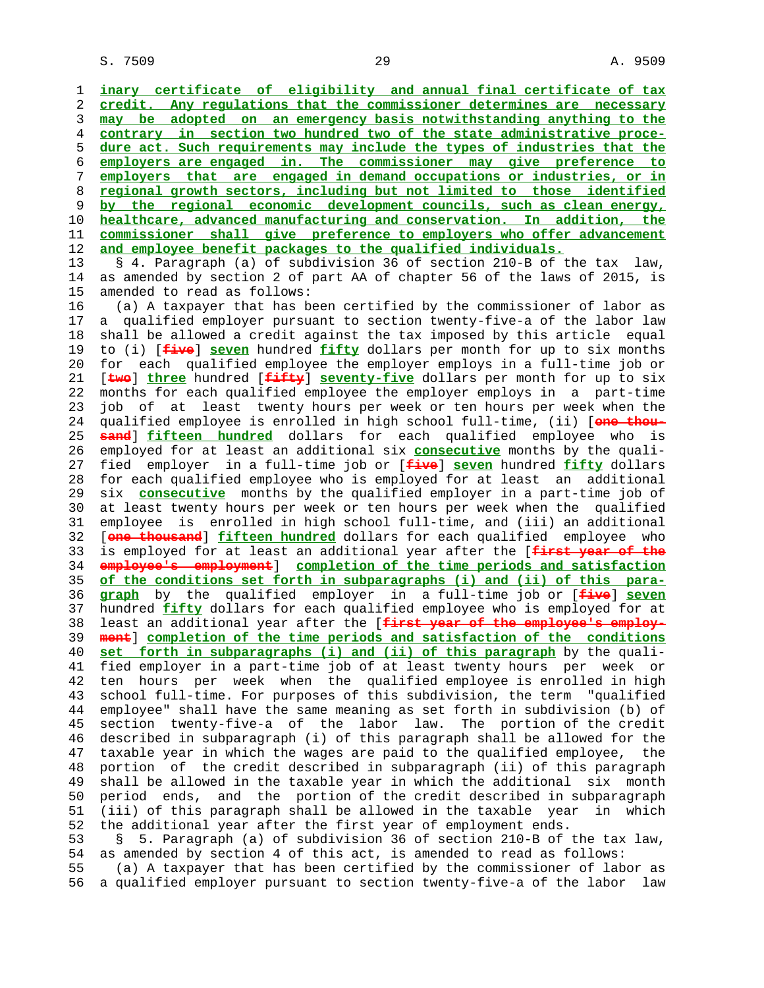1 **inary certificate of eligibility and annual final certificate of tax** 2 **credit. Any regulations that the commissioner determines are necessary** 3 **may be adopted on an emergency basis notwithstanding anything to the** 4 **contrary in section two hundred two of the state administrative proce-** 5 **dure act. Such requirements may include the types of industries that the** 6 **employers are engaged in. The commissioner may give preference to** 7 **employers that are engaged in demand occupations or industries, or in** 8 **regional growth sectors, including but not limited to those identified** 9 **by the regional economic development councils, such as clean energy,** 10 **healthcare, advanced manufacturing and conservation. In addition, the** 11 **commissioner shall give preference to employers who offer advancement** 12 **and employee benefit packages to the qualified individuals.** 13 § 4. Paragraph (a) of subdivision 36 of section 210-B of the tax law, as amended by section 2 of part AA of chapter 56 of the laws of 2015, is 15 amended to read as follows: 16 (a) A taxpayer that has been certified by the commissioner of labor as 17 a qualified employer pursuant to section twenty-five-a of the labor law 18 shall be allowed a credit against the tax imposed by this article equal 19 to (i) [**five**] **seven** hundred **fifty** dollars per month for up to six months 20 for each qualified employee the employer employs in a full-time job or 21 [**two**] **three** hundred [**fifty**] **seventy-five** dollars per month for up to six 22 months for each qualified employee the employer employs in a part-time 23 job of at least twenty hours per week or ten hours per week when the 24 qualified employee is enrolled in high school full-time, (ii) [**one thou-** 25 **sand**] **fifteen hundred** dollars for each qualified employee who is 26 employed for at least an additional six **consecutive** months by the quali- 27 fied employer in a full-time job or [**five**] **seven** hundred **fifty** dollars 28 for each qualified employee who is employed for at least an additional 29 six **consecutive** months by the qualified employer in a part-time job of 30 at least twenty hours per week or ten hours per week when the qualified 31 employee is enrolled in high school full-time, and (iii) an additional 32 [**one thousand**] **fifteen hundred** dollars for each qualified employee who 33 is employed for at least an additional year after the [**first year of the** 34 **employee's employment**] **completion of the time periods and satisfaction** 35 **of the conditions set forth in subparagraphs (i) and (ii) of this para-** 36 **graph** by the qualified employer in a full-time job or [**five**] **seven** 37 hundred **fifty** dollars for each qualified employee who is employed for at 38 least an additional year after the [**first year of the employee's employ-** 39 **ment**] **completion of the time periods and satisfaction of the conditions** 40 **set forth in subparagraphs (i) and (ii) of this paragraph** by the quali- 41 fied employer in a part-time job of at least twenty hours per week or 42 ten hours per week when the qualified employee is enrolled in high 43 school full-time. For purposes of this subdivision, the term "qualified 44 employee" shall have the same meaning as set forth in subdivision (b) of 45 section twenty-five-a of the labor law. The portion of the credit 46 described in subparagraph (i) of this paragraph shall be allowed for the 47 taxable year in which the wages are paid to the qualified employee, the 48 portion of the credit described in subparagraph (ii) of this paragraph 49 shall be allowed in the taxable year in which the additional six month 50 period ends, and the portion of the credit described in subparagraph 51 (iii) of this paragraph shall be allowed in the taxable year in which 52 the additional year after the first year of employment ends. 53 § 5. Paragraph (a) of subdivision 36 of section 210-B of the tax law, 54 as amended by section 4 of this act, is amended to read as follows:

 55 (a) A taxpayer that has been certified by the commissioner of labor as 56 a qualified employer pursuant to section twenty-five-a of the labor law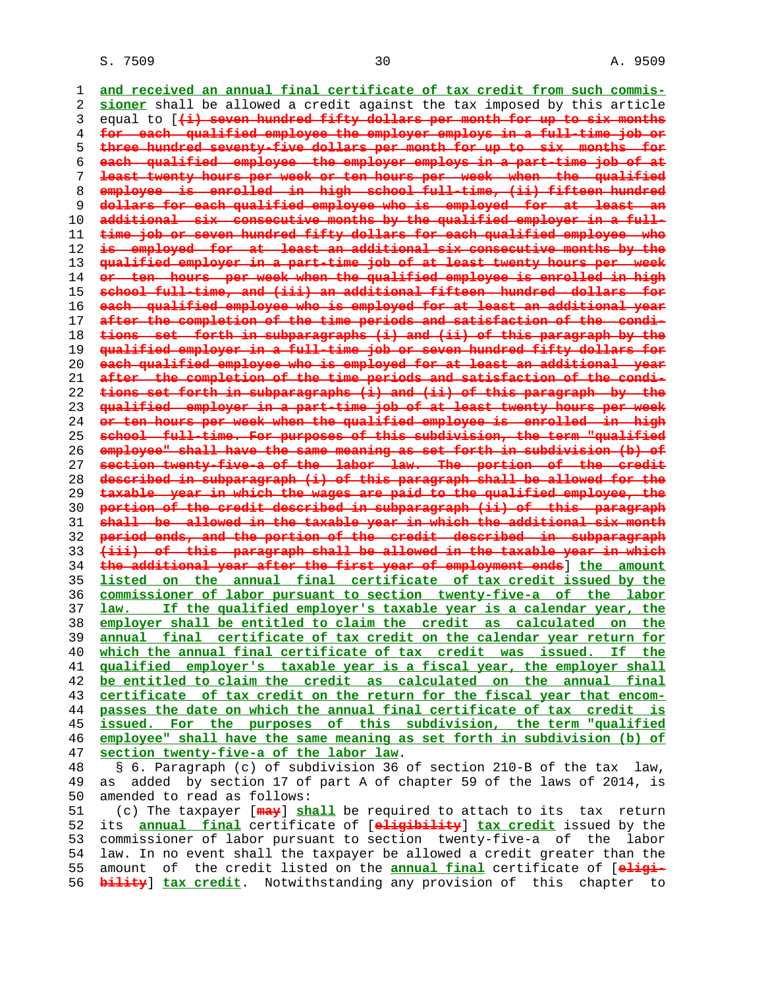**and received an annual final certificate of tax credit from such commis- sioner** shall be allowed a credit against the tax imposed by this article 3 equal to [**(i) seven hundred fifty dollars per month for up to six months for each qualified employee the employer employs in a full-time job or three hundred seventy-five dollars per month for up to six months for each qualified employee the employer employs in a part-time job of at least twenty hours per week or ten hours per week when the qualified employee is enrolled in high school full-time, (ii) fifteen hundred dollars for each qualified employee who is employed for at least an additional six consecutive months by the qualified employer in a full- time job or seven hundred fifty dollars for each qualified employee who is employed for at least an additional six consecutive months by the qualified employer in a part-time job of at least twenty hours per week or ten hours per week when the qualified employee is enrolled in high school full-time, and (iii) an additional fifteen hundred dollars for each qualified employee who is employed for at least an additional year after the completion of the time periods and satisfaction of the condi- tions set forth in subparagraphs (i) and (ii) of this paragraph by the qualified employer in a full-time job or seven hundred fifty dollars for each qualified employee who is employed for at least an additional year after the completion of the time periods and satisfaction of the condi- tions set forth in subparagraphs (i) and (ii) of this paragraph by the qualified employer in a part-time job of at least twenty hours per week or ten hours per week when the qualified employee is enrolled in high school full-time. For purposes of this subdivision, the term "qualified employee" shall have the same meaning as set forth in subdivision (b) of section twenty-five-a of the labor law. The portion of the credit described in subparagraph (i) of this paragraph shall be allowed for the taxable year in which the wages are paid to the qualified employee, the portion of the credit described in subparagraph (ii) of this paragraph shall be allowed in the taxable year in which the additional six month period ends, and the portion of the credit described in subparagraph (iii) of this paragraph shall be allowed in the taxable year in which the additional year after the first year of employment ends**] **the amount listed on the annual final certificate of tax credit issued by the commissioner of labor pursuant to section twenty-five-a of the labor law. If the qualified employer's taxable year is a calendar year, the employer shall be entitled to claim the credit as calculated on the annual final certificate of tax credit on the calendar year return for which the annual final certificate of tax credit was issued. If the qualified employer's taxable year is a fiscal year, the employer shall be entitled to claim the credit as calculated on the annual final certificate of tax credit on the return for the fiscal year that encom- passes the date on which the annual final certificate of tax credit is issued. For the purposes of this subdivision, the term "qualified employee" shall have the same meaning as set forth in subdivision (b) of section twenty-five-a of the labor law**.

 48 § 6. Paragraph (c) of subdivision 36 of section 210-B of the tax law, as added by section 17 of part A of chapter 59 of the laws of 2014, is 50 amended to read as follows:

 51 (c) The taxpayer [**may**] **shall** be required to attach to its tax return 52 its **annual final** certificate of [**eligibility**] **tax credit** issued by the 53 commissioner of labor pursuant to section twenty-five-a of the labor 54 law. In no event shall the taxpayer be allowed a credit greater than the 55 amount of the credit listed on the **annual final** certificate of [**eligi- bility**] **tax credit**. Notwithstanding any provision of this chapter to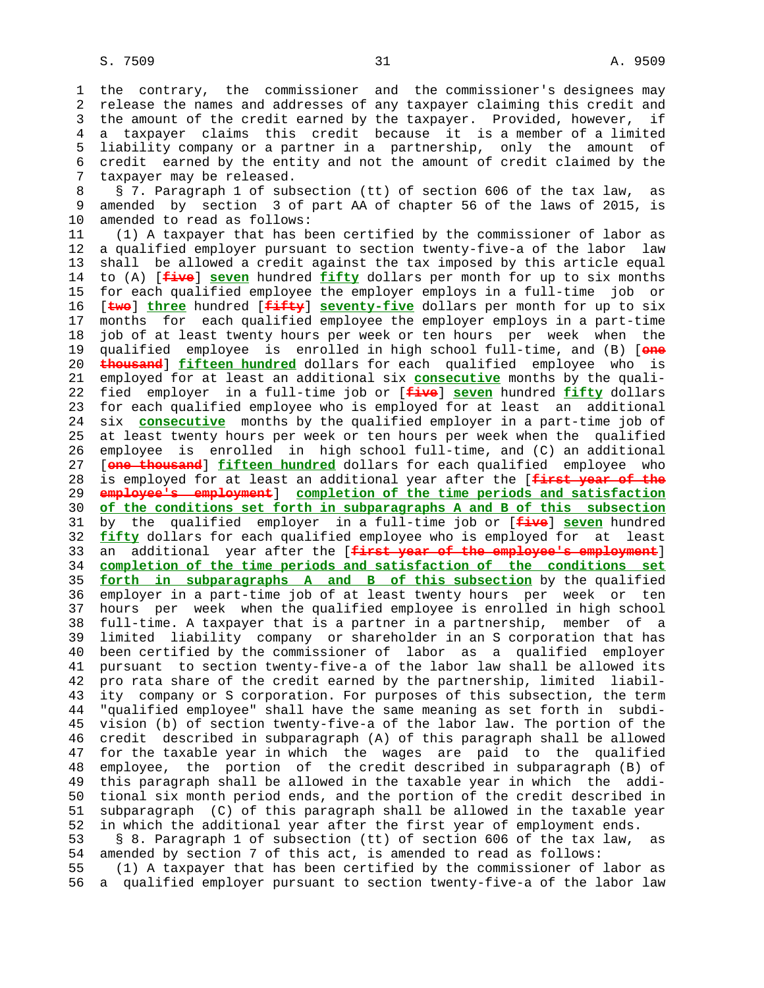1 the contrary, the commissioner and the commissioner's designees may 2 release the names and addresses of any taxpayer claiming this credit and 3 the amount of the credit earned by the taxpayer. Provided, however, if 4 a taxpayer claims this credit because it is a member of a limited 5 liability company or a partner in a partnership, only the amount of 6 credit earned by the entity and not the amount of credit claimed by the 7 taxpayer may be released.

8 § 7. Paragraph 1 of subsection (tt) of section 606 of the tax law, as<br>9 amended by section 3 of part AA of chapter 56 of the laws of 2015, is amended by section 3 of part AA of chapter 56 of the laws of 2015, is 10 amended to read as follows:

 11 (1) A taxpayer that has been certified by the commissioner of labor as 12 a qualified employer pursuant to section twenty-five-a of the labor law 13 shall be allowed a credit against the tax imposed by this article equal 14 to (A) [**five**] **seven** hundred **fifty** dollars per month for up to six months 15 for each qualified employee the employer employs in a full-time job or 16 [**two**] **three** hundred [**fifty**] **seventy-five** dollars per month for up to six 17 months for each qualified employee the employer employs in a part-time 18 job of at least twenty hours per week or ten hours per week when the 19 qualified employee is enrolled in high school full-time, and (B) [**one** 20 **thousand**] **fifteen hundred** dollars for each qualified employee who is 21 employed for at least an additional six **consecutive** months by the quali- 22 fied employer in a full-time job or [**five**] **seven** hundred **fifty** dollars 23 for each qualified employee who is employed for at least an additional 24 six **consecutive** months by the qualified employer in a part-time job of 25 at least twenty hours per week or ten hours per week when the qualified 26 employee is enrolled in high school full-time, and (C) an additional 27 [**one thousand**] **fifteen hundred** dollars for each qualified employee who 28 is employed for at least an additional year after the [**first year of the** 29 **employee's employment**] **completion of the time periods and satisfaction** 30 **of the conditions set forth in subparagraphs A and B of this subsection** 31 by the qualified employer in a full-time job or [**five**] **seven** hundred 32 **fifty** dollars for each qualified employee who is employed for at least 33 an additional year after the [**first year of the employee's employment**] 34 **completion of the time periods and satisfaction of the conditions set** 35 **forth in subparagraphs A and B of this subsection** by the qualified 36 employer in a part-time job of at least twenty hours per week or ten 37 hours per week when the qualified employee is enrolled in high school 38 full-time. A taxpayer that is a partner in a partnership, member of a 39 limited liability company or shareholder in an S corporation that has 40 been certified by the commissioner of labor as a qualified employer 41 pursuant to section twenty-five-a of the labor law shall be allowed its 42 pro rata share of the credit earned by the partnership, limited liabil- 43 ity company or S corporation. For purposes of this subsection, the term 44 "qualified employee" shall have the same meaning as set forth in subdi- 45 vision (b) of section twenty-five-a of the labor law. The portion of the 46 credit described in subparagraph (A) of this paragraph shall be allowed 47 for the taxable year in which the wages are paid to the qualified 48 employee, the portion of the credit described in subparagraph (B) of 49 this paragraph shall be allowed in the taxable year in which the addi- 50 tional six month period ends, and the portion of the credit described in 51 subparagraph (C) of this paragraph shall be allowed in the taxable year 52 in which the additional year after the first year of employment ends. 53 § 8. Paragraph 1 of subsection (tt) of section 606 of the tax law, as 54 amended by section 7 of this act, is amended to read as follows:

 55 (1) A taxpayer that has been certified by the commissioner of labor as 56 a qualified employer pursuant to section twenty-five-a of the labor law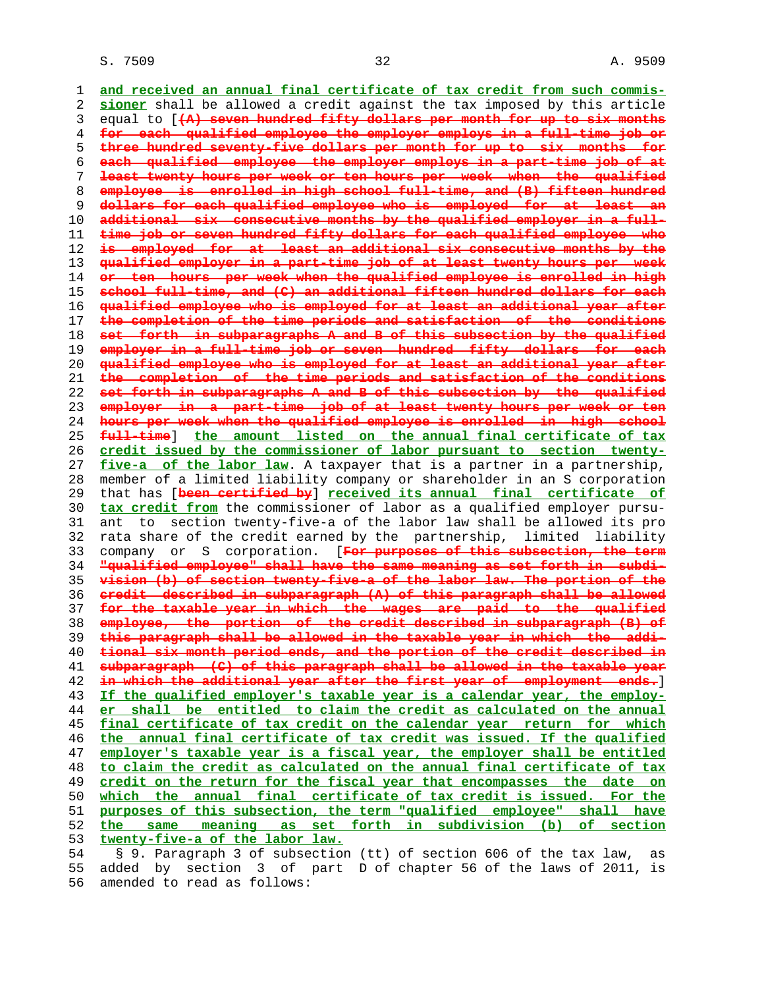**and received an annual final certificate of tax credit from such commis- sioner** shall be allowed a credit against the tax imposed by this article 3 equal to [**(A) seven hundred fifty dollars per month for up to six months for each qualified employee the employer employs in a full-time job or three hundred seventy-five dollars per month for up to six months for each qualified employee the employer employs in a part-time job of at least twenty hours per week or ten hours per week when the qualified employee is enrolled in high school full-time, and (B) fifteen hundred dollars for each qualified employee who is employed for at least an additional six consecutive months by the qualified employer in a full- time job or seven hundred fifty dollars for each qualified employee who is employed for at least an additional six consecutive months by the qualified employer in a part-time job of at least twenty hours per week or ten hours per week when the qualified employee is enrolled in high school full-time, and (C) an additional fifteen hundred dollars for each qualified employee who is employed for at least an additional year after the completion of the time periods and satisfaction of the conditions set forth in subparagraphs A and B of this subsection by the qualified employer in a full-time job or seven hundred fifty dollars for each qualified employee who is employed for at least an additional year after the completion of the time periods and satisfaction of the conditions set forth in subparagraphs A and B of this subsection by the qualified employer in a part-time job of at least twenty hours per week or ten hours per week when the qualified employee is enrolled in high school full-time**] **the amount listed on the annual final certificate of tax credit issued by the commissioner of labor pursuant to section twenty- five-a of the labor law**. A taxpayer that is a partner in a partnership, 28 member of a limited liability company or shareholder in an S corporation 29 that has [**been certified by**] **received its annual final certificate of tax credit from** the commissioner of labor as a qualified employer pursu- 31 ant to section twenty-five-a of the labor law shall be allowed its pro 32 rata share of the credit earned by the partnership, limited liability 33 company or S corporation. [**For purposes of this subsection, the term "qualified employee" shall have the same meaning as set forth in subdi- vision (b) of section twenty-five-a of the labor law. The portion of the credit described in subparagraph (A) of this paragraph shall be allowed for the taxable year in which the wages are paid to the qualified employee, the portion of the credit described in subparagraph (B) of this paragraph shall be allowed in the taxable year in which the addi- tional six month period ends, and the portion of the credit described in subparagraph (C) of this paragraph shall be allowed in the taxable year in which the additional year after the first year of employment ends.**] **If the qualified employer's taxable year is a calendar year, the employ- er shall be entitled to claim the credit as calculated on the annual final certificate of tax credit on the calendar year return for which the annual final certificate of tax credit was issued. If the qualified employer's taxable year is a fiscal year, the employer shall be entitled to claim the credit as calculated on the annual final certificate of tax credit on the return for the fiscal year that encompasses the date on which the annual final certificate of tax credit is issued. For the purposes of this subsection, the term "qualified employee" shall have the same meaning as set forth in subdivision (b) of section twenty-five-a of the labor law.** 54 § 9. Paragraph 3 of subsection (tt) of section 606 of the tax law, as

 55 added by section 3 of part D of chapter 56 of the laws of 2011, is 56 amended to read as follows: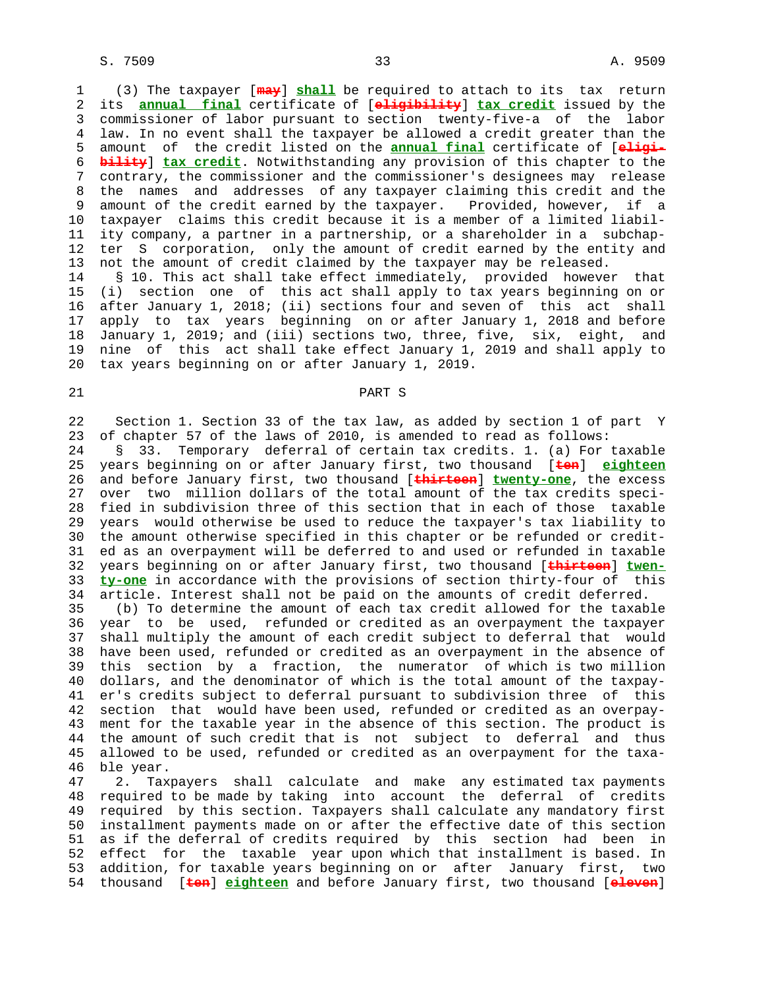1 (3) The taxpayer [**may**] **shall** be required to attach to its tax return 2 its **annual final** certificate of [**eligibility**] **tax credit** issued by the 3 commissioner of labor pursuant to section twenty-five-a of the labor 4 law. In no event shall the taxpayer be allowed a credit greater than the 5 amount of the credit listed on the **annual final** certificate of [**eligi-** 6 **bility**] **tax credit**. Notwithstanding any provision of this chapter to the 7 contrary, the commissioner and the commissioner's designees may release 8 the names and addresses of any taxpayer claiming this credit and the<br>9 amount of the credit earned by the taxpayer. Provided, however, if a amount of the credit earned by the taxpayer. Provided, however, if a 10 taxpayer claims this credit because it is a member of a limited liabil- 11 ity company, a partner in a partnership, or a shareholder in a subchap- 12 ter S corporation, only the amount of credit earned by the entity and 13 not the amount of credit claimed by the taxpayer may be released. 14 § 10. This act shall take effect immediately, provided however that 15 (i) section one of this act shall apply to tax years beginning on or 16 after January 1, 2018; (ii) sections four and seven of this act shall 17 apply to tax years beginning on or after January 1, 2018 and before 18 January 1, 2019; and (iii) sections two, three, five, six, eight, and 19 nine of this act shall take effect January 1, 2019 and shall apply to 20 tax years beginning on or after January 1, 2019.

# 21 PART S

 22 Section 1. Section 33 of the tax law, as added by section 1 of part Y 23 of chapter 57 of the laws of 2010, is amended to read as follows: 24 § 33. Temporary deferral of certain tax credits. 1. (a) For taxable 25 years beginning on or after January first, two thousand [**ten**] **eighteen** 26 and before January first, two thousand [**thirteen**] **twenty-one**, the excess 27 over two million dollars of the total amount of the tax credits speci- 28 fied in subdivision three of this section that in each of those taxable 29 years would otherwise be used to reduce the taxpayer's tax liability to 30 the amount otherwise specified in this chapter or be refunded or credit- 31 ed as an overpayment will be deferred to and used or refunded in taxable 32 years beginning on or after January first, two thousand [**thirteen**] **twen-** 33 **ty-one** in accordance with the provisions of section thirty-four of this 34 article. Interest shall not be paid on the amounts of credit deferred. 35 (b) To determine the amount of each tax credit allowed for the taxable 36 year to be used, refunded or credited as an overpayment the taxpayer 37 shall multiply the amount of each credit subject to deferral that would 38 have been used, refunded or credited as an overpayment in the absence of 39 this section by a fraction, the numerator of which is two million 40 dollars, and the denominator of which is the total amount of the taxpay- 41 er's credits subject to deferral pursuant to subdivision three of this 42 section that would have been used, refunded or credited as an overpay- 43 ment for the taxable year in the absence of this section. The product is 44 the amount of such credit that is not subject to deferral and thus 45 allowed to be used, refunded or credited as an overpayment for the taxa-

46 ble year.<br>47 2. Tax 2. Taxpayers shall calculate and make any estimated tax payments 48 required to be made by taking into account the deferral of credits 49 required by this section. Taxpayers shall calculate any mandatory first 50 installment payments made on or after the effective date of this section 51 as if the deferral of credits required by this section had been in 52 effect for the taxable year upon which that installment is based. In 53 addition, for taxable years beginning on or after January first, two 54 thousand [**ten**] **eighteen** and before January first, two thousand [**eleven**]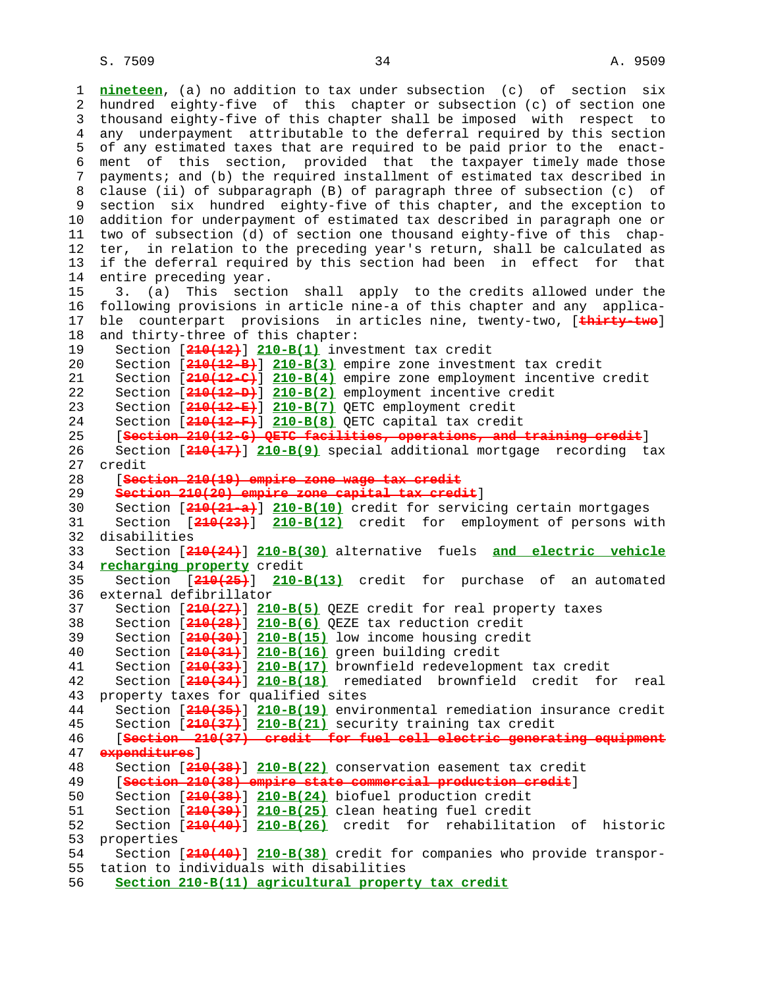$S. 7509$   $34$   $34$   $3.9509$ 

 1 **nineteen**, (a) no addition to tax under subsection (c) of section six 2 hundred eighty-five of this chapter or subsection (c) of section one 3 thousand eighty-five of this chapter shall be imposed with respect to 4 any underpayment attributable to the deferral required by this section 5 of any estimated taxes that are required to be paid prior to the enact- 6 ment of this section, provided that the taxpayer timely made those 7 payments; and (b) the required installment of estimated tax described in 8 clause (ii) of subparagraph (B) of paragraph three of subsection (c) of section six hundred eighty-five of this chapter, and the exception to 10 addition for underpayment of estimated tax described in paragraph one or 11 two of subsection (d) of section one thousand eighty-five of this chap- 12 ter, in relation to the preceding year's return, shall be calculated as 13 if the deferral required by this section had been in effect for that 14 entire preceding year. 15 3. (a) This section shall apply to the credits allowed under the 16 following provisions in article nine-a of this chapter and any applica- 17 ble counterpart provisions in articles nine, twenty-two, [**thirty-two**] 18 and thirty-three of this chapter: 19 Section [**210(12)**] **210-B(1)** investment tax credit 20 Section [**210(12-B)**] **210-B(3)** empire zone investment tax credit 21 Section [**210(12-C)**] **210-B(4)** empire zone employment incentive credit 22 Section [**210(12-D)**] **210-B(2)** employment incentive credit 23 Section [**210(12-E)**] **210-B(7)** QETC employment credit 24 Section [**210(12-F)**] **210-B(8)** QETC capital tax credit 25 [**Section 210(12-G) QETC facilities, operations, and training credit**] 26 Section [**210(17)**] **210-B(9)** special additional mortgage recording tax 27 credit 28 [**Section 210(19) empire zone wage tax credit** 29 **Section 210(20) empire zone capital tax credit**] 30 Section [**210(21-a)**] **210-B(10)** credit for servicing certain mortgages 31 Section [**210(23)**] **210-B(12)** credit for employment of persons with 32 disabilities 33 Section [**210(24)**] **210-B(30)** alternative fuels **and electric vehicle** 34 **recharging property** credit 35 Section [**210(25)**] **210-B(13)** credit for purchase of an automated 36 external defibrillator 37 Section [**210(27)**] **210-B(5)** QEZE credit for real property taxes 38 Section [**210(28)**] **210-B(6)** QEZE tax reduction credit 39 Section [**210(30)**] **210-B(15)** low income housing credit 40 Section [**210(31)**] **210-B(16)** green building credit 41 Section [**210(33)**] **210-B(17)** brownfield redevelopment tax credit 42 Section [**210(34)**] **210-B(18)** remediated brownfield credit for real 43 property taxes for qualified sites 44 Section [**210(35)**] **210-B(19)** environmental remediation insurance credit 45 Section [**210(37)**] **210-B(21)** security training tax credit 46 [**Section 210(37) credit for fuel cell electric generating equipment** 47 **expenditures**] 48 Section [**210(38)**] **210-B(22)** conservation easement tax credit 49 [**Section 210(38) empire state commercial production credit**] 50 Section [**210(38)**] **210-B(24)** biofuel production credit 51 Section [**210(39)**] **210-B(25)** clean heating fuel credit 52 Section [**210(40)**] **210-B(26)** credit for rehabilitation of historic 53 properties 54 Section [**210(40)**] **210-B(38)** credit for companies who provide transpor- 55 tation to individuals with disabilities 56 **Section 210-B(11) agricultural property tax credit**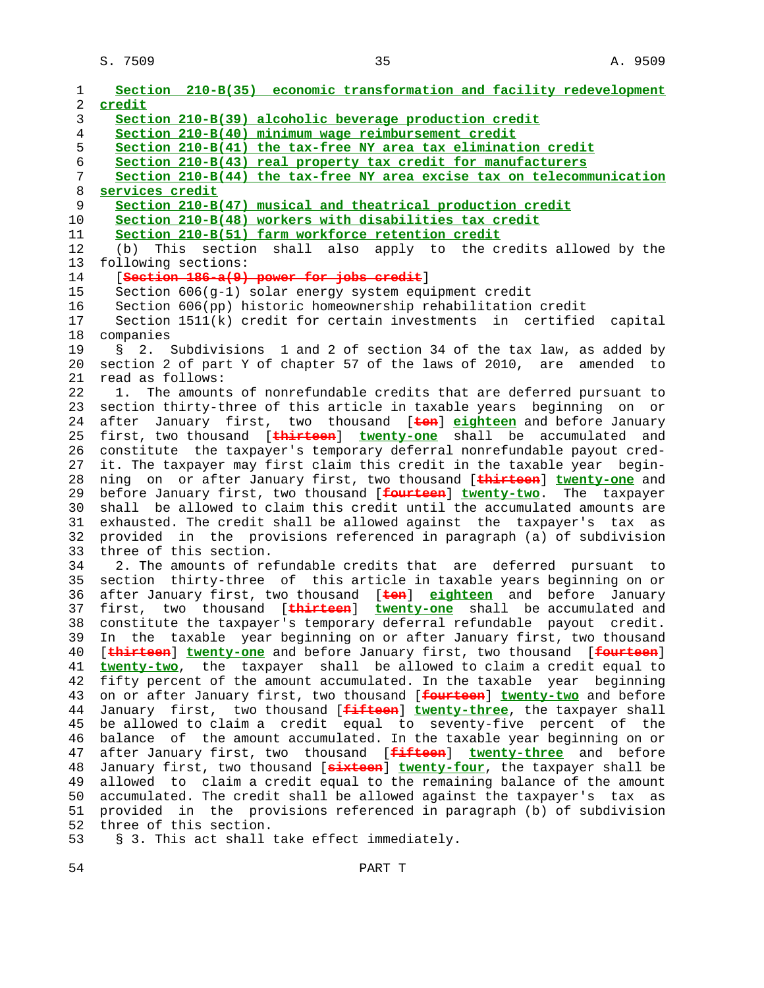| 1              | Section 210-B(35) economic transformation and facility redevelopment                |
|----------------|-------------------------------------------------------------------------------------|
| $\overline{2}$ | credit                                                                              |
| 3              | Section 210-B(39) alcoholic beverage production credit                              |
| $\overline{4}$ | Section 210-B(40) minimum wage reimbursement credit                                 |
| 5              | Section 210-B(41) the tax-free NY area tax elimination credit                       |
| 6              | Section 210-B(43) real property tax credit for manufacturers                        |
|                |                                                                                     |
| $\overline{7}$ | Section 210-B(44) the tax-free NY area excise tax on telecommunication              |
| 8              | services credit                                                                     |
| 9              | Section 210-B(47) musical and theatrical production credit                          |
| 10             | Section 210-B(48) workers with disabilities tax credit                              |
| 11             | Section 210-B(51) farm workforce retention credit                                   |
| 12             | This section<br>shall also apply to the credits allowed by the<br>(b)               |
| 13             | following sections:                                                                 |
| 14             | [Section 186-a(9) power for jobs credit]                                            |
| 15             | Section 606(g-1) solar energy system equipment credit                               |
| 16             | Section 606(pp) historic homeownership rehabilitation credit                        |
| 17             | Section 1511(k) credit for certain investments in certified capital                 |
| 18             | companies                                                                           |
| 19             | § 2. Subdivisions 1 and 2 of section 34 of the tax law, as added by                 |
| 20             | section 2 of part Y of chapter 57 of the laws of 2010, are amended to               |
| 21             | read as follows:                                                                    |
| 22             | 1.<br>The amounts of nonrefundable credits that are deferred pursuant to            |
| 23             | section thirty-three of this article in taxable years beginning on or               |
| 24             | after January first, two thousand [ten] eighteen and before January                 |
| 25             | first, two thousand [thirteen] twenty-one shall be accumulated and                  |
| 26             | constitute the taxpayer's temporary deferral nonrefundable payout cred-             |
| 27             | it. The taxpayer may first claim this credit in the taxable year begin-             |
| 28             | ning on or after January first, two thousand [thirteen] twenty-one and              |
| 29             | before January first, two thousand [fourteen] twenty-two. The taxpayer              |
| 30             | shall be allowed to claim this credit until the accumulated amounts are             |
| 31             | exhausted. The credit shall be allowed against the taxpayer's tax as                |
| 32             | provided in the provisions referenced in paragraph (a) of subdivision               |
| 33             | three of this section.                                                              |
| 34             | 2. The amounts of refundable credits that are deferred pursuant to                  |
| 35             | section thirty-three of this article in taxable years beginning on or               |
| 36             | after January first, two thousand [ten] eighteen and before January                 |
| 37             | first, two thousand [thirteen] twenty-one shall be accumulated and                  |
| 38             | constitute the taxpayer's temporary deferral refundable payout credit.              |
| 39             | In the taxable year beginning on or after January first, two thousand               |
| 40             | [thirteen] twenty-one and before January first, two thousand [fourteen]             |
| 41             | twenty-two, the taxpayer shall be allowed to claim a credit equal to                |
| 42             | fifty percent of the amount accumulated. In the taxable year beginning              |
| 43             | on or after January first, two thousand [fourteen] twenty-two and before            |
| 44             | January first, two thousand [ <del>fifteen</del> ] twenty-three, the taxpayer shall |
| 45             | be allowed to claim a credit equal to seventy-five percent of the                   |
| 46             | balance of the amount accumulated. In the taxable year beginning on or              |
| 47             | after January first, two thousand [ <i>fifteen]</i> twenty-three and before         |
| 48             | January first, two thousand [sixteen] twenty-four, the taxpayer shall be            |
| 49             | allowed to claim a credit equal to the remaining balance of the amount              |
| 50             | accumulated. The credit shall be allowed against the taxpayer's tax as              |
| 51             | provided in the provisions referenced in paragraph (b) of subdivision               |
| 52             | three of this section.                                                              |
| 53             | § 3. This act shall take effect immediately.                                        |
|                |                                                                                     |

54 PART T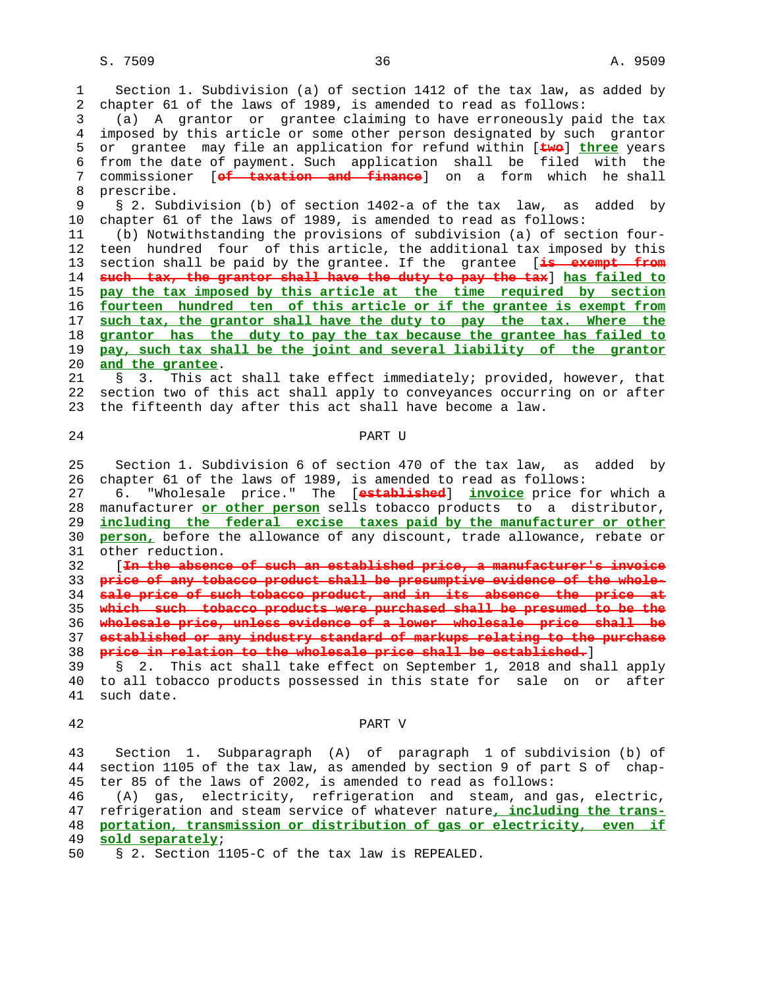$S. 7509$   $36$   $A. 9509$ 

 1 Section 1. Subdivision (a) of section 1412 of the tax law, as added by 2 chapter 61 of the laws of 1989, is amended to read as follows: 3 (a) A grantor or grantee claiming to have erroneously paid the tax 4 imposed by this article or some other person designated by such grantor 5 or grantee may file an application for refund within [**two**] **three** years 6 from the date of payment. Such application shall be filed with the 7 commissioner [**of taxation and finance**] on a form which he shall 8 prescribe.<br>9 \$ 2. Sub § 2. Subdivision (b) of section 1402-a of the tax law, as added by 10 chapter 61 of the laws of 1989, is amended to read as follows: 11 (b) Notwithstanding the provisions of subdivision (a) of section four- 12 teen hundred four of this article, the additional tax imposed by this 13 section shall be paid by the grantee. If the grantee [**is exempt from** 14 **such tax, the grantor shall have the duty to pay the tax**] **has failed to** 15 **pay the tax imposed by this article at the time required by section** 16 **fourteen hundred ten of this article or if the grantee is exempt from** 17 **such tax, the grantor shall have the duty to pay the tax. Where the** 18 **grantor has the duty to pay the tax because the grantee has failed to** 19 **pay, such tax shall be the joint and several liability of the grantor** 20 **and the grantee**. 21 § 3. This act shall take effect immediately; provided, however, that 22 section two of this act shall apply to conveyances occurring on or after 23 the fifteenth day after this act shall have become a law.

24 PART U

 25 Section 1. Subdivision 6 of section 470 of the tax law, as added by 26 chapter 61 of the laws of 1989, is amended to read as follows:

 27 6. "Wholesale price." The [**established**] **invoice** price for which a 28 manufacturer **or other person** sells tobacco products to a distributor, 29 **including the federal excise taxes paid by the manufacturer or other** 30 **person,** before the allowance of any discount, trade allowance, rebate or 31 other reduction.

 32 [**In the absence of such an established price, a manufacturer's invoice price of any tobacco product shall be presumptive evidence of the whole- sale price of such tobacco product, and in its absence the price at which such tobacco products were purchased shall be presumed to be the wholesale price, unless evidence of a lower wholesale price shall be established or any industry standard of markups relating to the purchase**

 38 **price in relation to the wholesale price shall be established.**] 39 § 2. This act shall take effect on September 1, 2018 and shall apply

 40 to all tobacco products possessed in this state for sale on or after 41 such date.

# 42 PART V

 43 Section 1. Subparagraph (A) of paragraph 1 of subdivision (b) of 44 section 1105 of the tax law, as amended by section 9 of part S of chap- 45 ter 85 of the laws of 2002, is amended to read as follows:

 46 (A) gas, electricity, refrigeration and steam, and gas, electric, 47 refrigeration and steam service of whatever nature**, including the trans-** 48 **portation, transmission or distribution of gas or electricity, even if** 49 **sold separately**;

50 § 2. Section 1105-C of the tax law is REPEALED.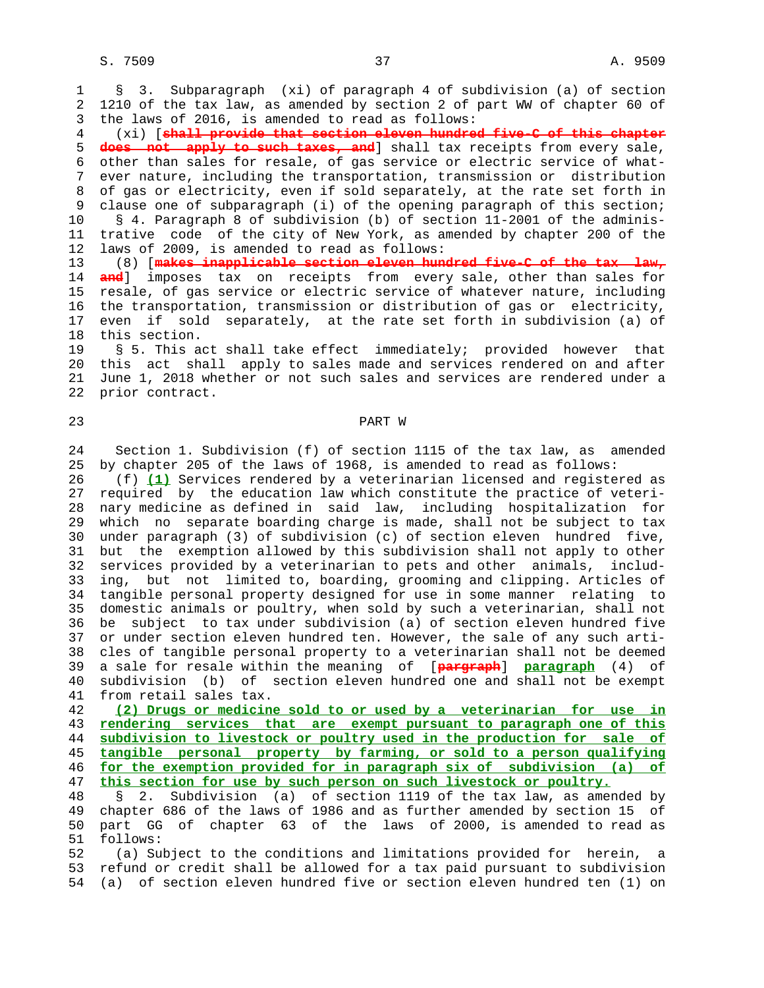1 § 3. Subparagraph (xi) of paragraph 4 of subdivision (a) of section 2 1210 of the tax law, as amended by section 2 of part WW of chapter 60 of 3 the laws of 2016, is amended to read as follows:

 4 (xi) [**shall provide that section eleven hundred five-C of this chapter** 5 **does not apply to such taxes, and**] shall tax receipts from every sale, 6 other than sales for resale, of gas service or electric service of what- 7 ever nature, including the transportation, transmission or distribution 8 of gas or electricity, even if sold separately, at the rate set forth in<br>9 clause one of subparagraph (i) of the opening paragraph of this section; clause one of subparagraph (i) of the opening paragraph of this section; 10 § 4. Paragraph 8 of subdivision (b) of section 11-2001 of the adminis- 11 trative code of the city of New York, as amended by chapter 200 of the 12 laws of 2009, is amended to read as follows:

 13 (8) [**makes inapplicable section eleven hundred five-C of the tax law,** 14 **and**] imposes tax on receipts from every sale, other than sales for 15 resale, of gas service or electric service of whatever nature, including 16 the transportation, transmission or distribution of gas or electricity, 17 even if sold separately, at the rate set forth in subdivision (a) of 18 this section.

 19 § 5. This act shall take effect immediately; provided however that 20 this act shall apply to sales made and services rendered on and after 21 June 1, 2018 whether or not such sales and services are rendered under a 22 prior contract.

# 23 PART W

 24 Section 1. Subdivision (f) of section 1115 of the tax law, as amended 25 by chapter 205 of the laws of 1968, is amended to read as follows:

 26 (f) **(1)** Services rendered by a veterinarian licensed and registered as 27 required by the education law which constitute the practice of veteri- 28 nary medicine as defined in said law, including hospitalization for 29 which no separate boarding charge is made, shall not be subject to tax 30 under paragraph (3) of subdivision (c) of section eleven hundred five, 31 but the exemption allowed by this subdivision shall not apply to other 32 services provided by a veterinarian to pets and other animals, includ- 33 ing, but not limited to, boarding, grooming and clipping. Articles of 34 tangible personal property designed for use in some manner relating to 35 domestic animals or poultry, when sold by such a veterinarian, shall not 36 be subject to tax under subdivision (a) of section eleven hundred five 37 or under section eleven hundred ten. However, the sale of any such arti- 38 cles of tangible personal property to a veterinarian shall not be deemed 39 a sale for resale within the meaning of [**pargraph**] **paragraph** (4) of 40 subdivision (b) of section eleven hundred one and shall not be exempt 41 from retail sales tax.

**(2) Drugs or medicine sold to or used by a veterinarian for use in rendering services that are exempt pursuant to paragraph one of this subdivision to livestock or poultry used in the production for sale of tangible personal property by farming, or sold to a person qualifying for the exemption provided for in paragraph six of subdivision (a) of this section for use by such person on such livestock or poultry.**

 48 § 2. Subdivision (a) of section 1119 of the tax law, as amended by 49 chapter 686 of the laws of 1986 and as further amended by section 15 of 50 part GG of chapter 63 of the laws of 2000, is amended to read as 51 follows:

 52 (a) Subject to the conditions and limitations provided for herein, a 53 refund or credit shall be allowed for a tax paid pursuant to subdivision 54 (a) of section eleven hundred five or section eleven hundred ten (1) on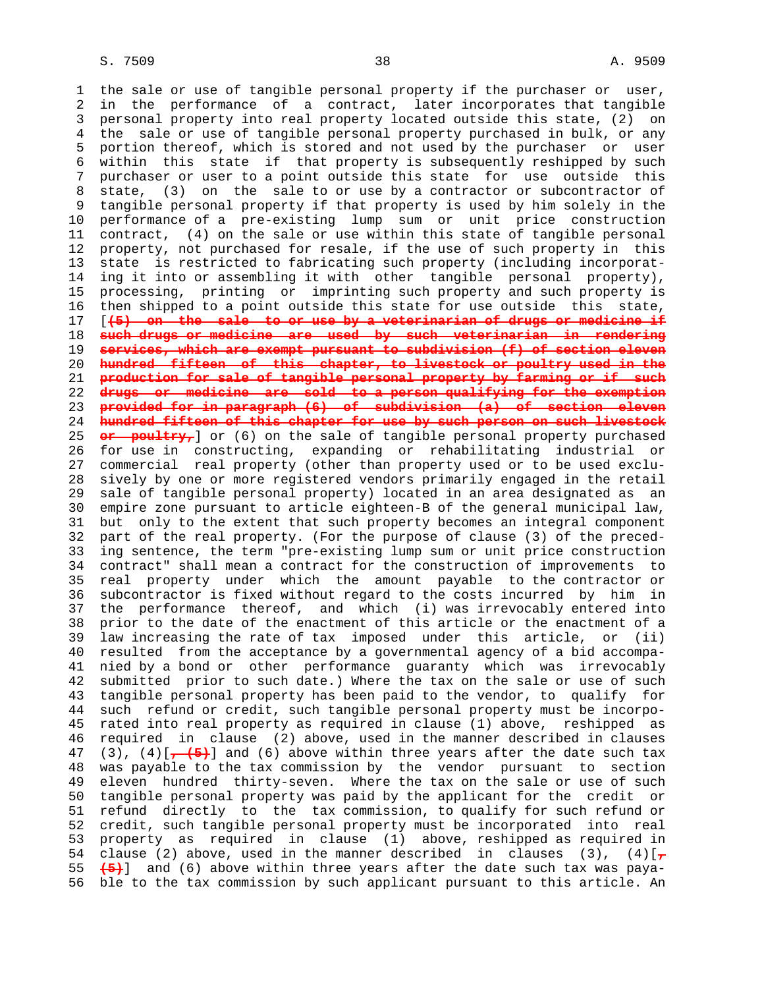1 the sale or use of tangible personal property if the purchaser or user, 2 in the performance of a contract, later incorporates that tangible 3 personal property into real property located outside this state, (2) on 4 the sale or use of tangible personal property purchased in bulk, or any 5 portion thereof, which is stored and not used by the purchaser or user 6 within this state if that property is subsequently reshipped by such 7 purchaser or user to a point outside this state for use outside this 8 state, (3) on the sale to or use by a contractor or subcontractor of<br>9 tangible personal property if that property is used by him solely in the tangible personal property if that property is used by him solely in the 10 performance of a pre-existing lump sum or unit price construction 11 contract, (4) on the sale or use within this state of tangible personal 12 property, not purchased for resale, if the use of such property in this 13 state is restricted to fabricating such property (including incorporat- 14 ing it into or assembling it with other tangible personal property), 15 processing, printing or imprinting such property and such property is 16 then shipped to a point outside this state for use outside this state, 17 [**(5) on the sale to or use by a veterinarian of drugs or medicine if** 18 **such drugs or medicine are used by such veterinarian in rendering** 19 **services, which are exempt pursuant to subdivision (f) of section eleven** 20 **hundred fifteen of this chapter, to livestock or poultry used in the** 21 **production for sale of tangible personal property by farming or if such** 22 **drugs or medicine are sold to a person qualifying for the exemption** 23 **provided for in paragraph (6) of subdivision (a) of section eleven** 24 **hundred fifteen of this chapter for use by such person on such livestock** 25 **or poultry,**] or (6) on the sale of tangible personal property purchased 26 for use in constructing, expanding or rehabilitating industrial or 27 commercial real property (other than property used or to be used exclu- 28 sively by one or more registered vendors primarily engaged in the retail 29 sale of tangible personal property) located in an area designated as an 30 empire zone pursuant to article eighteen-B of the general municipal law, 31 but only to the extent that such property becomes an integral component 32 part of the real property. (For the purpose of clause (3) of the preced- 33 ing sentence, the term "pre-existing lump sum or unit price construction 34 contract" shall mean a contract for the construction of improvements to 35 real property under which the amount payable to the contractor or 36 subcontractor is fixed without regard to the costs incurred by him in 37 the performance thereof, and which (i) was irrevocably entered into 38 prior to the date of the enactment of this article or the enactment of a 39 law increasing the rate of tax imposed under this article, or (ii) 40 resulted from the acceptance by a governmental agency of a bid accompa- 41 nied by a bond or other performance guaranty which was irrevocably 42 submitted prior to such date.) Where the tax on the sale or use of such 43 tangible personal property has been paid to the vendor, to qualify for 44 such refund or credit, such tangible personal property must be incorpo- 45 rated into real property as required in clause (1) above, reshipped as 46 required in clause (2) above, used in the manner described in clauses 47  $(3)$ ,  $(4)[$  $\rightarrow$   $(5)$ ] and  $(6)$  above within three years after the date such tax 48 was payable to the tax commission by the vendor pursuant to section 49 eleven hundred thirty-seven. Where the tax on the sale or use of such 50 tangible personal property was paid by the applicant for the credit or 51 refund directly to the tax commission, to qualify for such refund or 52 credit, such tangible personal property must be incorporated into real 53 property as required in clause (1) above, reshipped as required in 54 clause (2) above, used in the manner described in clauses (3), (4)[**,** 55 **(5)**] and (6) above within three years after the date such tax was paya- 56 ble to the tax commission by such applicant pursuant to this article. An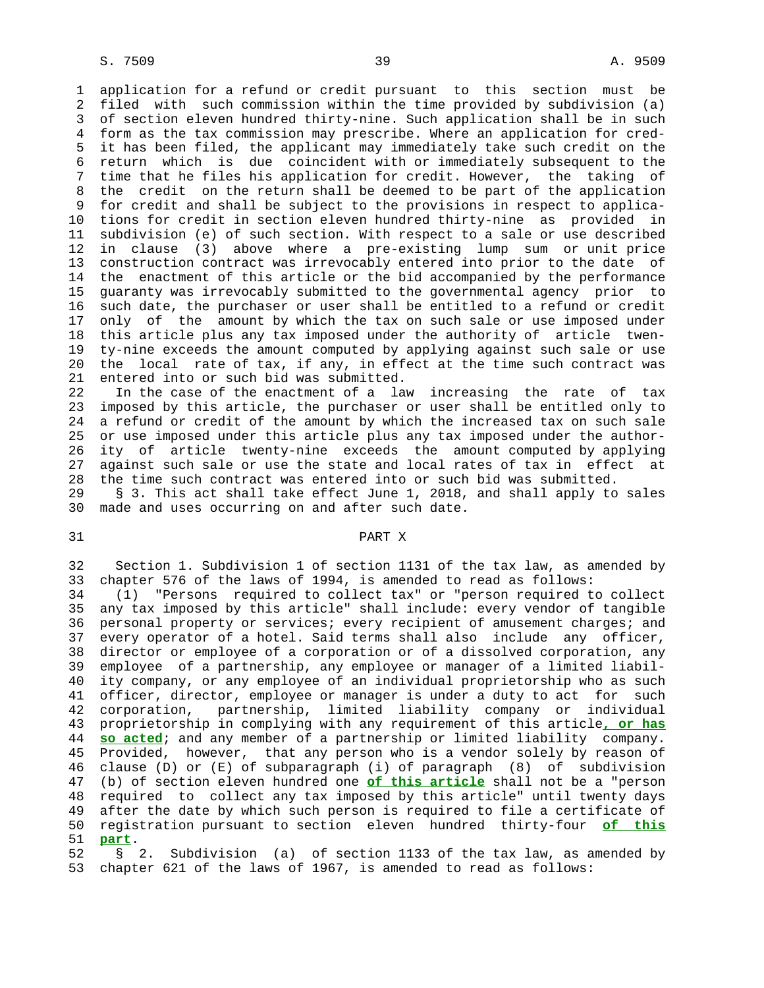1 application for a refund or credit pursuant to this section must be 2 filed with such commission within the time provided by subdivision (a) 3 of section eleven hundred thirty-nine. Such application shall be in such 4 form as the tax commission may prescribe. Where an application for cred- 5 it has been filed, the applicant may immediately take such credit on the 6 return which is due coincident with or immediately subsequent to the 7 time that he files his application for credit. However, the taking of 8 the credit on the return shall be deemed to be part of the application 9 for credit and shall be subject to the provisions in respect to applica- 10 tions for credit in section eleven hundred thirty-nine as provided in 11 subdivision (e) of such section. With respect to a sale or use described 12 in clause (3) above where a pre-existing lump sum or unit price 13 construction contract was irrevocably entered into prior to the date of 14 the enactment of this article or the bid accompanied by the performance 15 guaranty was irrevocably submitted to the governmental agency prior to 16 such date, the purchaser or user shall be entitled to a refund or credit 17 only of the amount by which the tax on such sale or use imposed under 18 this article plus any tax imposed under the authority of article twen- 19 ty-nine exceeds the amount computed by applying against such sale or use 20 the local rate of tax, if any, in effect at the time such contract was 21 entered into or such bid was submitted.

 22 In the case of the enactment of a law increasing the rate of tax 23 imposed by this article, the purchaser or user shall be entitled only to 24 a refund or credit of the amount by which the increased tax on such sale 25 or use imposed under this article plus any tax imposed under the author- 26 ity of article twenty-nine exceeds the amount computed by applying 27 against such sale or use the state and local rates of tax in effect at 28 the time such contract was entered into or such bid was submitted.

 29 § 3. This act shall take effect June 1, 2018, and shall apply to sales 30 made and uses occurring on and after such date.

## 31 PART X

 32 Section 1. Subdivision 1 of section 1131 of the tax law, as amended by 33 chapter 576 of the laws of 1994, is amended to read as follows:

 34 (1) "Persons required to collect tax" or "person required to collect 35 any tax imposed by this article" shall include: every vendor of tangible 36 personal property or services; every recipient of amusement charges; and 37 every operator of a hotel. Said terms shall also include any officer, 38 director or employee of a corporation or of a dissolved corporation, any 39 employee of a partnership, any employee or manager of a limited liabil- 40 ity company, or any employee of an individual proprietorship who as such 41 officer, director, employee or manager is under a duty to act for such 42 corporation, partnership, limited liability company or individual 43 proprietorship in complying with any requirement of this article**, or has** 44 **so acted**; and any member of a partnership or limited liability company. 45 Provided, however, that any person who is a vendor solely by reason of 46 clause (D) or (E) of subparagraph (i) of paragraph (8) of subdivision 47 (b) of section eleven hundred one **of this article** shall not be a "person 48 required to collect any tax imposed by this article" until twenty days 49 after the date by which such person is required to file a certificate of 50 registration pursuant to section eleven hundred thirty-four **of this** 51 **part**.

 52 § 2. Subdivision (a) of section 1133 of the tax law, as amended by 53 chapter 621 of the laws of 1967, is amended to read as follows: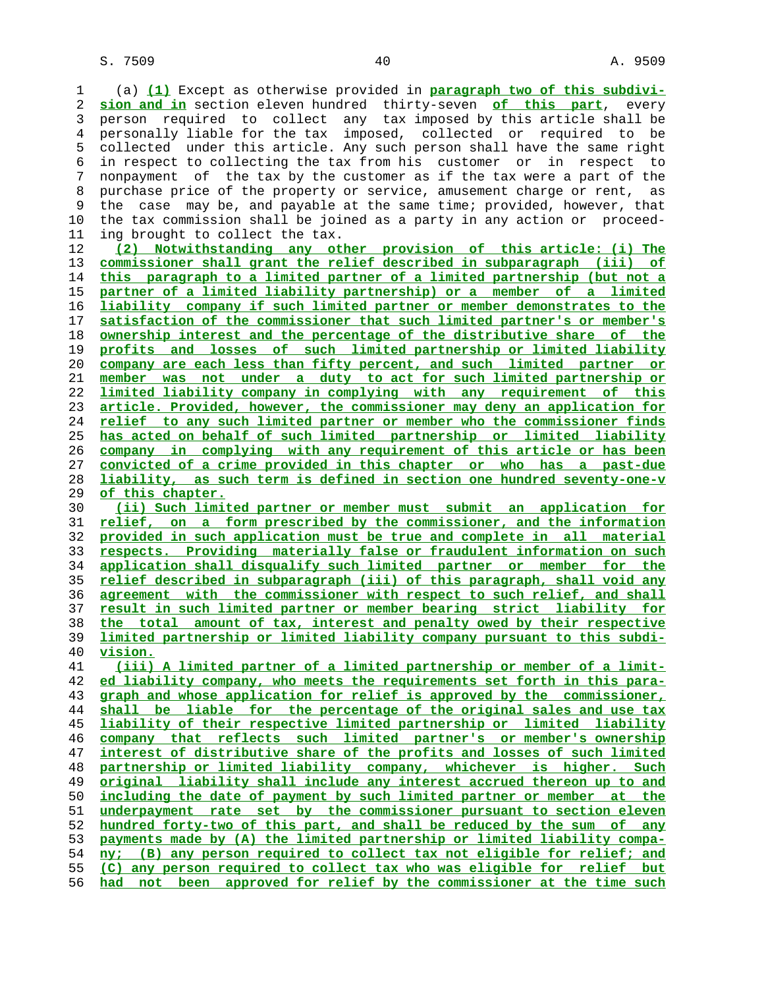1 (a) **(1)** Except as otherwise provided in **paragraph two of this subdivi- sion and in** section eleven hundred thirty-seven **of this part**, every 3 person required to collect any tax imposed by this article shall be 4 personally liable for the tax imposed, collected or required to be 5 collected under this article. Any such person shall have the same right 6 in respect to collecting the tax from his customer or in respect to 7 nonpayment of the tax by the customer as if the tax were a part of the 8 purchase price of the property or service, amusement charge or rent, as 9 the case may be, and payable at the same time; provided, however, that 10 the tax commission shall be joined as a party in any action or proceed- 11 ing brought to collect the tax. **(2) Notwithstanding any other provision of this article: (i) The commissioner shall grant the relief described in subparagraph (iii) of this paragraph to a limited partner of a limited partnership (but not a partner of a limited liability partnership) or a member of a limited liability company if such limited partner or member demonstrates to the satisfaction of the commissioner that such limited partner's or member's ownership interest and the percentage of the distributive share of the profits and losses of such limited partnership or limited liability company are each less than fifty percent, and such limited partner or member was not under a duty to act for such limited partnership or limited liability company in complying with any requirement of this article. Provided, however, the commissioner may deny an application for relief to any such limited partner or member who the commissioner finds has acted on behalf of such limited partnership or limited liability company in complying with any requirement of this article or has been convicted of a crime provided in this chapter or who has a past-due liability, as such term is defined in section one hundred seventy-one-v of this chapter. (ii) Such limited partner or member must submit an application for relief, on a form prescribed by the commissioner, and the information provided in such application must be true and complete in all material respects. Providing materially false or fraudulent information on such application shall disqualify such limited partner or member for the relief described in subparagraph (iii) of this paragraph, shall void any agreement with the commissioner with respect to such relief, and shall result in such limited partner or member bearing strict liability for the total amount of tax, interest and penalty owed by their respective limited partnership or limited liability company pursuant to this subdi- vision. (iii) A limited partner of a limited partnership or member of a limit- ed liability company, who meets the requirements set forth in this para- graph and whose application for relief is approved by the commissioner, shall be liable for the percentage of the original sales and use tax liability of their respective limited partnership or limited liability company that reflects such limited partner's or member's ownership interest of distributive share of the profits and losses of such limited partnership or limited liability company, whichever is higher. Such original liability shall include any interest accrued thereon up to and including the date of payment by such limited partner or member at the underpayment rate set by the commissioner pursuant to section eleven hundred forty-two of this part, and shall be reduced by the sum of any payments made by (A) the limited partnership or limited liability compa- ny; (B) any person required to collect tax not eligible for relief; and (C) any person required to collect tax who was eligible for relief but had not been approved for relief by the commissioner at the time such**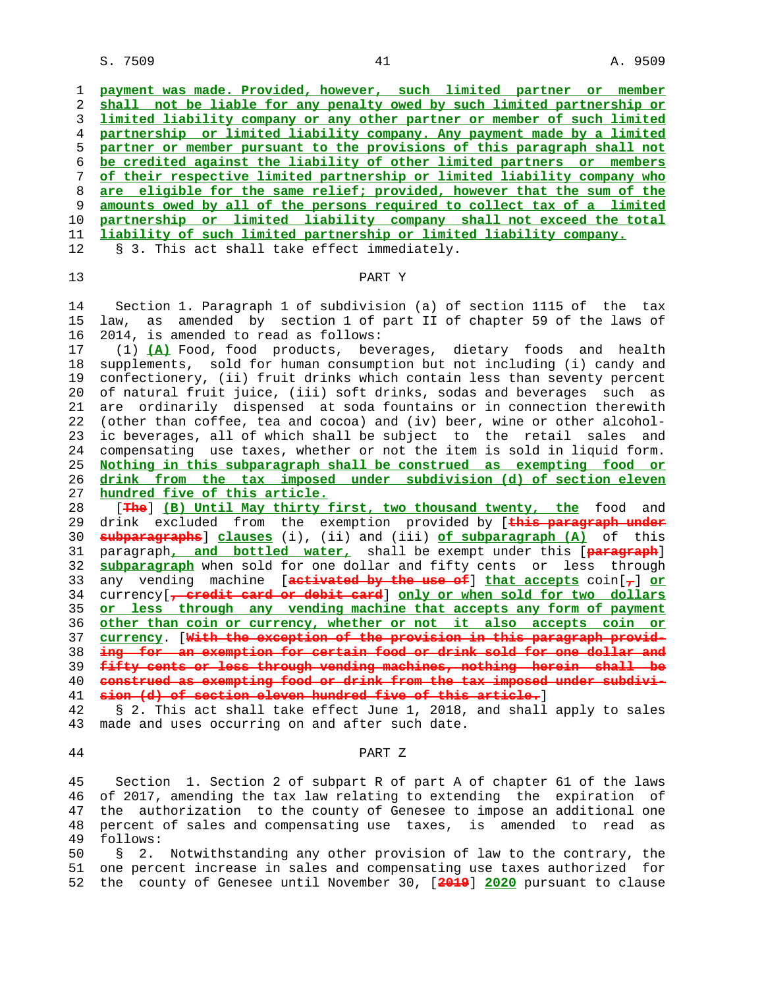$S. 7509$  and  $41$  and  $41$  and  $41$  and  $41$  and  $41$  and  $41$  and  $41$  and  $41$  and  $41$  and  $41$  and  $41$  and  $41$  and  $41$  and  $41$  and  $41$  and  $41$  and  $41$  and  $41$  and  $41$  and  $41$  and  $41$  and  $41$  and  $41$  and

**payment was made. Provided, however, such limited partner or member shall not be liable for any penalty owed by such limited partnership or limited liability company or any other partner or member of such limited partnership or limited liability company. Any payment made by a limited partner or member pursuant to the provisions of this paragraph shall not be credited against the liability of other limited partners or members of their respective limited partnership or limited liability company who are eligible for the same relief; provided, however that the sum of the amounts owed by all of the persons required to collect tax of a limited partnership or limited liability company shall not exceed the total liability of such limited partnership or limited liability company.**

12 § 3. This act shall take effect immediately.

# 13 PART Y

 14 Section 1. Paragraph 1 of subdivision (a) of section 1115 of the tax 15 law, as amended by section 1 of part II of chapter 59 of the laws of 16 2014, is amended to read as follows:

 17 (1) **(A)** Food, food products, beverages, dietary foods and health 18 supplements, sold for human consumption but not including (i) candy and 19 confectionery, (ii) fruit drinks which contain less than seventy percent 20 of natural fruit juice, (iii) soft drinks, sodas and beverages such as 21 are ordinarily dispensed at soda fountains or in connection therewith 22 (other than coffee, tea and cocoa) and (iv) beer, wine or other alcohol- 23 ic beverages, all of which shall be subject to the retail sales and 24 compensating use taxes, whether or not the item is sold in liquid form. 25 **Nothing in this subparagraph shall be construed as exempting food or** 26 **drink from the tax imposed under subdivision (d) of section eleven** 27 **hundred five of this article.**

 28 [**The**] **(B) Until May thirty first, two thousand twenty, the** food and 29 drink excluded from the exemption provided by [**this paragraph under subparagraphs**] **clauses** (i), (ii) and (iii) **of subparagraph (A)** of this 31 paragraph**, and bottled water,** shall be exempt under this [**paragraph**] **subparagraph** when sold for one dollar and fifty cents or less through 33 any vending machine [**activated by the use of**] **that accepts** coin[**,**] **or** 34 currency[**, credit card or debit card**] **only or when sold for two dollars or less through any vending machine that accepts any form of payment other than coin or currency, whether or not it also accepts coin or currency**. [**With the exception of the provision in this paragraph provid- ing for an exemption for certain food or drink sold for one dollar and fifty cents or less through vending machines, nothing herein shall be construed as exempting food or drink from the tax imposed under subdivi- sion (d) of section eleven hundred five of this article.**]

 42 § 2. This act shall take effect June 1, 2018, and shall apply to sales 43 made and uses occurring on and after such date.

### 44 PART Z

 45 Section 1. Section 2 of subpart R of part A of chapter 61 of the laws 46 of 2017, amending the tax law relating to extending the expiration of 47 the authorization to the county of Genesee to impose an additional one 48 percent of sales and compensating use taxes, is amended to read as 49 follows:

 50 § 2. Notwithstanding any other provision of law to the contrary, the 51 one percent increase in sales and compensating use taxes authorized for 52 the county of Genesee until November 30, [**2019**] **2020** pursuant to clause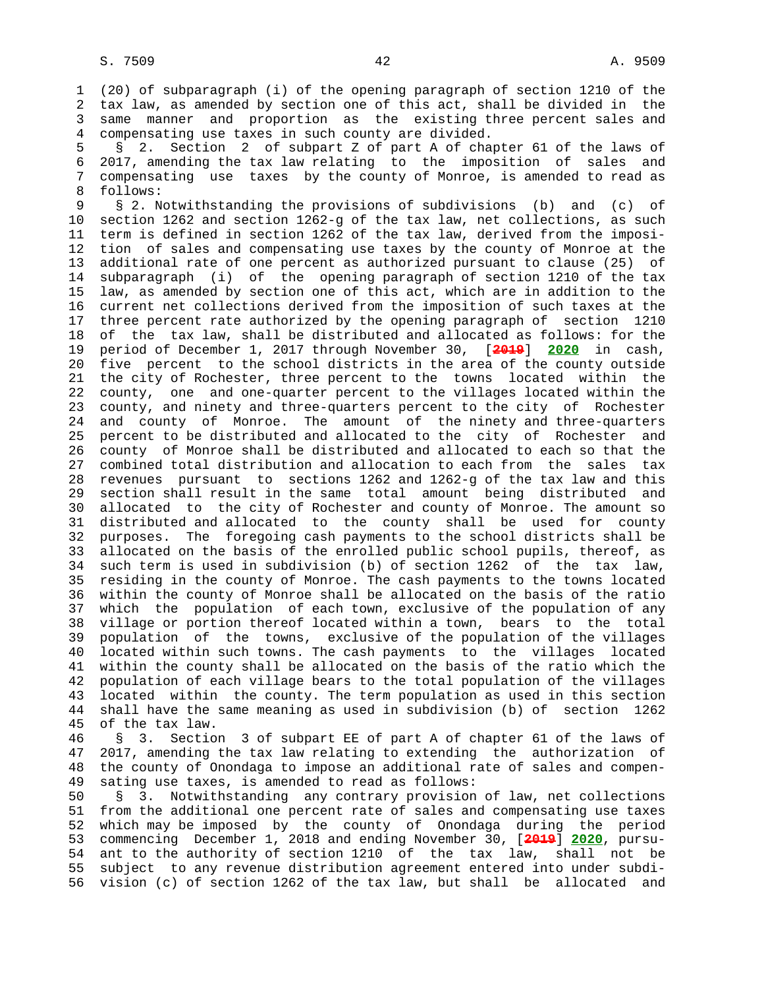1 (20) of subparagraph (i) of the opening paragraph of section 1210 of the 2 tax law, as amended by section one of this act, shall be divided in the 3 same manner and proportion as the existing three percent sales and 4 compensating use taxes in such county are divided.

 5 § 2. Section 2 of subpart Z of part A of chapter 61 of the laws of 6 2017, amending the tax law relating to the imposition of sales and 7 compensating use taxes by the county of Monroe, is amended to read as 8 follows:<br>9 § 2. N

§ 2. Notwithstanding the provisions of subdivisions (b) and (c) of 10 section 1262 and section 1262-g of the tax law, net collections, as such 11 term is defined in section 1262 of the tax law, derived from the imposi- 12 tion of sales and compensating use taxes by the county of Monroe at the 13 additional rate of one percent as authorized pursuant to clause (25) of 14 subparagraph (i) of the opening paragraph of section 1210 of the tax 15 law, as amended by section one of this act, which are in addition to the 16 current net collections derived from the imposition of such taxes at the 17 three percent rate authorized by the opening paragraph of section 1210 18 of the tax law, shall be distributed and allocated as follows: for the 19 period of December 1, 2017 through November 30, [**2019**] **2020** in cash, 20 five percent to the school districts in the area of the county outside 21 the city of Rochester, three percent to the towns located within the 22 county, one and one-quarter percent to the villages located within the 23 county, and ninety and three-quarters percent to the city of Rochester 24 and county of Monroe. The amount of the ninety and three-quarters 25 percent to be distributed and allocated to the city of Rochester and 26 county of Monroe shall be distributed and allocated to each so that the 27 combined total distribution and allocation to each from the sales tax 28 revenues pursuant to sections 1262 and 1262-g of the tax law and this 29 section shall result in the same total amount being distributed and 30 allocated to the city of Rochester and county of Monroe. The amount so 31 distributed and allocated to the county shall be used for county 32 purposes. The foregoing cash payments to the school districts shall be 33 allocated on the basis of the enrolled public school pupils, thereof, as 34 such term is used in subdivision (b) of section 1262 of the tax law, 35 residing in the county of Monroe. The cash payments to the towns located 36 within the county of Monroe shall be allocated on the basis of the ratio 37 which the population of each town, exclusive of the population of any 38 village or portion thereof located within a town, bears to the total 39 population of the towns, exclusive of the population of the villages 40 located within such towns. The cash payments to the villages located 41 within the county shall be allocated on the basis of the ratio which the 42 population of each village bears to the total population of the villages 43 located within the county. The term population as used in this section 44 shall have the same meaning as used in subdivision (b) of section 1262 45 of the tax law.

 46 § 3. Section 3 of subpart EE of part A of chapter 61 of the laws of 47 2017, amending the tax law relating to extending the authorization of 48 the county of Onondaga to impose an additional rate of sales and compen- 49 sating use taxes, is amended to read as follows:

 50 § 3. Notwithstanding any contrary provision of law, net collections 51 from the additional one percent rate of sales and compensating use taxes 52 which may be imposed by the county of Onondaga during the period 53 commencing December 1, 2018 and ending November 30, [**2019**] **2020**, pursu- 54 ant to the authority of section 1210 of the tax law, shall not be 55 subject to any revenue distribution agreement entered into under subdi- 56 vision (c) of section 1262 of the tax law, but shall be allocated and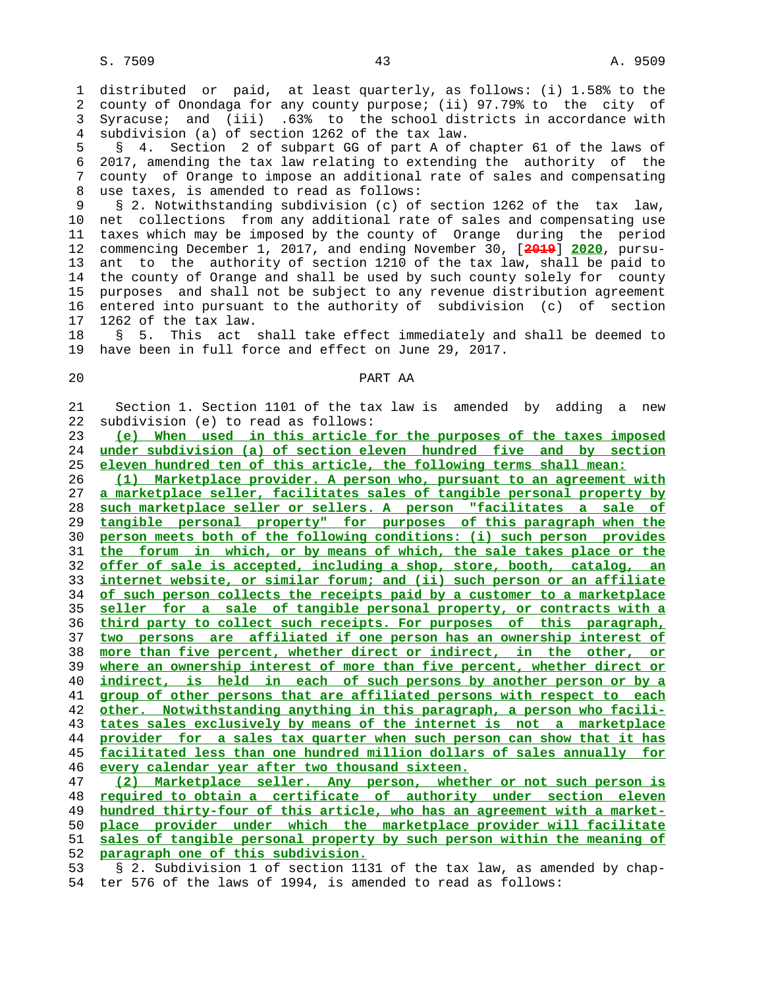1 distributed or paid, at least quarterly, as follows: (i) 1.58% to the 2 county of Onondaga for any county purpose; (ii) 97.79% to the city of 3 Syracuse; and (iii) .63% to the school districts in accordance with 4 subdivision (a) of section 1262 of the tax law.

 5 § 4. Section 2 of subpart GG of part A of chapter 61 of the laws of 6 2017, amending the tax law relating to extending the authority of the 7 county of Orange to impose an additional rate of sales and compensating 8 use taxes, is amended to read as follows:<br>9 § 2. Notwithstanding subdivision (c) of

§ 2. Notwithstanding subdivision (c) of section 1262 of the tax law, 10 net collections from any additional rate of sales and compensating use 11 taxes which may be imposed by the county of Orange during the period 12 commencing December 1, 2017, and ending November 30, [**2019**] **2020**, pursu- 13 ant to the authority of section 1210 of the tax law, shall be paid to 14 the county of Orange and shall be used by such county solely for county 15 purposes and shall not be subject to any revenue distribution agreement 16 entered into pursuant to the authority of subdivision (c) of section 17 1262 of the tax law.

 18 § 5. This act shall take effect immediately and shall be deemed to 19 have been in full force and effect on June 29, 2017.

## 20 PART AA

 21 Section 1. Section 1101 of the tax law is amended by adding a new 22 subdivision (e) to read as follows:

 23 **(e) When used in this article for the purposes of the taxes imposed** 24 **under subdivision (a) of section eleven hundred five and by section** 25 **eleven hundred ten of this article, the following terms shall mean:**

**(1) Marketplace provider. A person who, pursuant to an agreement with a marketplace seller, facilitates sales of tangible personal property by such marketplace seller or sellers. A person "facilitates a sale of tangible personal property" for purposes of this paragraph when the person meets both of the following conditions: (i) such person provides the forum in which, or by means of which, the sale takes place or the offer of sale is accepted, including a shop, store, booth, catalog, an internet website, or similar forum; and (ii) such person or an affiliate of such person collects the receipts paid by a customer to a marketplace seller for a sale of tangible personal property, or contracts with a third party to collect such receipts. For purposes of this paragraph, two persons are affiliated if one person has an ownership interest of more than five percent, whether direct or indirect, in the other, or where an ownership interest of more than five percent, whether direct or indirect, is held in each of such persons by another person or by a group of other persons that are affiliated persons with respect to each other. Notwithstanding anything in this paragraph, a person who facili- tates sales exclusively by means of the internet is not a marketplace provider for a sales tax quarter when such person can show that it has facilitated less than one hundred million dollars of sales annually for every calendar year after two thousand sixteen. (2) Marketplace seller. Any person, whether or not such person is**

**required to obtain a certificate of authority under section eleven hundred thirty-four of this article, who has an agreement with a market- place provider under which the marketplace provider will facilitate sales of tangible personal property by such person within the meaning of paragraph one of this subdivision.**

 53 § 2. Subdivision 1 of section 1131 of the tax law, as amended by chap- 54 ter 576 of the laws of 1994, is amended to read as follows: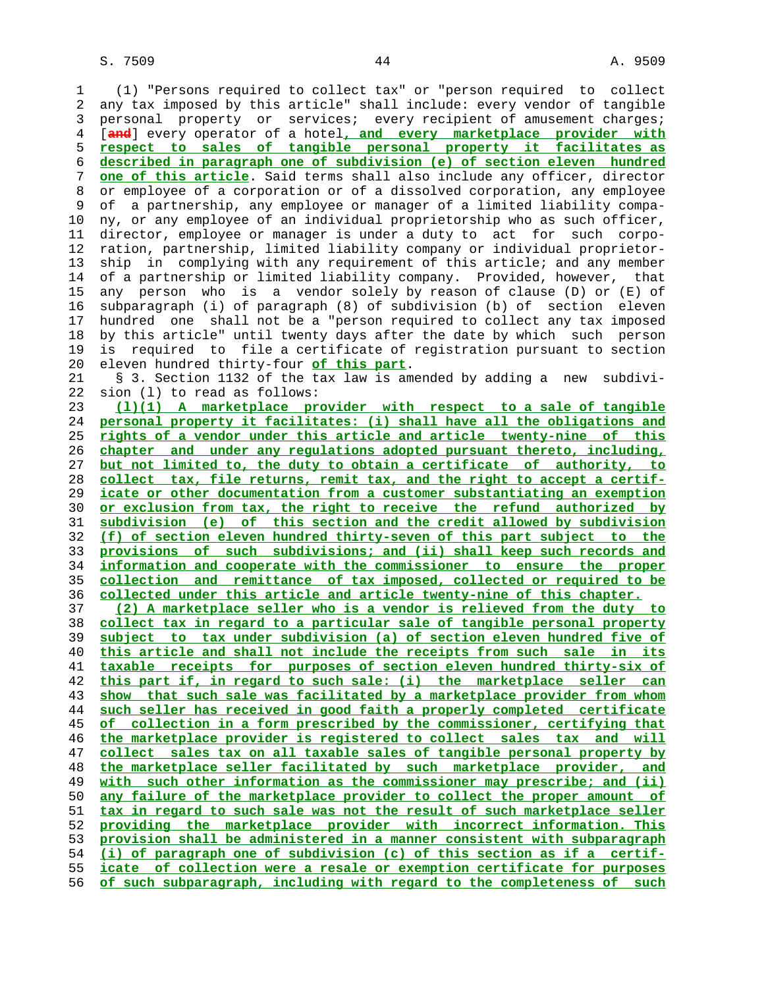1 (1) "Persons required to collect tax" or "person required to collect 2 any tax imposed by this article" shall include: every vendor of tangible 3 personal property or services; every recipient of amusement charges; 4 [**and**] every operator of a hotel**, and every marketplace provider with respect to sales of tangible personal property it facilitates as described in paragraph one of subdivision (e) of section eleven hundred one of this article**. Said terms shall also include any officer, director 8 or employee of a corporation or of a dissolved corporation, any employee<br>9 of a partnership, any employee or manager of a limited liability compa- 9 of a partnership, any employee or manager of a limited liability compa- 10 ny, or any employee of an individual proprietorship who as such officer, 11 director, employee or manager is under a duty to act for such corpo- 12 ration, partnership, limited liability company or individual proprietor- 13 ship in complying with any requirement of this article; and any member 14 of a partnership or limited liability company. Provided, however, that 15 any person who is a vendor solely by reason of clause (D) or (E) of 16 subparagraph (i) of paragraph (8) of subdivision (b) of section eleven 17 hundred one shall not be a "person required to collect any tax imposed 18 by this article" until twenty days after the date by which such person 19 is required to file a certificate of registration pursuant to section 20 eleven hundred thirty-four **of this part**. 21 § 3. Section 1132 of the tax law is amended by adding a new subdivi- 22 sion (l) to read as follows: **(l)(1) A marketplace provider with respect to a sale of tangible personal property it facilitates: (i) shall have all the obligations and rights of a vendor under this article and article twenty-nine of this chapter and under any regulations adopted pursuant thereto, including, but not limited to, the duty to obtain a certificate of authority, to collect tax, file returns, remit tax, and the right to accept a certif- icate or other documentation from a customer substantiating an exemption or exclusion from tax, the right to receive the refund authorized by subdivision (e) of this section and the credit allowed by subdivision (f) of section eleven hundred thirty-seven of this part subject to the provisions of such subdivisions; and (ii) shall keep such records and information and cooperate with the commissioner to ensure the proper collection and remittance of tax imposed, collected or required to be collected under this article and article twenty-nine of this chapter. (2) A marketplace seller who is a vendor is relieved from the duty to collect tax in regard to a particular sale of tangible personal property subject to tax under subdivision (a) of section eleven hundred five of this article and shall not include the receipts from such sale in its taxable receipts for purposes of section eleven hundred thirty-six of this part if, in regard to such sale: (i) the marketplace seller can show that such sale was facilitated by a marketplace provider from whom such seller has received in good faith a properly completed certificate of collection in a form prescribed by the commissioner, certifying that the marketplace provider is registered to collect sales tax and will collect sales tax on all taxable sales of tangible personal property by the marketplace seller facilitated by such marketplace provider, and with such other information as the commissioner may prescribe; and (ii) any failure of the marketplace provider to collect the proper amount of tax in regard to such sale was not the result of such marketplace seller providing the marketplace provider with incorrect information. This provision shall be administered in a manner consistent with subparagraph (i) of paragraph one of subdivision (c) of this section as if a certif- icate of collection were a resale or exemption certificate for purposes of such subparagraph, including with regard to the completeness of such**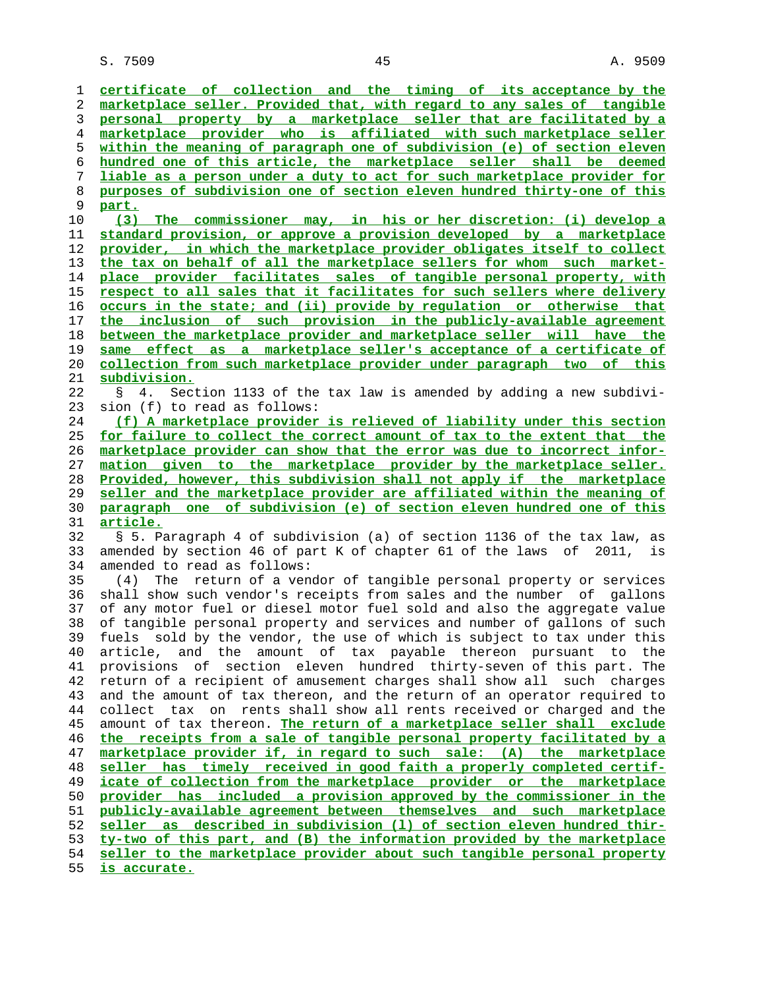$S. 7509$  and  $45$  and  $45$  and  $45$  and  $45$  and  $45$  and  $45$  and  $45$  and  $45$  and  $45$  and  $45$  and  $45$  and  $45$  and  $45$  and  $45$  and  $45$  and  $45$  and  $45$  and  $45$  and  $45$  and  $45$  and  $45$  and  $45$  and  $45$  and

**certificate of collection and the timing of its acceptance by the marketplace seller. Provided that, with regard to any sales of tangible personal property by a marketplace seller that are facilitated by a marketplace provider who is affiliated with such marketplace seller within the meaning of paragraph one of subdivision (e) of section eleven hundred one of this article, the marketplace seller shall be deemed liable as a person under a duty to act for such marketplace provider for purposes of subdivision one of section eleven hundred thirty-one of this part. (3) The commissioner may, in his or her discretion: (i) develop a standard provision, or approve a provision developed by a marketplace provider, in which the marketplace provider obligates itself to collect the tax on behalf of all the marketplace sellers for whom such market- place provider facilitates sales of tangible personal property, with respect to all sales that it facilitates for such sellers where delivery occurs in the state; and (ii) provide by regulation or otherwise that the inclusion of such provision in the publicly-available agreement between the marketplace provider and marketplace seller will have the same effect as a marketplace seller's acceptance of a certificate of collection from such marketplace provider under paragraph two of this subdivision.** 22 § 4. Section 1133 of the tax law is amended by adding a new subdivi- 23 sion (f) to read as follows: **(f) A marketplace provider is relieved of liability under this section for failure to collect the correct amount of tax to the extent that the marketplace provider can show that the error was due to incorrect infor- mation given to the marketplace provider by the marketplace seller. Provided, however, this subdivision shall not apply if the marketplace seller and the marketplace provider are affiliated within the meaning of paragraph one of subdivision (e) of section eleven hundred one of this article.** 32 § 5. Paragraph 4 of subdivision (a) of section 1136 of the tax law, as 33 amended by section 46 of part K of chapter 61 of the laws of 2011, is 34 amended to read as follows: 35 (4) The return of a vendor of tangible personal property or services 36 shall show such vendor's receipts from sales and the number of gallons 37 of any motor fuel or diesel motor fuel sold and also the aggregate value 38 of tangible personal property and services and number of gallons of such 39 fuels sold by the vendor, the use of which is subject to tax under this 40 article, and the amount of tax payable thereon pursuant to the 41 provisions of section eleven hundred thirty-seven of this part. The 42 return of a recipient of amusement charges shall show all such charges 43 and the amount of tax thereon, and the return of an operator required to 44 collect tax on rents shall show all rents received or charged and the 45 amount of tax thereon. **The return of a marketplace seller shall exclude the receipts from a sale of tangible personal property facilitated by a marketplace provider if, in regard to such sale: (A) the marketplace seller has timely received in good faith a properly completed certif- icate of collection from the marketplace provider or the marketplace provider has included a provision approved by the commissioner in the publicly-available agreement between themselves and such marketplace seller as described in subdivision (l) of section eleven hundred thir- ty-two of this part, and (B) the information provided by the marketplace seller to the marketplace provider about such tangible personal property is accurate.**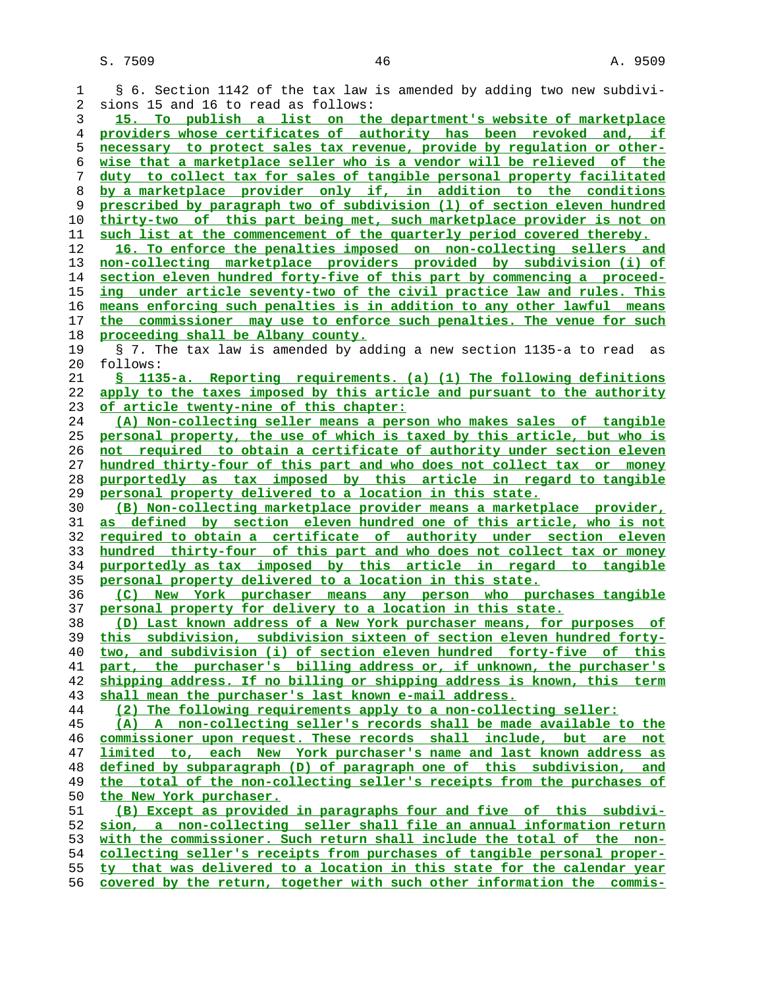1 § 6. Section 1142 of the tax law is amended by adding two new subdivi- 2 sions 15 and 16 to read as follows: **15. To publish a list on the department's website of marketplace providers whose certificates of authority has been revoked and, if necessary to protect sales tax revenue, provide by regulation or other- wise that a marketplace seller who is a vendor will be relieved of the duty to collect tax for sales of tangible personal property facilitated by a marketplace provider only if, in addition to the conditions prescribed by paragraph two of subdivision (l) of section eleven hundred thirty-two of this part being met, such marketplace provider is not on such list at the commencement of the quarterly period covered thereby. 16. To enforce the penalties imposed on non-collecting sellers and non-collecting marketplace providers provided by subdivision (i) of section eleven hundred forty-five of this part by commencing a proceed- ing under article seventy-two of the civil practice law and rules. This means enforcing such penalties is in addition to any other lawful means the commissioner may use to enforce such penalties. The venue for such proceeding shall be Albany county.** 19 § 7. The tax law is amended by adding a new section 1135-a to read as 20 follows: **§ 1135-a. Reporting requirements. (a) (1) The following definitions apply to the taxes imposed by this article and pursuant to the authority of article twenty-nine of this chapter: (A) Non-collecting seller means a person who makes sales of tangible personal property, the use of which is taxed by this article, but who is not required to obtain a certificate of authority under section eleven hundred thirty-four of this part and who does not collect tax or money purportedly as tax imposed by this article in regard to tangible personal property delivered to a location in this state. (B) Non-collecting marketplace provider means a marketplace provider, as defined by section eleven hundred one of this article, who is not required to obtain a certificate of authority under section eleven hundred thirty-four of this part and who does not collect tax or money purportedly as tax imposed by this article in regard to tangible personal property delivered to a location in this state. (C) New York purchaser means any person who purchases tangible personal property for delivery to a location in this state. (D) Last known address of a New York purchaser means, for purposes of this subdivision, subdivision sixteen of section eleven hundred forty- two, and subdivision (i) of section eleven hundred forty-five of this part, the purchaser's billing address or, if unknown, the purchaser's shipping address. If no billing or shipping address is known, this term shall mean the purchaser's last known e-mail address. (2) The following requirements apply to a non-collecting seller: (A) A non-collecting seller's records shall be made available to the commissioner upon request. These records shall include, but are not limited to, each New York purchaser's name and last known address as defined by subparagraph (D) of paragraph one of this subdivision, and the total of the non-collecting seller's receipts from the purchases of the New York purchaser. (B) Except as provided in paragraphs four and five of this subdivi- sion, a non-collecting seller shall file an annual information return with the commissioner. Such return shall include the total of the non- collecting seller's receipts from purchases of tangible personal proper- ty that was delivered to a location in this state for the calendar year covered by the return, together with such other information the commis-**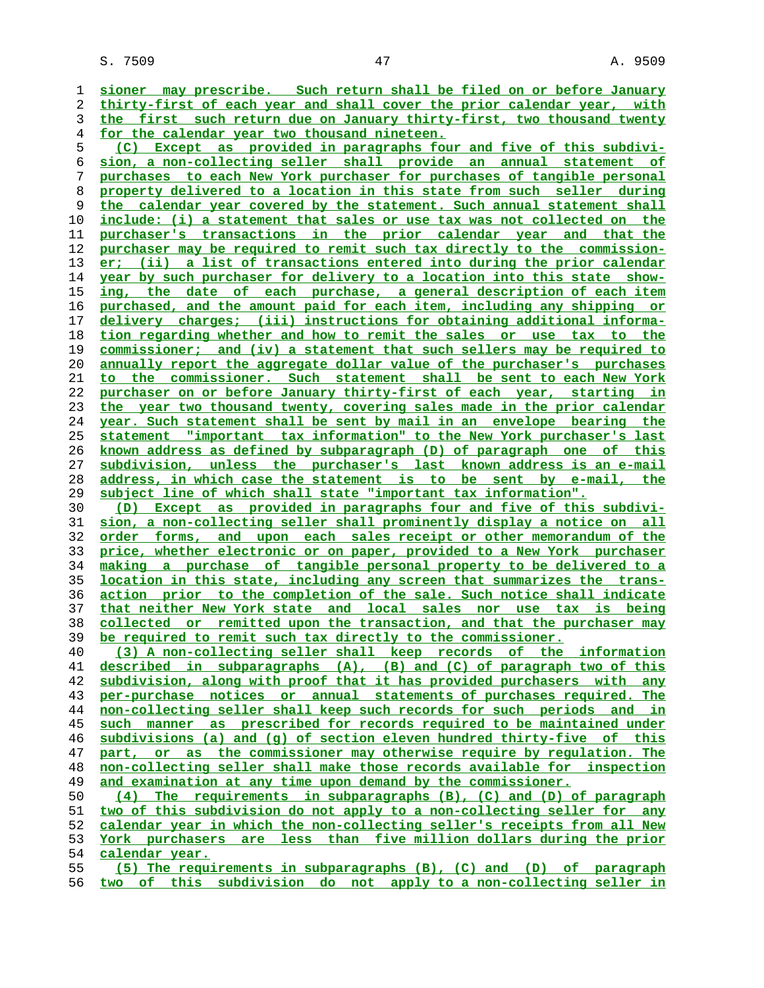$S. 7509$  and  $47$  and  $47$  and  $47$  and  $49$  and  $49$  and  $49$  and  $49$  and  $49$  and  $49$  and  $49$  and  $49$  and  $49$  and  $49$  and  $49$  and  $49$  and  $49$  and  $49$  and  $49$  and  $49$  and  $49$  and  $49$  and  $49$  and  $49$  and

**sioner may prescribe. Such return shall be filed on or before January thirty-first of each year and shall cover the prior calendar year, with the first such return due on January thirty-first, two thousand twenty for the calendar year two thousand nineteen. (C) Except as provided in paragraphs four and five of this subdivi- sion, a non-collecting seller shall provide an annual statement of purchases to each New York purchaser for purchases of tangible personal property delivered to a location in this state from such seller during the calendar year covered by the statement. Such annual statement shall include: (i) a statement that sales or use tax was not collected on the purchaser's transactions in the prior calendar year and that the purchaser may be required to remit such tax directly to the commission- er; (ii) a list of transactions entered into during the prior calendar year by such purchaser for delivery to a location into this state show- ing, the date of each purchase, a general description of each item purchased, and the amount paid for each item, including any shipping or delivery charges; (iii) instructions for obtaining additional informa- tion regarding whether and how to remit the sales or use tax to the commissioner; and (iv) a statement that such sellers may be required to annually report the aggregate dollar value of the purchaser's purchases to the commissioner. Such statement shall be sent to each New York purchaser on or before January thirty-first of each year, starting in the year two thousand twenty, covering sales made in the prior calendar year. Such statement shall be sent by mail in an envelope bearing the statement "important tax information" to the New York purchaser's last known address as defined by subparagraph (D) of paragraph one of this subdivision, unless the purchaser's last known address is an e-mail address, in which case the statement is to be sent by e-mail, the subject line of which shall state "important tax information". (D) Except as provided in paragraphs four and five of this subdivi- sion, a non-collecting seller shall prominently display a notice on all order forms, and upon each sales receipt or other memorandum of the price, whether electronic or on paper, provided to a New York purchaser making a purchase of tangible personal property to be delivered to a location in this state, including any screen that summarizes the trans- action prior to the completion of the sale. Such notice shall indicate that neither New York state and local sales nor use tax is being collected or remitted upon the transaction, and that the purchaser may be required to remit such tax directly to the commissioner. (3) A non-collecting seller shall keep records of the information described in subparagraphs (A), (B) and (C) of paragraph two of this subdivision, along with proof that it has provided purchasers with any per-purchase notices or annual statements of purchases required. The non-collecting seller shall keep such records for such periods and in such manner as prescribed for records required to be maintained under subdivisions (a) and (g) of section eleven hundred thirty-five of this part, or as the commissioner may otherwise require by regulation. The non-collecting seller shall make those records available for inspection** and examination at any time upon demand by the commissioner. **(4) The requirements in subparagraphs (B), (C) and (D) of paragraph two of this subdivision do not apply to a non-collecting seller for any**

**calendar year in which the non-collecting seller's receipts from all New York purchasers are less than five million dollars during the prior calendar year.**

**(5) The requirements in subparagraphs (B), (C) and (D) of paragraph two of this subdivision do not apply to a non-collecting seller in**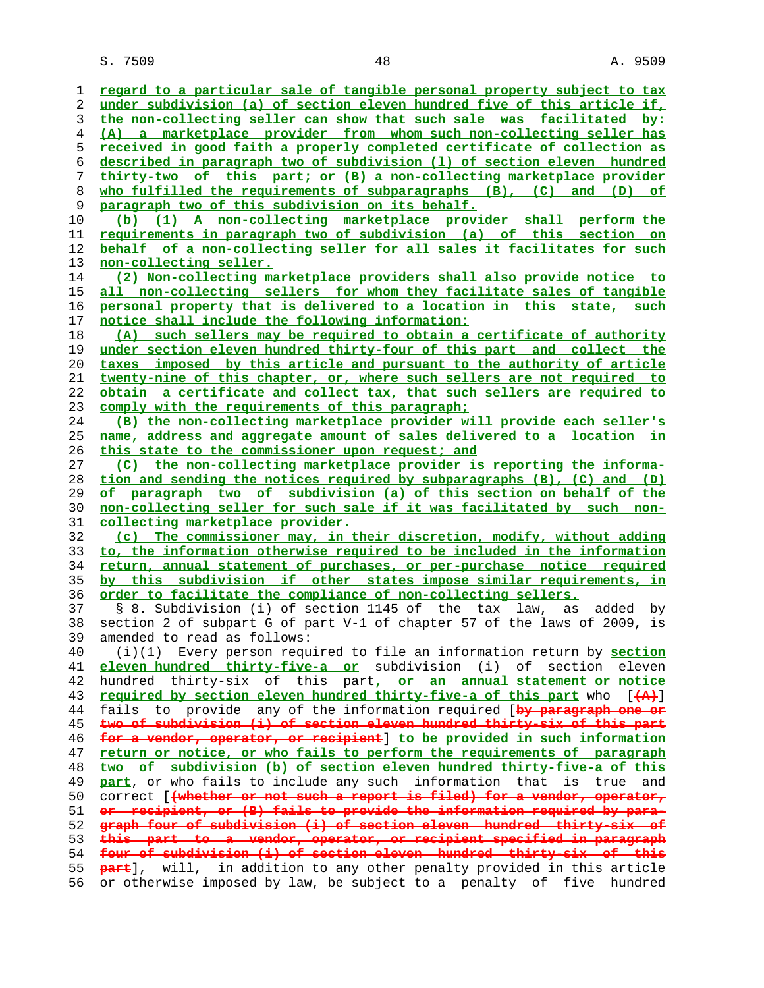$S. 7509$  and  $48$  and  $49$  and  $49$  and  $49$  and  $49$  and  $49$  and  $49$  and  $49$  and  $49$  and  $49$  and  $49$  and  $49$  and  $49$  and  $49$  and  $49$  and  $49$  and  $49$  and  $49$  and  $49$  and  $49$  and  $49$  and  $49$  and  $49$  and

**regard to a particular sale of tangible personal property subject to tax under subdivision (a) of section eleven hundred five of this article if, the non-collecting seller can show that such sale was facilitated by: (A) a marketplace provider from whom such non-collecting seller has received in good faith a properly completed certificate of collection as described in paragraph two of subdivision (l) of section eleven hundred thirty-two of this part; or (B) a non-collecting marketplace provider who fulfilled the requirements of subparagraphs (B), (C) and (D) of paragraph two of this subdivision on its behalf. (b) (1) A non-collecting marketplace provider shall perform the requirements in paragraph two of subdivision (a) of this section on behalf of a non-collecting seller for all sales it facilitates for such non-collecting seller. (2) Non-collecting marketplace providers shall also provide notice to all non-collecting sellers for whom they facilitate sales of tangible personal property that is delivered to a location in this state, such notice shall include the following information: (A) such sellers may be required to obtain a certificate of authority under section eleven hundred thirty-four of this part and collect the taxes imposed by this article and pursuant to the authority of article twenty-nine of this chapter, or, where such sellers are not required to obtain a certificate and collect tax, that such sellers are required to comply with the requirements of this paragraph; (B) the non-collecting marketplace provider will provide each seller's name, address and aggregate amount of sales delivered to a location in this state to the commissioner upon request; and (C) the non-collecting marketplace provider is reporting the informa- tion and sending the notices required by subparagraphs (B), (C) and (D) of paragraph two of subdivision (a) of this section on behalf of the non-collecting seller for such sale if it was facilitated by such non- collecting marketplace provider. (c) The commissioner may, in their discretion, modify, without adding to, the information otherwise required to be included in the information return, annual statement of purchases, or per-purchase notice required by this subdivision if other states impose similar requirements, in order to facilitate the compliance of non-collecting sellers.** 37 § 8. Subdivision (i) of section 1145 of the tax law, as added by 38 section 2 of subpart G of part V-1 of chapter 57 of the laws of 2009, is 39 amended to read as follows: 40 (i)(1) Every person required to file an information return by **section eleven hundred thirty-five-a or** subdivision (i) of section eleven 42 hundred thirty-six of this part**, or an annual statement or notice required by section eleven hundred thirty-five-a of this part** who [**(A)**] 44 fails to provide any of the information required [**by paragraph one or two of subdivision (i) of section eleven hundred thirty-six of this part for a vendor, operator, or recipient**] **to be provided in such information return or notice, or who fails to perform the requirements of paragraph two of subdivision (b) of section eleven hundred thirty-five-a of this part**, or who fails to include any such information that is true and 50 correct [**(whether or not such a report is filed) for a vendor, operator, or recipient, or (B) fails to provide the information required by para- graph four of subdivision (i) of section eleven hundred thirty-six of this part to a vendor, operator, or recipient specified in paragraph four of subdivision (i) of section eleven hundred thirty-six of this part**], will, in addition to any other penalty provided in this article 56 or otherwise imposed by law, be subject to a penalty of five hundred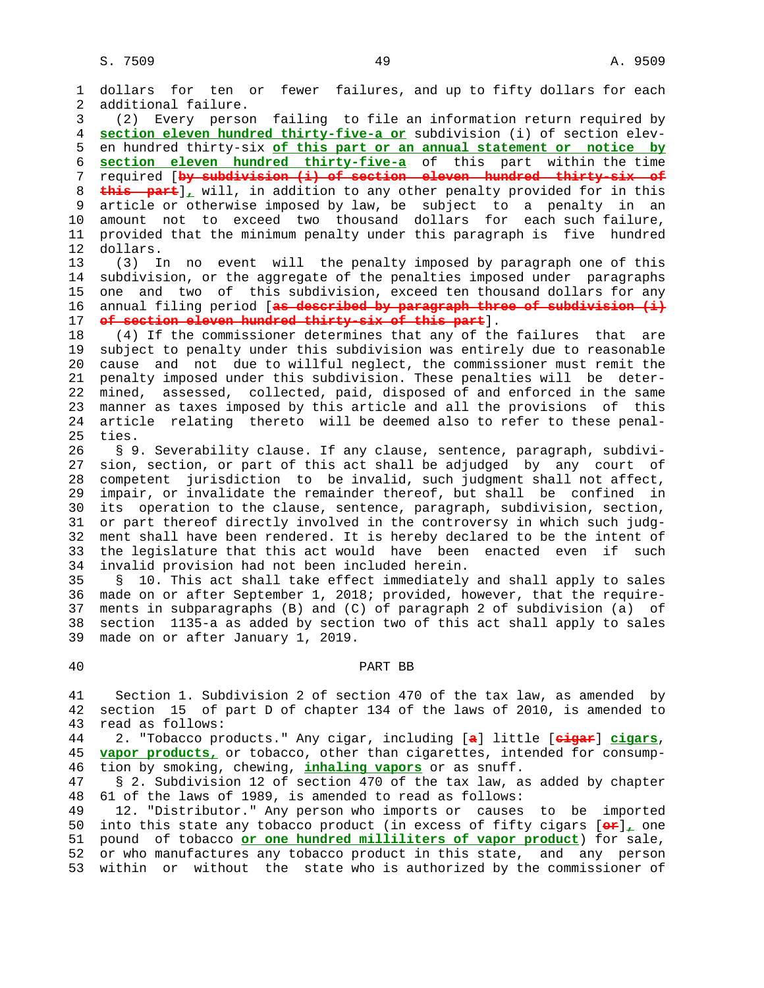1 dollars for ten or fewer failures, and up to fifty dollars for each 2 additional failure. 3 (2) Every person failing to file an information return required by 4 **section eleven hundred thirty-five-a or** subdivision (i) of section elev- 5 en hundred thirty-six **of this part or an annual statement or notice by** 6 **section eleven hundred thirty-five-a** of this part within the time 7 required [**by subdivision (i) of section eleven hundred thirty-six of** 8 **this part**]**,** will, in addition to any other penalty provided for in this article or otherwise imposed by law, be subject to a penalty in an 10 amount not to exceed two thousand dollars for each such failure, 11 provided that the minimum penalty under this paragraph is five hundred 12 dollars. 13 (3) In no event will the penalty imposed by paragraph one of this 14 subdivision, or the aggregate of the penalties imposed under paragraphs 15 one and two of this subdivision, exceed ten thousand dollars for any 16 annual filing period [**as described by paragraph three of subdivision (i)** 17 **of section eleven hundred thirty-six of this part**]. 18 (4) If the commissioner determines that any of the failures that are 19 subject to penalty under this subdivision was entirely due to reasonable 20 cause and not due to willful neglect, the commissioner must remit the 21 penalty imposed under this subdivision. These penalties will be deter- 22 mined, assessed, collected, paid, disposed of and enforced in the same 23 manner as taxes imposed by this article and all the provisions of this 24 article relating thereto will be deemed also to refer to these penal- 25 ties. 26 § 9. Severability clause. If any clause, sentence, paragraph, subdivi- 27 sion, section, or part of this act shall be adjudged by any court of 28 competent jurisdiction to be invalid, such judgment shall not affect, 29 impair, or invalidate the remainder thereof, but shall be confined in 30 its operation to the clause, sentence, paragraph, subdivision, section, 31 or part thereof directly involved in the controversy in which such judg- 32 ment shall have been rendered. It is hereby declared to be the intent of 33 the legislature that this act would have been enacted even if such 34 invalid provision had not been included herein. 35 § 10. This act shall take effect immediately and shall apply to sales 36 made on or after September 1, 2018; provided, however, that the require- 37 ments in subparagraphs (B) and (C) of paragraph 2 of subdivision (a) of 38 section 1135-a as added by section two of this act shall apply to sales 39 made on or after January 1, 2019. 40 PART BB 41 Section 1. Subdivision 2 of section 470 of the tax law, as amended by 42 section 15 of part D of chapter 134 of the laws of 2010, is amended to 43 read as follows: 44 2. "Tobacco products." Any cigar, including [**a**] little [**cigar**] **cigars**, 45 **vapor products,** or tobacco, other than cigarettes, intended for consump- 46 tion by smoking, chewing, **inhaling vapors** or as snuff. 47 § 2. Subdivision 12 of section 470 of the tax law, as added by chapter 48 61 of the laws of 1989, is amended to read as follows: 49 12. "Distributor." Any person who imports or causes to be imported

 50 into this state any tobacco product (in excess of fifty cigars [**or**]**,** one 51 pound of tobacco **or one hundred milliliters of vapor product**) for sale, 52 or who manufactures any tobacco product in this state, and any person 53 within or without the state who is authorized by the commissioner of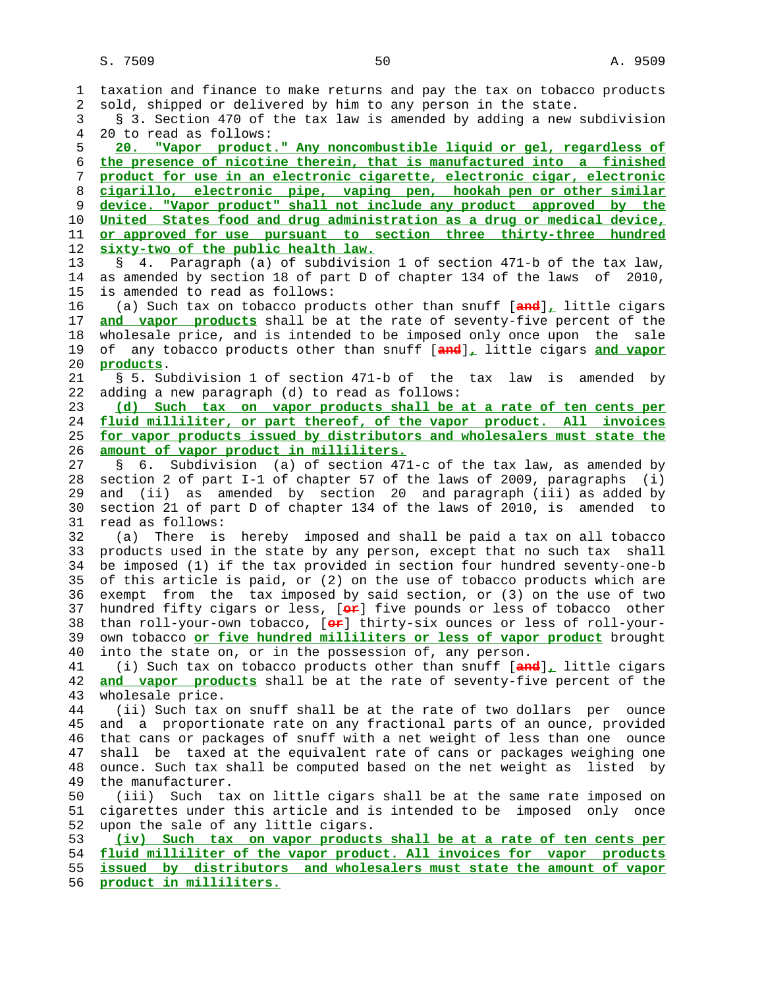1 taxation and finance to make returns and pay the tax on tobacco products 2 sold, shipped or delivered by him to any person in the state. 3 § 3. Section 470 of the tax law is amended by adding a new subdivision 4 20 to read as follows: 5 **20. "Vapor product." Any noncombustible liquid or gel, regardless of** 6 **the presence of nicotine therein, that is manufactured into a finished** 7 **product for use in an electronic cigarette, electronic cigar, electronic** 8 **cigarillo, electronic pipe, vaping pen, hookah pen or other similar** 9 **device. "Vapor product" shall not include any product approved by the** 10 **United States food and drug administration as a drug or medical device,** 11 **or approved for use pursuant to section three thirty-three hundred** 12 **sixty-two of the public health law.** 13 § 4. Paragraph (a) of subdivision 1 of section 471-b of the tax law, 14 as amended by section 18 of part D of chapter 134 of the laws of 2010, 15 is amended to read as follows: 16 (a) Such tax on tobacco products other than snuff [**and**]**,** little cigars 17 **and vapor products** shall be at the rate of seventy-five percent of the 18 wholesale price, and is intended to be imposed only once upon the sale 19 of any tobacco products other than snuff [**and**]**,** little cigars **and vapor** 20 **products**. 21 § 5. Subdivision 1 of section 471-b of the tax law is amended by 22 adding a new paragraph (d) to read as follows: 23 **(d) Such tax on vapor products shall be at a rate of ten cents per** 24 **fluid milliliter, or part thereof, of the vapor product. All invoices** 25 **for vapor products issued by distributors and wholesalers must state the** 26 **amount of vapor product in milliliters.** 27 § 6. Subdivision (a) of section 471-c of the tax law, as amended by 28 section 2 of part I-1 of chapter 57 of the laws of 2009, paragraphs (i) 29 and (ii) as amended by section 20 and paragraph (iii) as added by 30 section 21 of part D of chapter 134 of the laws of 2010, is amended to 31 read as follows: 32 (a) There is hereby imposed and shall be paid a tax on all tobacco 33 products used in the state by any person, except that no such tax shall 34 be imposed (1) if the tax provided in section four hundred seventy-one-b 35 of this article is paid, or (2) on the use of tobacco products which are 36 exempt from the tax imposed by said section, or (3) on the use of two 37 hundred fifty cigars or less, [**or**] five pounds or less of tobacco other 38 than roll-your-own tobacco, [**or**] thirty-six ounces or less of roll-your- 39 own tobacco **or five hundred milliliters or less of vapor product** brought 40 into the state on, or in the possession of, any person. 41 (i) Such tax on tobacco products other than snuff [**and**]**,** little cigars 42 **and vapor products** shall be at the rate of seventy-five percent of the 43 wholesale price. 44 (ii) Such tax on snuff shall be at the rate of two dollars per ounce 45 and a proportionate rate on any fractional parts of an ounce, provided 46 that cans or packages of snuff with a net weight of less than one ounce 47 shall be taxed at the equivalent rate of cans or packages weighing one 48 ounce. Such tax shall be computed based on the net weight as listed by 49 the manufacturer. 50 (iii) Such tax on little cigars shall be at the same rate imposed on 51 cigarettes under this article and is intended to be imposed only once 52 upon the sale of any little cigars. 53 **(iv) Such tax on vapor products shall be at a rate of ten cents per** 54 **fluid milliliter of the vapor product. All invoices for vapor products** 55 **issued by distributors and wholesalers must state the amount of vapor** 56 **product in milliliters.**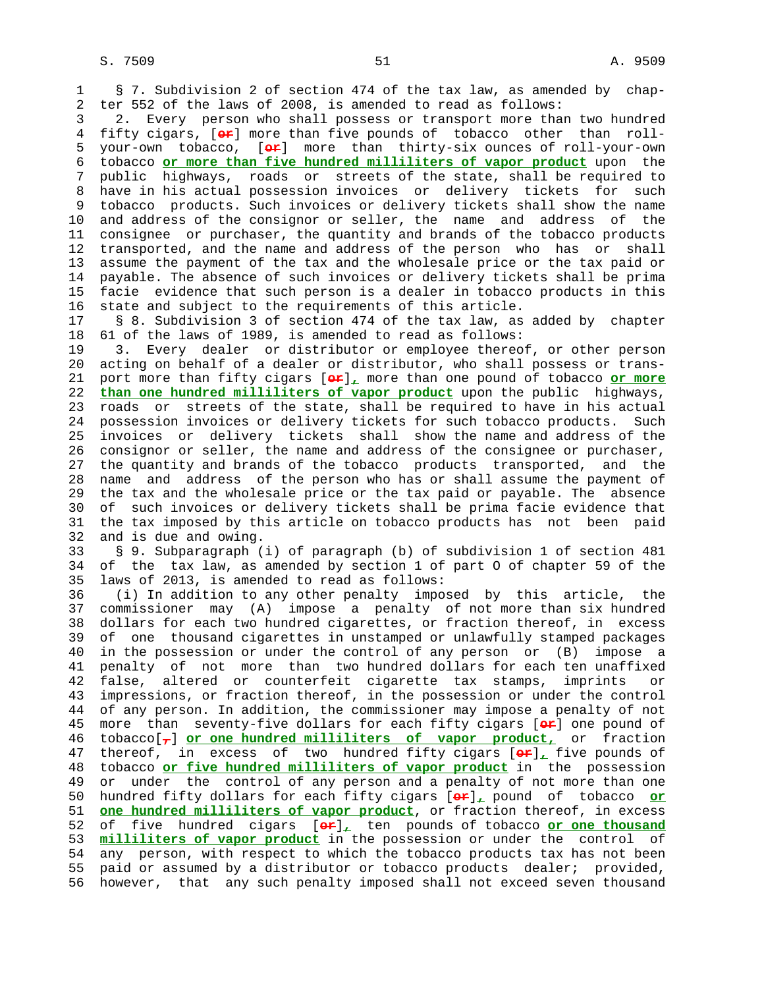1 § 7. Subdivision 2 of section 474 of the tax law, as amended by chap- 2 ter 552 of the laws of 2008, is amended to read as follows: 3 2. Every person who shall possess or transport more than two hundred 4 fifty cigars, [**or**] more than five pounds of tobacco other than roll- 5 your-own tobacco, [**or**] more than thirty-six ounces of roll-your-own 6 tobacco **or more than five hundred milliliters of vapor product** upon the 7 public highways, roads or streets of the state, shall be required to 8 have in his actual possession invoices or delivery tickets for such<br>9 tobacco products. Such invoices or delivery tickets shall show the name tobacco products. Such invoices or delivery tickets shall show the name 10 and address of the consignor or seller, the name and address of the 11 consignee or purchaser, the quantity and brands of the tobacco products 12 transported, and the name and address of the person who has or shall 13 assume the payment of the tax and the wholesale price or the tax paid or 14 payable. The absence of such invoices or delivery tickets shall be prima 15 facie evidence that such person is a dealer in tobacco products in this 16 state and subject to the requirements of this article. 17 § 8. Subdivision 3 of section 474 of the tax law, as added by chapter 18 61 of the laws of 1989, is amended to read as follows: 19 3. Every dealer or distributor or employee thereof, or other person 20 acting on behalf of a dealer or distributor, who shall possess or trans- 21 port more than fifty cigars [**or**]**,** more than one pound of tobacco **or more** 22 **than one hundred milliliters of vapor product** upon the public highways, 23 roads or streets of the state, shall be required to have in his actual 24 possession invoices or delivery tickets for such tobacco products. Such 25 invoices or delivery tickets shall show the name and address of the 26 consignor or seller, the name and address of the consignee or purchaser, 27 the quantity and brands of the tobacco products transported, and the 28 name and address of the person who has or shall assume the payment of 29 the tax and the wholesale price or the tax paid or payable. The absence 30 of such invoices or delivery tickets shall be prima facie evidence that 31 the tax imposed by this article on tobacco products has not been paid 32 and is due and owing. 33 § 9. Subparagraph (i) of paragraph (b) of subdivision 1 of section 481 34 of the tax law, as amended by section 1 of part O of chapter 59 of the 35 laws of 2013, is amended to read as follows: 36 (i) In addition to any other penalty imposed by this article, the 37 commissioner may (A) impose a penalty of not more than six hundred 38 dollars for each two hundred cigarettes, or fraction thereof, in excess 39 of one thousand cigarettes in unstamped or unlawfully stamped packages 40 in the possession or under the control of any person or (B) impose a 41 penalty of not more than two hundred dollars for each ten unaffixed 42 false, altered or counterfeit cigarette tax stamps, imprints 43 impressions, or fraction thereof, in the possession or under the control 44 of any person. In addition, the commissioner may impose a penalty of not 45 more than seventy-five dollars for each fifty cigars [**or**] one pound of 46 tobacco[**,**] **or one hundred milliliters of vapor product,** or fraction 47 thereof, in excess of two hundred fifty cigars [**or**]**,** five pounds of 48 tobacco **or five hundred milliliters of vapor product** in the possession 49 or under the control of any person and a penalty of not more than one 50 hundred fifty dollars for each fifty cigars [**or**]**,** pound of tobacco **or** 51 **one hundred milliliters of vapor product**, or fraction thereof, in excess 52 of five hundred cigars [**or**]**,** ten pounds of tobacco **or one thousand** 53 **milliliters of vapor product** in the possession or under the control of 54 any person, with respect to which the tobacco products tax has not been 55 paid or assumed by a distributor or tobacco products dealer; provided, 56 however, that any such penalty imposed shall not exceed seven thousand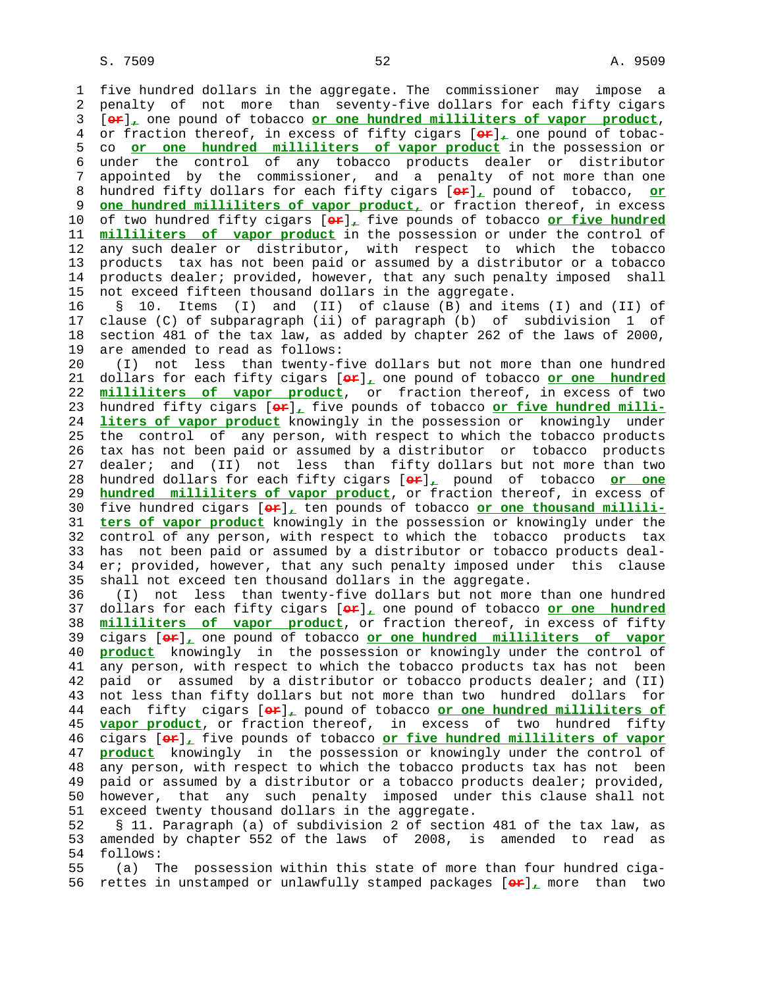1 five hundred dollars in the aggregate. The commissioner may impose a 2 penalty of not more than seventy-five dollars for each fifty cigars 3 [**or**]**,** one pound of tobacco **or one hundred milliliters of vapor product**, 4 or fraction thereof, in excess of fifty cigars [**or**]**,** one pound of tobac- 5 co **or one hundred milliliters of vapor product** in the possession or 6 under the control of any tobacco products dealer or distributor 7 appointed by the commissioner, and a penalty of not more than one 8 hundred fifty dollars for each fifty cigars [**or**]**,** pound of tobacco, **or** 9 **one hundred milliliters of vapor product,** or fraction thereof, in excess 10 of two hundred fifty cigars [**or**]**,** five pounds of tobacco **or five hundred** 11 **milliliters of vapor product** in the possession or under the control of 12 any such dealer or distributor, with respect to which the tobacco 13 products tax has not been paid or assumed by a distributor or a tobacco 14 products dealer; provided, however, that any such penalty imposed shall 15 not exceed fifteen thousand dollars in the aggregate. 16 § 10. Items (I) and (II) of clause (B) and items (I) and (II) of 17 clause (C) of subparagraph (ii) of paragraph (b) of subdivision 1 of 18 section 481 of the tax law, as added by chapter 262 of the laws of 2000, 19 are amended to read as follows: 20 (I) not less than twenty-five dollars but not more than one hundred 21 dollars for each fifty cigars [**or**]**,** one pound of tobacco **or one hundred** 22 **milliliters of vapor product**, or fraction thereof, in excess of two 23 hundred fifty cigars [**or**]**,** five pounds of tobacco **or five hundred milli-** 24 **liters of vapor product** knowingly in the possession or knowingly under 25 the control of any person, with respect to which the tobacco products 26 tax has not been paid or assumed by a distributor or tobacco products 27 dealer; and (II) not less than fifty dollars but not more than two 28 hundred dollars for each fifty cigars [**or**]**,** pound of tobacco **or one** 29 **hundred milliliters of vapor product**, or fraction thereof, in excess of 30 five hundred cigars [**or**]**,** ten pounds of tobacco **or one thousand millili-** 31 **ters of vapor product** knowingly in the possession or knowingly under the 32 control of any person, with respect to which the tobacco products tax 33 has not been paid or assumed by a distributor or tobacco products deal- 34 er; provided, however, that any such penalty imposed under this clause 35 shall not exceed ten thousand dollars in the aggregate. 36 (I) not less than twenty-five dollars but not more than one hundred 37 dollars for each fifty cigars [**or**]**,** one pound of tobacco **or one hundred** 38 **milliliters of vapor product**, or fraction thereof, in excess of fifty 39 cigars [**or**]**,** one pound of tobacco **or one hundred milliliters of vapor** 40 **product** knowingly in the possession or knowingly under the control of 41 any person, with respect to which the tobacco products tax has not been 42 paid or assumed by a distributor or tobacco products dealer; and (II) 43 not less than fifty dollars but not more than two hundred dollars for 44 each fifty cigars [**or**]**,** pound of tobacco **or one hundred milliliters of** 45 **vapor product**, or fraction thereof, in excess of two hundred fifty 46 cigars [**or**]**,** five pounds of tobacco **or five hundred milliliters of vapor** 47 **product** knowingly in the possession or knowingly under the control of 48 any person, with respect to which the tobacco products tax has not been 49 paid or assumed by a distributor or a tobacco products dealer; provided, 50 however, that any such penalty imposed under this clause shall not 51 exceed twenty thousand dollars in the aggregate. 52 § 11. Paragraph (a) of subdivision 2 of section 481 of the tax law, as 53 amended by chapter 552 of the laws of 2008, is amended to read as

54 follows:

 55 (a) The possession within this state of more than four hundred ciga- 56 rettes in unstamped or unlawfully stamped packages [**or**]**,** more than two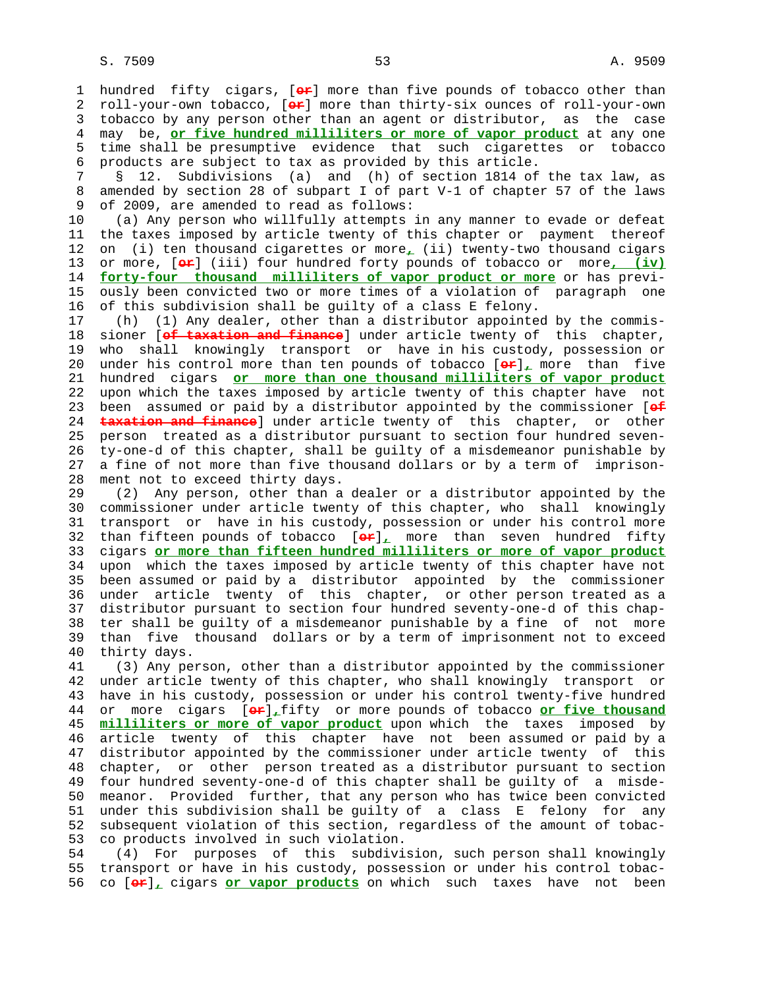1 hundred fifty cigars, [**or**] more than five pounds of tobacco other than 2 roll-your-own tobacco, [**or**] more than thirty-six ounces of roll-your-own 3 tobacco by any person other than an agent or distributor, as the case 4 may be, **or five hundred milliliters or more of vapor product** at any one 5 time shall be presumptive evidence that such cigarettes or tobacco 6 products are subject to tax as provided by this article. 7 § 12. Subdivisions (a) and (h) of section 1814 of the tax law, as 8 amended by section 28 of subpart I of part V-1 of chapter 57 of the laws<br>9 of 2009, are amended to read as follows: of 2009, are amended to read as follows: 10 (a) Any person who willfully attempts in any manner to evade or defeat 11 the taxes imposed by article twenty of this chapter or payment thereof 12 on (i) ten thousand cigarettes or more**,** (ii) twenty-two thousand cigars 13 or more, [**or**] (iii) four hundred forty pounds of tobacco or more**, (iv)** 14 **forty-four thousand milliliters of vapor product or more** or has previ- 15 ously been convicted two or more times of a violation of paragraph one 16 of this subdivision shall be guilty of a class E felony. 17 (h) (1) Any dealer, other than a distributor appointed by the commis- 18 sioner [**of taxation and finance**] under article twenty of this chapter, 19 who shall knowingly transport or have in his custody, possession or 20 under his control more than ten pounds of tobacco [**or**]**,** more than five 21 hundred cigars **or more than one thousand milliliters of vapor product** 22 upon which the taxes imposed by article twenty of this chapter have not 23 been assumed or paid by a distributor appointed by the commissioner [**of** 24 **taxation and finance**] under article twenty of this chapter, or other 25 person treated as a distributor pursuant to section four hundred seven- 26 ty-one-d of this chapter, shall be guilty of a misdemeanor punishable by 27 a fine of not more than five thousand dollars or by a term of imprison- 28 ment not to exceed thirty days. 29 (2) Any person, other than a dealer or a distributor appointed by the 30 commissioner under article twenty of this chapter, who shall knowingly 31 transport or have in his custody, possession or under his control more 32 than fifteen pounds of tobacco [**or**]**,** more than seven hundred fifty 33 cigars **or more than fifteen hundred milliliters or more of vapor product** 34 upon which the taxes imposed by article twenty of this chapter have not 35 been assumed or paid by a distributor appointed by the commissioner 36 under article twenty of this chapter, or other person treated as a 37 distributor pursuant to section four hundred seventy-one-d of this chap- 38 ter shall be guilty of a misdemeanor punishable by a fine of not more 39 than five thousand dollars or by a term of imprisonment not to exceed 40 thirty days. 41 (3) Any person, other than a distributor appointed by the commissioner 42 under article twenty of this chapter, who shall knowingly transport or 43 have in his custody, possession or under his control twenty-five hundred 44 or more cigars [**or**]**,**fifty or more pounds of tobacco **or five thousand** 45 **milliliters or more of vapor product** upon which the taxes imposed by 46 article twenty of this chapter have not been assumed or paid by a 47 distributor appointed by the commissioner under article twenty of this 48 chapter, or other person treated as a distributor pursuant to section 49 four hundred seventy-one-d of this chapter shall be guilty of a misde- 50 meanor. Provided further, that any person who has twice been convicted 51 under this subdivision shall be guilty of a class E felony for any 52 subsequent violation of this section, regardless of the amount of tobac- 53 co products involved in such violation.

 54 (4) For purposes of this subdivision, such person shall knowingly 55 transport or have in his custody, possession or under his control tobac- 56 co [**or**]**,** cigars **or vapor products** on which such taxes have not been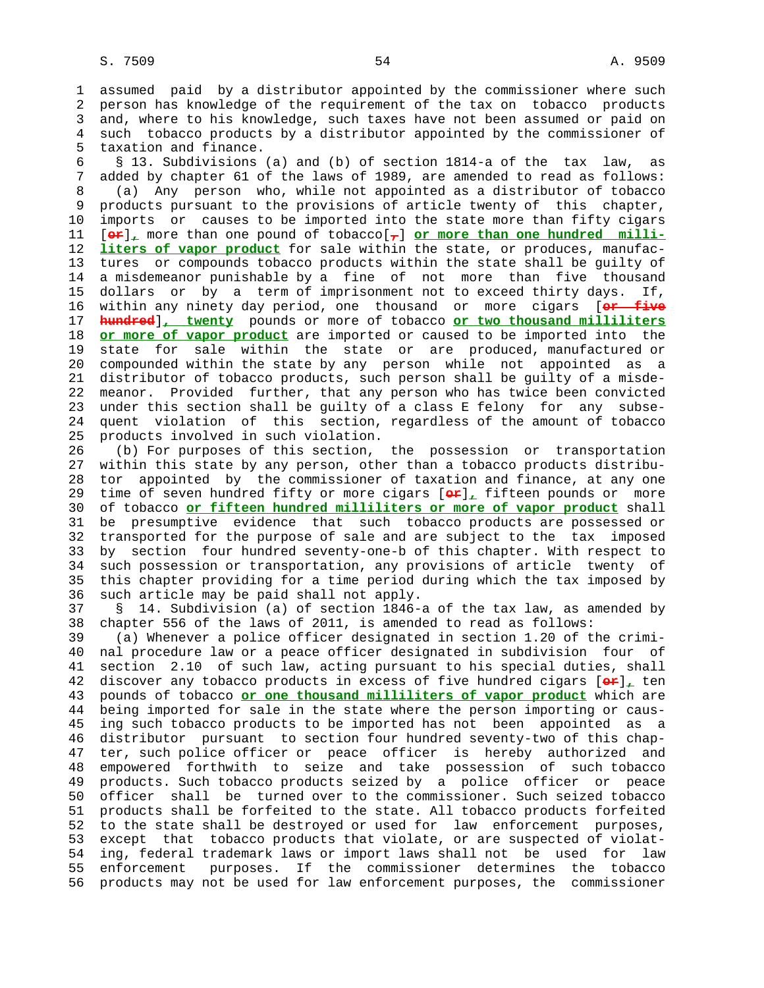1 assumed paid by a distributor appointed by the commissioner where such 2 person has knowledge of the requirement of the tax on tobacco products 3 and, where to his knowledge, such taxes have not been assumed or paid on 4 such tobacco products by a distributor appointed by the commissioner of 5 taxation and finance.

 6 § 13. Subdivisions (a) and (b) of section 1814-a of the tax law, as 7 added by chapter 61 of the laws of 1989, are amended to read as follows: 8 (a) Any person who, while not appointed as a distributor of tobacco products pursuant to the provisions of article twenty of this chapter, 10 imports or causes to be imported into the state more than fifty cigars 11 [**or**]**,** more than one pound of tobacco[**,**] **or more than one hundred milli-** 12 **liters of vapor product** for sale within the state, or produces, manufac- 13 tures or compounds tobacco products within the state shall be guilty of 14 a misdemeanor punishable by a fine of not more than five thousand 15 dollars or by a term of imprisonment not to exceed thirty days. If, 16 within any ninety day period, one thousand or more cigars [**or five** 17 **hundred**]**, twenty** pounds or more of tobacco **or two thousand milliliters** 18 **or more of vapor product** are imported or caused to be imported into the 19 state for sale within the state or are produced, manufactured or 20 compounded within the state by any person while not appointed as a 21 distributor of tobacco products, such person shall be guilty of a misde- 22 meanor. Provided further, that any person who has twice been convicted 23 under this section shall be guilty of a class E felony for any subse- 24 quent violation of this section, regardless of the amount of tobacco 25 products involved in such violation.

 26 (b) For purposes of this section, the possession or transportation 27 within this state by any person, other than a tobacco products distribu- 28 tor appointed by the commissioner of taxation and finance, at any one 29 time of seven hundred fifty or more cigars [**or**]**,** fifteen pounds or more 30 of tobacco **or fifteen hundred milliliters or more of vapor product** shall 31 be presumptive evidence that such tobacco products are possessed or 32 transported for the purpose of sale and are subject to the tax imposed 33 by section four hundred seventy-one-b of this chapter. With respect to 34 such possession or transportation, any provisions of article twenty of 35 this chapter providing for a time period during which the tax imposed by 36 such article may be paid shall not apply.

 37 § 14. Subdivision (a) of section 1846-a of the tax law, as amended by 38 chapter 556 of the laws of 2011, is amended to read as follows:

 39 (a) Whenever a police officer designated in section 1.20 of the crimi- 40 nal procedure law or a peace officer designated in subdivision four of 41 section 2.10 of such law, acting pursuant to his special duties, shall 42 discover any tobacco products in excess of five hundred cigars [**or**]**,** ten 43 pounds of tobacco **or one thousand milliliters of vapor product** which are 44 being imported for sale in the state where the person importing or caus- 45 ing such tobacco products to be imported has not been appointed as a 46 distributor pursuant to section four hundred seventy-two of this chap- 47 ter, such police officer or peace officer is hereby authorized and 48 empowered forthwith to seize and take possession of such tobacco 49 products. Such tobacco products seized by a police officer or peace 50 officer shall be turned over to the commissioner. Such seized tobacco 51 products shall be forfeited to the state. All tobacco products forfeited 52 to the state shall be destroyed or used for law enforcement purposes, 53 except that tobacco products that violate, or are suspected of violat- 54 ing, federal trademark laws or import laws shall not be used for law 55 enforcement purposes. If the commissioner determines the tobacco 56 products may not be used for law enforcement purposes, the commissioner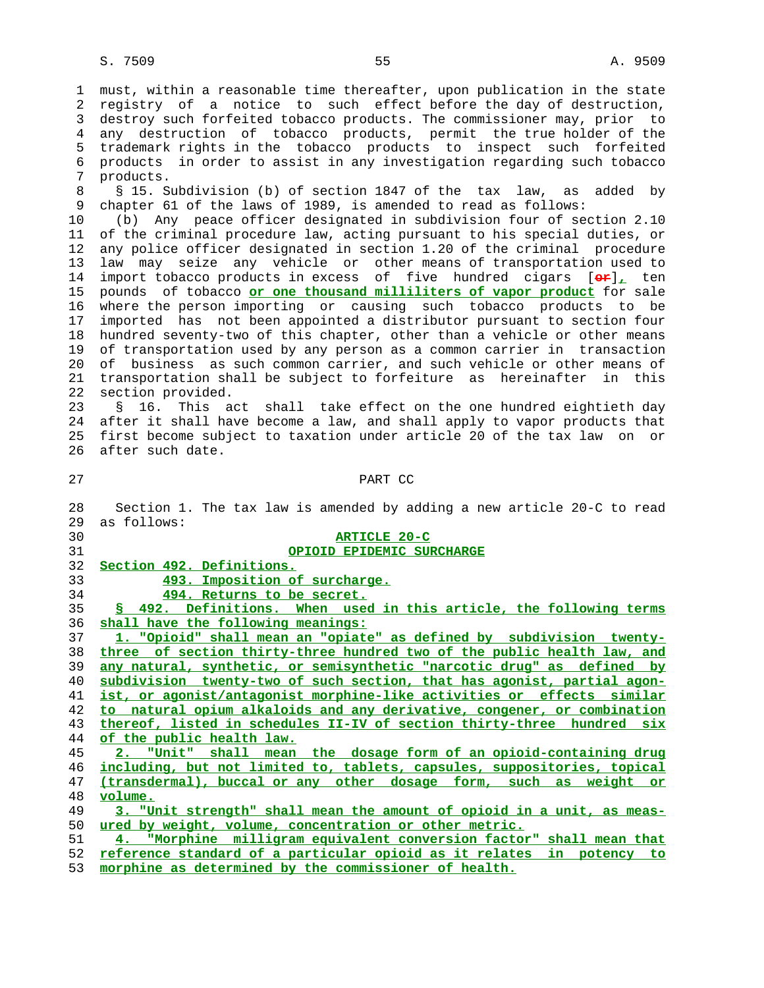1 must, within a reasonable time thereafter, upon publication in the state 2 registry of a notice to such effect before the day of destruction, 3 destroy such forfeited tobacco products. The commissioner may, prior to 4 any destruction of tobacco products, permit the true holder of the 5 trademark rights in the tobacco products to inspect such forfeited 6 products in order to assist in any investigation regarding such tobacco 7 products.

8 § 15. Subdivision (b) of section 1847 of the tax law, as added by<br>9 chapter 61 of the laws of 1989, is amended to read as follows: chapter 61 of the laws of 1989, is amended to read as follows:

 10 (b) Any peace officer designated in subdivision four of section 2.10 11 of the criminal procedure law, acting pursuant to his special duties, or 12 any police officer designated in section 1.20 of the criminal procedure 13 law may seize any vehicle or other means of transportation used to 14 import tobacco products in excess of five hundred cigars [**or**]**,** ten 15 pounds of tobacco **or one thousand milliliters of vapor product** for sale 16 where the person importing or causing such tobacco products to be 17 imported has not been appointed a distributor pursuant to section four 18 hundred seventy-two of this chapter, other than a vehicle or other means 19 of transportation used by any person as a common carrier in transaction 20 of business as such common carrier, and such vehicle or other means of 21 transportation shall be subject to forfeiture as hereinafter in this 22 section provided.

 23 § 16. This act shall take effect on the one hundred eightieth day 24 after it shall have become a law, and shall apply to vapor products that 25 first become subject to taxation under article 20 of the tax law on or 26 after such date.

# 27 PART CC

 28 Section 1. The tax law is amended by adding a new article 20-C to read 29 as follows:

# 30 **ARTICLE 20-C** 31 **OPIOID EPIDEMIC SURCHARGE**

32 **Section 492. Definitions.**

| 33     | 493. Imposition of surcharge.                                                                                        |
|--------|----------------------------------------------------------------------------------------------------------------------|
| 34     | 494. Returns to be secret.                                                                                           |
| 35     | § 492. Definitions. When used in this article, the following terms                                                   |
| 36     | shall have the following meanings:                                                                                   |
| 37     | 1. "Opioid" shall mean an "opiate" as defined by subdivision twenty-                                                 |
| 38     | three of section thirty-three hundred two of the public health law, and                                              |
| 39     | any natural, synthetic, or semisynthetic "narcotic drug" as defined by                                               |
| 40     | subdivision twenty-two of such section, that has agonist, partial agon-                                              |
| 41     | ist, or agonist/antagonist morphine-like activities or effects similar                                               |
| 42     | to natural opium alkaloids and any derivative, congener, or combination                                              |
| 43     | thereof, listed in schedules II-IV of section thirty-three hundred six                                               |
| 44     | of the public health law.                                                                                            |
| 45     | 2. "Unit" shall mean the dosage form of an opioid-containing drug                                                    |
| 46     | including, but not limited to, tablets, capsules, suppositories, topical                                             |
| 47     | (transdermal), buccal or any other dosage form, such as weight or                                                    |
| 48     | volume.                                                                                                              |
| $\sim$ | $\mathcal{A}$ and the second second the second second second second second second second second second second second |

 49 **3. "Unit strength" shall mean the amount of opioid in a unit, as meas-** 50 **ured by weight, volume, concentration or other metric.**

 51 **4. "Morphine milligram equivalent conversion factor" shall mean that** 52 **reference standard of a particular opioid as it relates in potency to**

53 **morphine as determined by the commissioner of health.**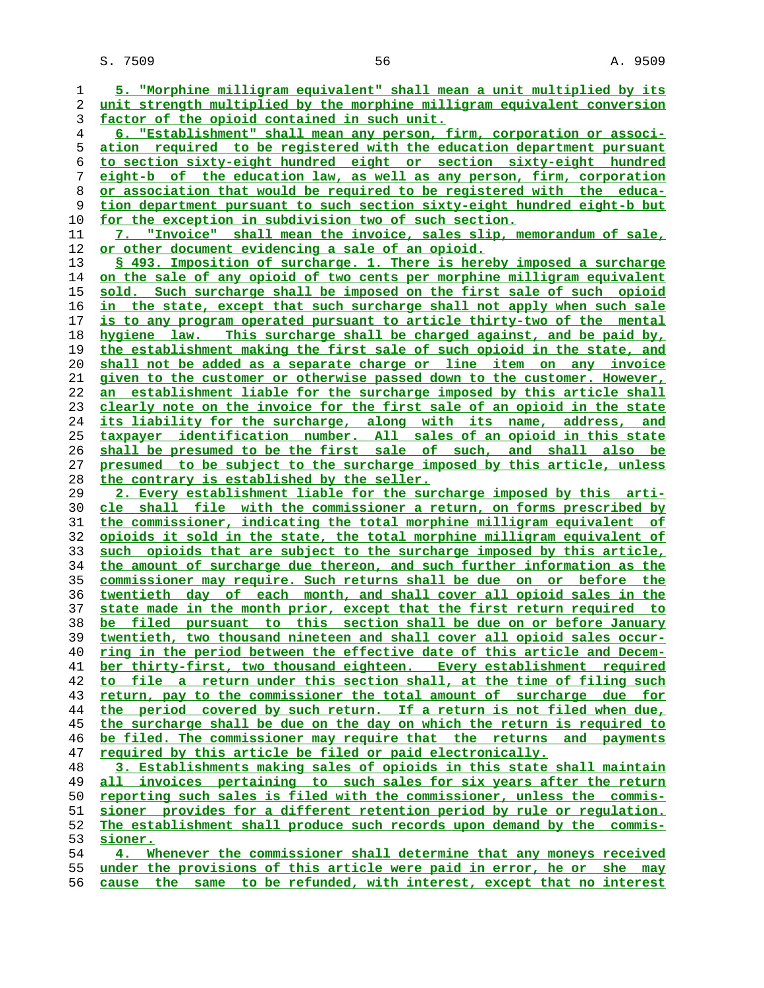$S. 7509$   $56$   $A. 9509$ 

**5. "Morphine milligram equivalent" shall mean a unit multiplied by its unit strength multiplied by the morphine milligram equivalent conversion factor of the opioid contained in such unit. 6. "Establishment" shall mean any person, firm, corporation or associ- ation required to be registered with the education department pursuant to section sixty-eight hundred eight or section sixty-eight hundred eight-b of the education law, as well as any person, firm, corporation or association that would be required to be registered with the educa- tion department pursuant to such section sixty-eight hundred eight-b but for the exception in subdivision two of such section. 7. "Invoice" shall mean the invoice, sales slip, memorandum of sale, or other document evidencing a sale of an opioid. § 493. Imposition of surcharge. 1. There is hereby imposed a surcharge on the sale of any opioid of two cents per morphine milligram equivalent sold. Such surcharge shall be imposed on the first sale of such opioid in the state, except that such surcharge shall not apply when such sale is to any program operated pursuant to article thirty-two of the mental hygiene law. This surcharge shall be charged against, and be paid by, the establishment making the first sale of such opioid in the state, and shall not be added as a separate charge or line item on any invoice given to the customer or otherwise passed down to the customer. However, an establishment liable for the surcharge imposed by this article shall clearly note on the invoice for the first sale of an opioid in the state its liability for the surcharge, along with its name, address, and taxpayer identification number. All sales of an opioid in this state shall be presumed to be the first sale of such, and shall also be presumed to be subject to the surcharge imposed by this article, unless the contrary is established by the seller. 2. Every establishment liable for the surcharge imposed by this arti- cle shall file with the commissioner a return, on forms prescribed by the commissioner, indicating the total morphine milligram equivalent of opioids it sold in the state, the total morphine milligram equivalent of such opioids that are subject to the surcharge imposed by this article, the amount of surcharge due thereon, and such further information as the commissioner may require. Such returns shall be due on or before the twentieth day of each month, and shall cover all opioid sales in the state made in the month prior, except that the first return required to be filed pursuant to this section shall be due on or before January twentieth, two thousand nineteen and shall cover all opioid sales occur- ring in the period between the effective date of this article and Decem- ber thirty-first, two thousand eighteen. Every establishment required to file a return under this section shall, at the time of filing such return, pay to the commissioner the total amount of surcharge due for the period covered by such return. If a return is not filed when due, the surcharge shall be due on the day on which the return is required to be filed. The commissioner may require that the returns and payments required by this article be filed or paid electronically. 3. Establishments making sales of opioids in this state shall maintain all invoices pertaining to such sales for six years after the return reporting such sales is filed with the commissioner, unless the commis- sioner provides for a different retention period by rule or regulation. The establishment shall produce such records upon demand by the commis- sioner. 4. Whenever the commissioner shall determine that any moneys received under the provisions of this article were paid in error, he or she may cause the same to be refunded, with interest, except that no interest**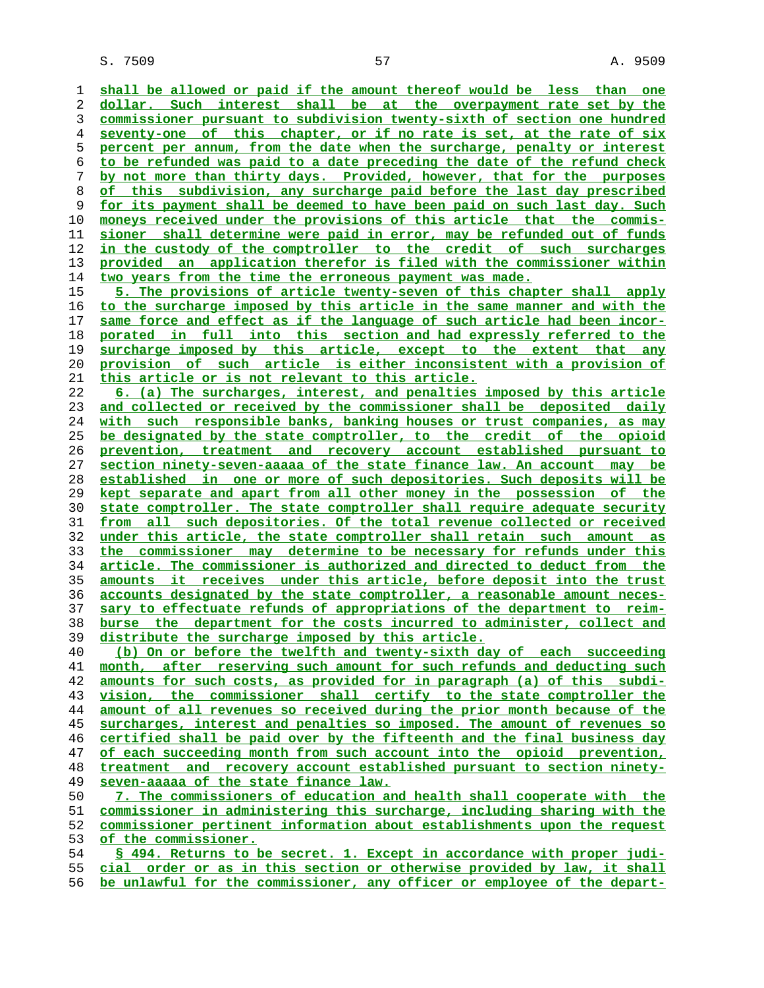$S. 7509$   $57$   $A. 9509$ 

**shall be allowed or paid if the amount thereof would be less than one dollar. Such interest shall be at the overpayment rate set by the commissioner pursuant to subdivision twenty-sixth of section one hundred seventy-one of this chapter, or if no rate is set, at the rate of six percent per annum, from the date when the surcharge, penalty or interest to be refunded was paid to a date preceding the date of the refund check by not more than thirty days. Provided, however, that for the purposes of this subdivision, any surcharge paid before the last day prescribed for its payment shall be deemed to have been paid on such last day. Such moneys received under the provisions of this article that the commis- sioner shall determine were paid in error, may be refunded out of funds in the custody of the comptroller to the credit of such surcharges provided an application therefor is filed with the commissioner within two years from the time the erroneous payment was made. 5. The provisions of article twenty-seven of this chapter shall apply to the surcharge imposed by this article in the same manner and with the same force and effect as if the language of such article had been incor- porated in full into this section and had expressly referred to the surcharge imposed by this article, except to the extent that any provision of such article is either inconsistent with a provision of this article or is not relevant to this article. 6. (a) The surcharges, interest, and penalties imposed by this article and collected or received by the commissioner shall be deposited daily with such responsible banks, banking houses or trust companies, as may be designated by the state comptroller, to the credit of the opioid prevention, treatment and recovery account established pursuant to section ninety-seven-aaaaa of the state finance law. An account may be established in one or more of such depositories. Such deposits will be kept separate and apart from all other money in the possession of the state comptroller. The state comptroller shall require adequate security from all such depositories. Of the total revenue collected or received under this article, the state comptroller shall retain such amount as the commissioner may determine to be necessary for refunds under this article. The commissioner is authorized and directed to deduct from the amounts it receives under this article, before deposit into the trust accounts designated by the state comptroller, a reasonable amount neces- sary to effectuate refunds of appropriations of the department to reim- burse the department for the costs incurred to administer, collect and distribute the surcharge imposed by this article. (b) On or before the twelfth and twenty-sixth day of each succeeding month, after reserving such amount for such refunds and deducting such amounts for such costs, as provided for in paragraph (a) of this subdi- vision, the commissioner shall certify to the state comptroller the amount of all revenues so received during the prior month because of the surcharges, interest and penalties so imposed. The amount of revenues so certified shall be paid over by the fifteenth and the final business day of each succeeding month from such account into the opioid prevention, treatment and recovery account established pursuant to section ninety- seven-aaaaa of the state finance law. 7. The commissioners of education and health shall cooperate with the commissioner in administering this surcharge, including sharing with the commissioner pertinent information about establishments upon the request**

**of the commissioner. § 494. Returns to be secret. 1. Except in accordance with proper judi- cial order or as in this section or otherwise provided by law, it shall be unlawful for the commissioner, any officer or employee of the depart-**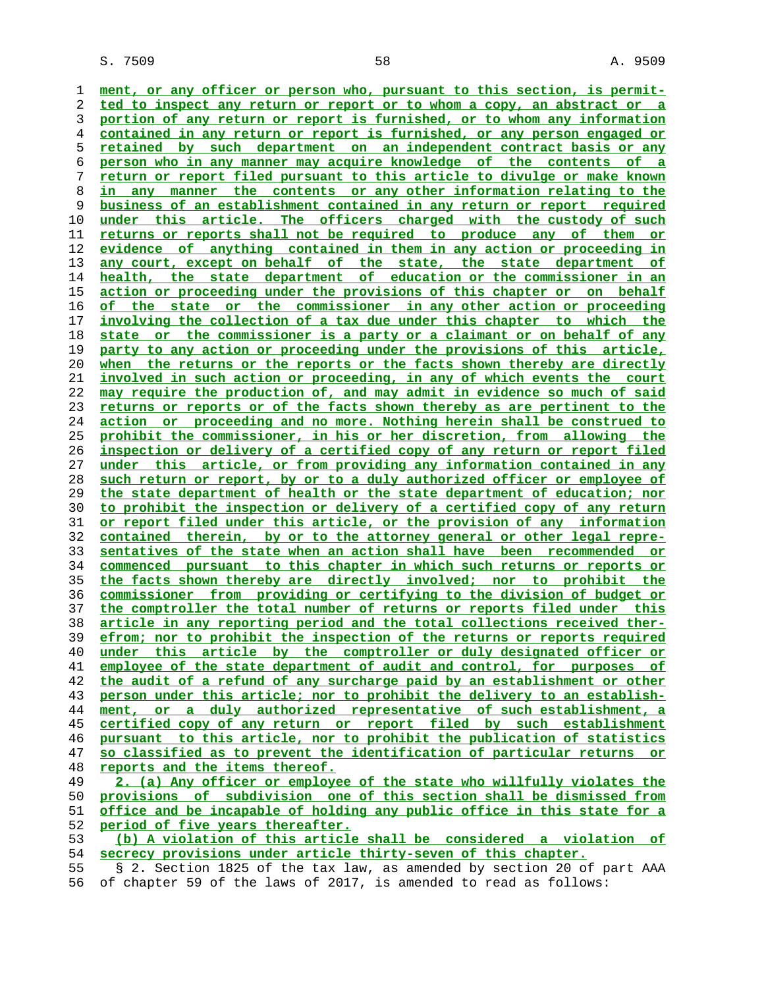$S. 7509$   $58$   $A. 9509$ 

**ment, or any officer or person who, pursuant to this section, is permit- ted to inspect any return or report or to whom a copy, an abstract or a portion of any return or report is furnished, or to whom any information contained in any return or report is furnished, or any person engaged or retained by such department on an independent contract basis or any person who in any manner may acquire knowledge of the contents of a return or report filed pursuant to this article to divulge or make known in any manner the contents or any other information relating to the business of an establishment contained in any return or report required under this article. The officers charged with the custody of such returns or reports shall not be required to produce any of them or evidence of anything contained in them in any action or proceeding in any court, except on behalf of the state, the state department of health, the state department of education or the commissioner in an action or proceeding under the provisions of this chapter or on behalf of the state or the commissioner in any other action or proceeding involving the collection of a tax due under this chapter to which the state or the commissioner is a party or a claimant or on behalf of any party to any action or proceeding under the provisions of this article, when the returns or the reports or the facts shown thereby are directly involved in such action or proceeding, in any of which events the court may require the production of, and may admit in evidence so much of said returns or reports or of the facts shown thereby as are pertinent to the action or proceeding and no more. Nothing herein shall be construed to prohibit the commissioner, in his or her discretion, from allowing the inspection or delivery of a certified copy of any return or report filed under this article, or from providing any information contained in any such return or report, by or to a duly authorized officer or employee of the state department of health or the state department of education; nor to prohibit the inspection or delivery of a certified copy of any return or report filed under this article, or the provision of any information contained therein, by or to the attorney general or other legal repre- sentatives of the state when an action shall have been recommended or commenced pursuant to this chapter in which such returns or reports or the facts shown thereby are directly involved; nor to prohibit the commissioner from providing or certifying to the division of budget or the comptroller the total number of returns or reports filed under this article in any reporting period and the total collections received ther- efrom; nor to prohibit the inspection of the returns or reports required under this article by the comptroller or duly designated officer or employee of the state department of audit and control, for purposes of the audit of a refund of any surcharge paid by an establishment or other person under this article; nor to prohibit the delivery to an establish- ment, or a duly authorized representative of such establishment, a certified copy of any return or report filed by such establishment pursuant to this article, nor to prohibit the publication of statistics so classified as to prevent the identification of particular returns or reports and the items thereof. 2. (a) Any officer or employee of the state who willfully violates the provisions of subdivision one of this section shall be dismissed from office and be incapable of holding any public office in this state for a period of five years thereafter. (b) A violation of this article shall be considered a violation of**

**secrecy provisions under article thirty-seven of this chapter.** 55 § 2. Section 1825 of the tax law, as amended by section 20 of part AAA 56 of chapter 59 of the laws of 2017, is amended to read as follows: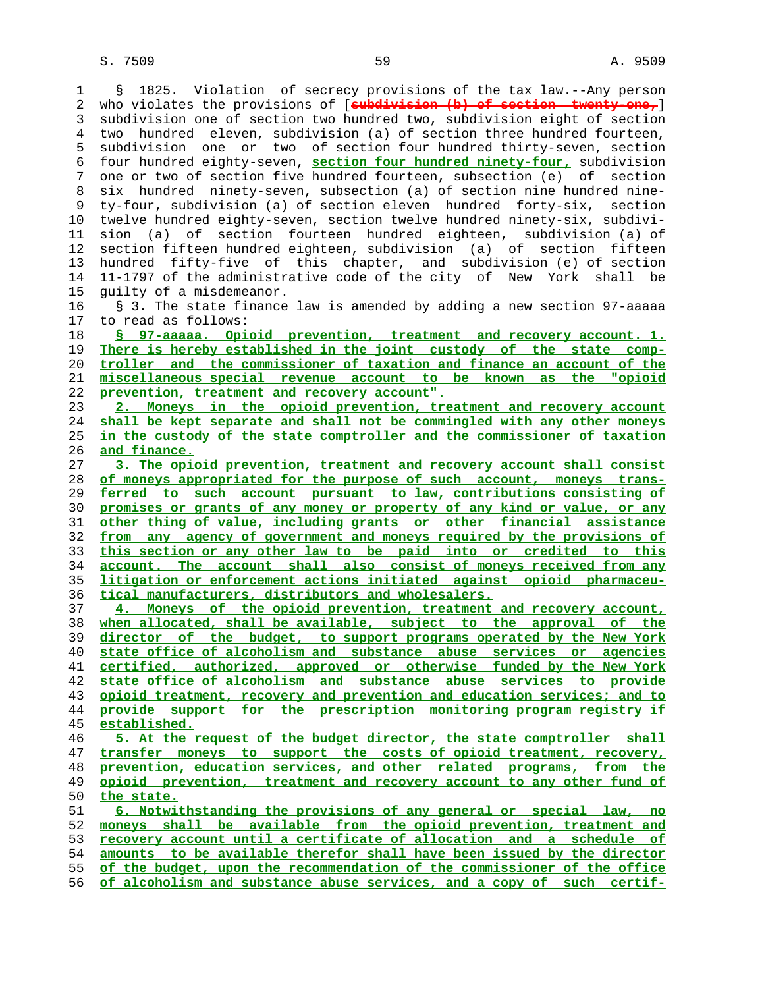1 § 1825. Violation of secrecy provisions of the tax law.--Any person 2 who violates the provisions of [**subdivision (b) of section twenty-one,**] 3 subdivision one of section two hundred two, subdivision eight of section 4 two hundred eleven, subdivision (a) of section three hundred fourteen, 5 subdivision one or two of section four hundred thirty-seven, section 6 four hundred eighty-seven, **section four hundred ninety-four,** subdivision 7 one or two of section five hundred fourteen, subsection (e) of section 8 six hundred ninety-seven, subsection (a) of section nine hundred nine- 9 ty-four, subdivision (a) of section eleven hundred forty-six, section 10 twelve hundred eighty-seven, section twelve hundred ninety-six, subdivi- 11 sion (a) of section fourteen hundred eighteen, subdivision (a) of 12 section fifteen hundred eighteen, subdivision (a) of section fifteen 13 hundred fifty-five of this chapter, and subdivision (e) of section 14 11-1797 of the administrative code of the city of New York shall be 15 guilty of a misdemeanor.

 16 § 3. The state finance law is amended by adding a new section 97-aaaaa 17 to read as follows:

**§ 97-aaaaa. Opioid prevention, treatment and recovery account. 1. There is hereby established in the joint custody of the state comp- troller and the commissioner of taxation and finance an account of the miscellaneous special revenue account to be known as the "opioid prevention, treatment and recovery account".**

**2. Moneys in the opioid prevention, treatment and recovery account shall be kept separate and shall not be commingled with any other moneys in the custody of the state comptroller and the commissioner of taxation and finance.**

**3. The opioid prevention, treatment and recovery account shall consist of moneys appropriated for the purpose of such account, moneys trans- ferred to such account pursuant to law, contributions consisting of promises or grants of any money or property of any kind or value, or any other thing of value, including grants or other financial assistance from any agency of government and moneys required by the provisions of this section or any other law to be paid into or credited to this account. The account shall also consist of moneys received from any litigation or enforcement actions initiated against opioid pharmaceu- tical manufacturers, distributors and wholesalers.**

**4. Moneys of the opioid prevention, treatment and recovery account, when allocated, shall be available, subject to the approval of the director of the budget, to support programs operated by the New York state office of alcoholism and substance abuse services or agencies certified, authorized, approved or otherwise funded by the New York state office of alcoholism and substance abuse services to provide opioid treatment, recovery and prevention and education services; and to provide support for the prescription monitoring program registry if established. 5. At the request of the budget director, the state comptroller shall**

**transfer moneys to support the costs of opioid treatment, recovery, prevention, education services, and other related programs, from the opioid prevention, treatment and recovery account to any other fund of the state.**

**6. Notwithstanding the provisions of any general or special law, no moneys shall be available from the opioid prevention, treatment and recovery account until a certificate of allocation and a schedule of amounts to be available therefor shall have been issued by the director of the budget, upon the recommendation of the commissioner of the office of alcoholism and substance abuse services, and a copy of such certif-**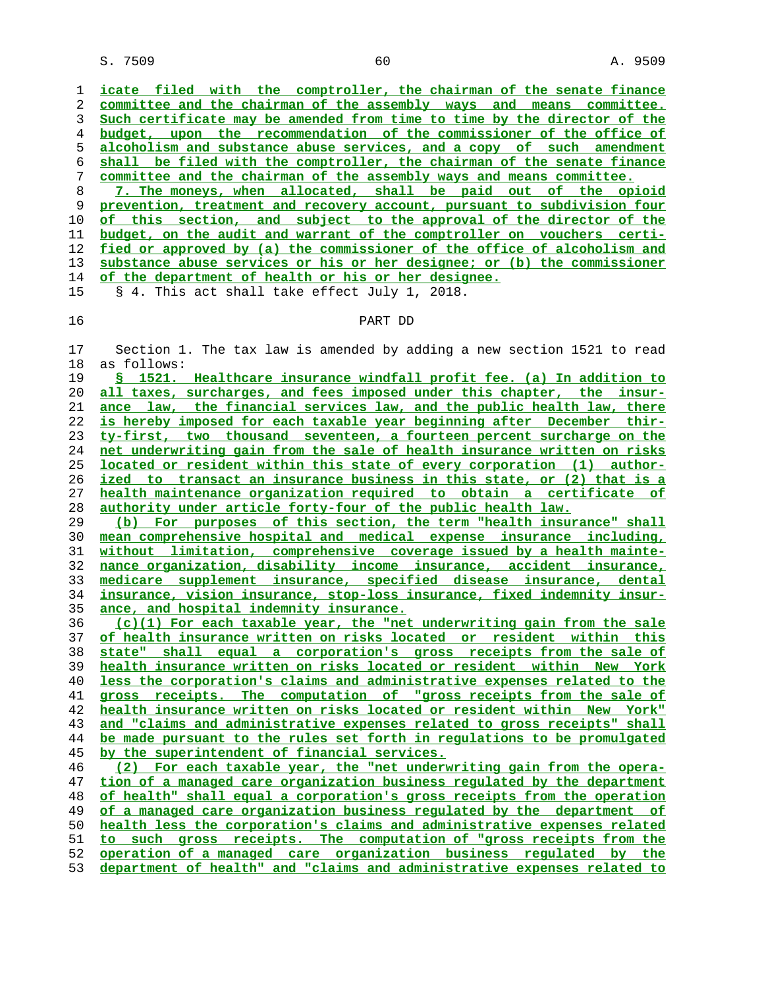S. 7509 A. 9509

| 1  | icate filed with the comptroller, the chairman of the senate finance     |
|----|--------------------------------------------------------------------------|
| 2  | committee and the chairman of the assembly ways and means committee.     |
| 3  | Such certificate may be amended from time to time by the director of the |
| 4  | budget, upon the recommendation of the commissioner of the office of     |
| 5  | alcoholism and substance abuse services, and a copy of such amendment    |
| 6  | shall be filed with the comptroller, the chairman of the senate finance  |
| 7  | committee and the chairman of the assembly ways and means committee.     |
| 8  | 7. The moneys, when allocated, shall be paid out of the opioid           |
| 9  | prevention, treatment and recovery account, pursuant to subdivision four |
| 10 | of this section, and subject to the approval of the director of the      |
| 11 | budget, on the audit and warrant of the comptroller on vouchers certi-   |
| 12 | fied or approved by (a) the commissioner of the office of alcoholism and |
| 13 | substance abuse services or his or her designee; or (b) the commissioner |
| 14 | of the department of health or his or her designee.                      |
| 15 | § 4. This act shall take effect July 1, 2018.                            |
|    |                                                                          |
| 16 | PART DD                                                                  |
|    |                                                                          |
| 17 | Section 1. The tax law is amended by adding a new section 1521 to read   |
| 18 | as follows:                                                              |
| 19 | § 1521. Healthcare insurance windfall profit fee. (a) In addition to     |
|    | all taxes, surcharges, and fees imposed under this chapter, the insur-   |
| 20 | ance law, the financial services law, and the public health law, there   |
| 21 |                                                                          |
| 22 | is hereby imposed for each taxable year beginning after December thir-   |
| 23 | ty-first, two thousand seventeen, a fourteen percent surcharge on the    |
| 24 | net underwriting gain from the sale of health insurance written on risks |
| 25 | located or resident within this state of every corporation (1) author-   |
| 26 | ized to transact an insurance business in this state, or (2) that is a   |
| 27 | health maintenance organization required to obtain a certificate of      |
| 28 | authority under article forty-four of the public health law.             |
| 29 | For purposes of this section, the term "health insurance" shall<br>(b)   |
| 30 | mean comprehensive hospital and medical expense insurance including,     |
| 31 | without limitation, comprehensive coverage issued by a health mainte-    |
| 32 | nance organization, disability income insurance, accident insurance,     |
| 33 | medicare supplement insurance, specified disease insurance, dental       |
| 34 | insurance, vision insurance, stop-loss insurance, fixed indemnity insur- |
| 35 | ance, and hospital indemnity insurance.                                  |
| 36 | $(c)(1)$ For each taxable year, the "net underwriting gain from the sale |
| 37 | of health insurance written on risks located or resident within this     |
| 38 | state" shall equal a corporation's gross receipts from the sale of       |
| 39 | health insurance written on risks located or resident within New York    |
| 40 | less the corporation's claims and administrative expenses related to the |
| 41 | gross receipts. The computation of "gross receipts from the sale of      |
| 42 | health insurance written on risks located or resident within New York"   |
| 43 | and "claims and administrative expenses related to gross receipts" shall |
| 44 | be made pursuant to the rules set forth in requlations to be promulgated |
| 45 | by the superintendent of financial services.                             |
| 46 | (2) For each taxable year, the "net underwriting gain from the opera-    |
| 47 | tion of a managed care organization business regulated by the department |
| 48 | of health" shall equal a corporation's gross receipts from the operation |
| 49 | of a managed care organization business regulated by the department of   |
| 50 | health less the corporation's claims and administrative expenses related |
| 51 | to such gross receipts. The computation of "gross receipts from the      |
| 52 | operation of a managed care organization business regulated by the       |
| 53 | department of health" and "claims and administrative expenses related to |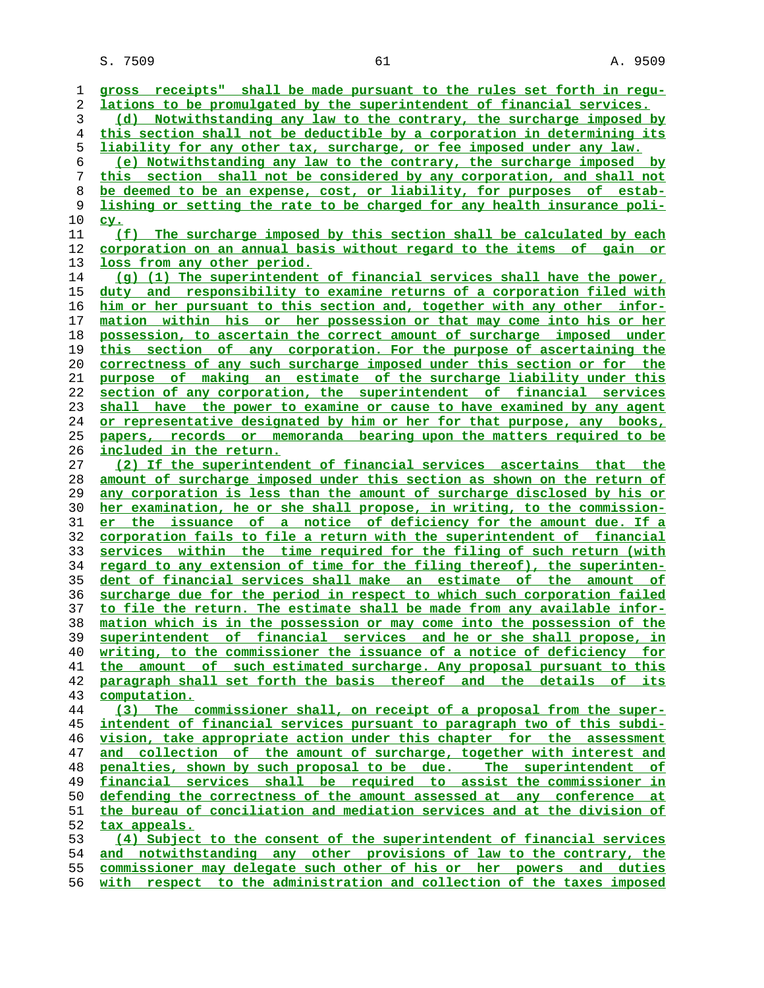$S. 7509$  and  $S. 9509$  and  $S. 9509$ 

**gross receipts" shall be made pursuant to the rules set forth in regu- lations to be promulgated by the superintendent of financial services. (d) Notwithstanding any law to the contrary, the surcharge imposed by this section shall not be deductible by a corporation in determining its liability for any other tax, surcharge, or fee imposed under any law. (e) Notwithstanding any law to the contrary, the surcharge imposed by this section shall not be considered by any corporation, and shall not be deemed to be an expense, cost, or liability, for purposes of estab- lishing or setting the rate to be charged for any health insurance poli- cy. (f) The surcharge imposed by this section shall be calculated by each corporation on an annual basis without regard to the items of gain or loss from any other period. (g) (1) The superintendent of financial services shall have the power, duty and responsibility to examine returns of a corporation filed with him or her pursuant to this section and, together with any other infor- mation within his or her possession or that may come into his or her possession, to ascertain the correct amount of surcharge imposed under this section of any corporation. For the purpose of ascertaining the correctness of any such surcharge imposed under this section or for the purpose of making an estimate of the surcharge liability under this section of any corporation, the superintendent of financial services shall have the power to examine or cause to have examined by any agent or representative designated by him or her for that purpose, any books, papers, records or memoranda bearing upon the matters required to be included in the return. (2) If the superintendent of financial services ascertains that the amount of surcharge imposed under this section as shown on the return of any corporation is less than the amount of surcharge disclosed by his or her examination, he or she shall propose, in writing, to the commission- er the issuance of a notice of deficiency for the amount due. If a corporation fails to file a return with the superintendent of financial services within the time required for the filing of such return (with regard to any extension of time for the filing thereof), the superinten- dent of financial services shall make an estimate of the amount of surcharge due for the period in respect to which such corporation failed to file the return. The estimate shall be made from any available infor- mation which is in the possession or may come into the possession of the superintendent of financial services and he or she shall propose, in writing, to the commissioner the issuance of a notice of deficiency for the amount of such estimated surcharge. Any proposal pursuant to this paragraph shall set forth the basis thereof and the details of its computation. (3) The commissioner shall, on receipt of a proposal from the super- intendent of financial services pursuant to paragraph two of this subdi- vision, take appropriate action under this chapter for the assessment and collection of the amount of surcharge, together with interest and penalties, shown by such proposal to be due. The superintendent of financial services shall be required to assist the commissioner in defending the correctness of the amount assessed at any conference at the bureau of conciliation and mediation services and at the division of tax appeals. (4) Subject to the consent of the superintendent of financial services and notwithstanding any other provisions of law to the contrary, the commissioner may delegate such other of his or her powers and duties with respect to the administration and collection of the taxes imposed**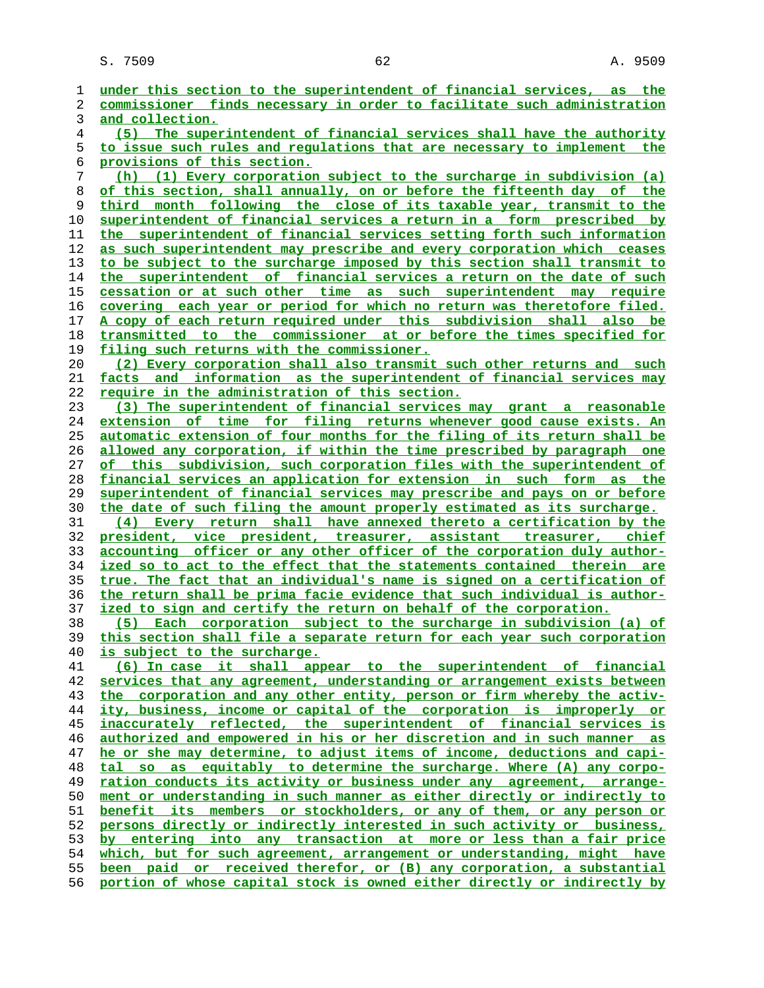$S. 7509$  and  $S. 9509$  and  $S. 9509$ 

**under this section to the superintendent of financial services, as the commissioner finds necessary in order to facilitate such administration and collection. (5) The superintendent of financial services shall have the authority to issue such rules and regulations that are necessary to implement the provisions of this section. (h) (1) Every corporation subject to the surcharge in subdivision (a) of this section, shall annually, on or before the fifteenth day of the third month following the close of its taxable year, transmit to the superintendent of financial services a return in a form prescribed by the superintendent of financial services setting forth such information as such superintendent may prescribe and every corporation which ceases to be subject to the surcharge imposed by this section shall transmit to the superintendent of financial services a return on the date of such cessation or at such other time as such superintendent may require covering each year or period for which no return was theretofore filed. A copy of each return required under this subdivision shall also be transmitted to the commissioner at or before the times specified for filing such returns with the commissioner. (2) Every corporation shall also transmit such other returns and such facts and information as the superintendent of financial services may require in the administration of this section. (3) The superintendent of financial services may grant a reasonable extension of time for filing returns whenever good cause exists. An automatic extension of four months for the filing of its return shall be allowed any corporation, if within the time prescribed by paragraph one of this subdivision, such corporation files with the superintendent of financial services an application for extension in such form as the superintendent of financial services may prescribe and pays on or before the date of such filing the amount properly estimated as its surcharge. (4) Every return shall have annexed thereto a certification by the president, vice president, treasurer, assistant treasurer, chief accounting officer or any other officer of the corporation duly author- ized so to act to the effect that the statements contained therein are true. The fact that an individual's name is signed on a certification of the return shall be prima facie evidence that such individual is author- ized to sign and certify the return on behalf of the corporation. (5) Each corporation subject to the surcharge in subdivision (a) of this section shall file a separate return for each year such corporation is subject to the surcharge. (6) In case it shall appear to the superintendent of financial services that any agreement, understanding or arrangement exists between the corporation and any other entity, person or firm whereby the activ- ity, business, income or capital of the corporation is improperly or inaccurately reflected, the superintendent of financial services is authorized and empowered in his or her discretion and in such manner as he or she may determine, to adjust items of income, deductions and capi- tal so as equitably to determine the surcharge. Where (A) any corpo- ration conducts its activity or business under any agreement, arrange- ment or understanding in such manner as either directly or indirectly to benefit its members or stockholders, or any of them, or any person or persons directly or indirectly interested in such activity or business, by entering into any transaction at more or less than a fair price which, but for such agreement, arrangement or understanding, might have been paid or received therefor, or (B) any corporation, a substantial portion of whose capital stock is owned either directly or indirectly by**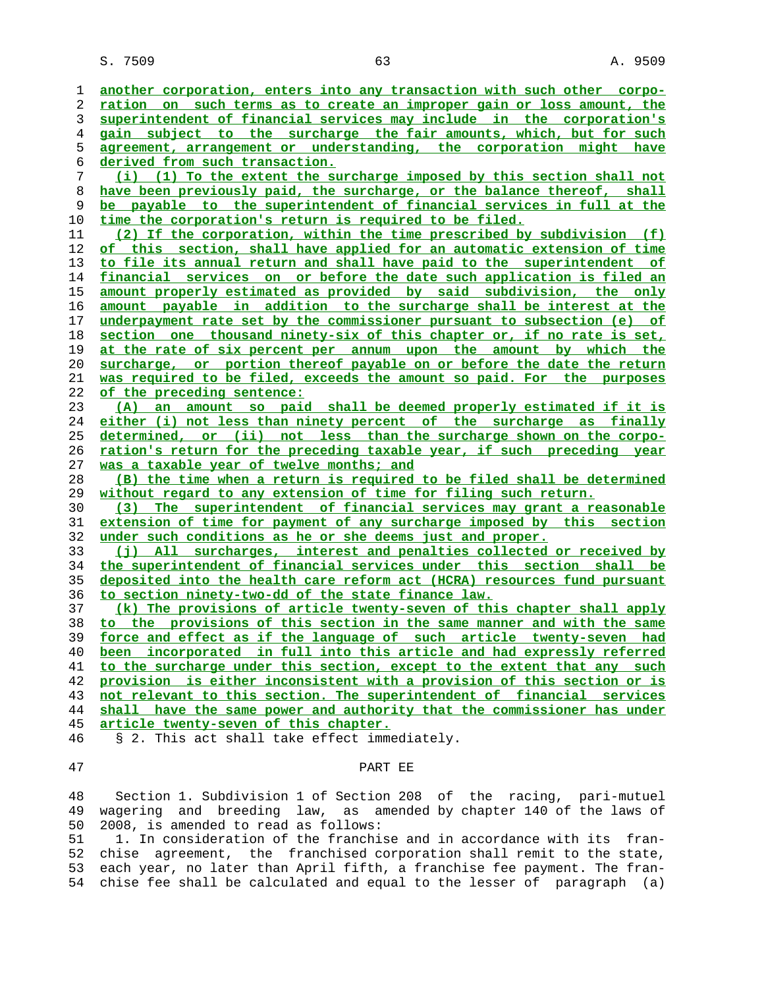| ı        | another corporation, enters into any transaction with such other corpo-                                                             |
|----------|-------------------------------------------------------------------------------------------------------------------------------------|
| 2        | ration on such terms as to create an improper gain or loss amount, the                                                              |
| 3        | superintendent of financial services may include in the corporation's                                                               |
| 4        | gain subject to the surcharge the fair amounts, which, but for such                                                                 |
| 5        | agreement, arrangement or understanding, the corporation might have                                                                 |
| 6        | derived from such transaction.                                                                                                      |
| 7        | (i) (1) To the extent the surcharge imposed by this section shall not                                                               |
| 8        | have been previously paid, the surcharge, or the balance thereof, shall                                                             |
| 9<br>10  | be payable to the superintendent of financial services in full at the<br>time the corporation's return is required to be filed.     |
| 11       | (2) If the corporation, within the time prescribed by subdivision (f)                                                               |
| 12       | of this section, shall have applied for an automatic extension of time                                                              |
| 13       | to file its annual return and shall have paid to the superintendent of                                                              |
| 14       | financial services on or before the date such application is filed an                                                               |
| 15       | amount properly estimated as provided by said subdivision, the only                                                                 |
| 16       | amount payable in addition to the surcharge shall be interest at the                                                                |
| 17       | underpayment rate set by the commissioner pursuant to subsection (e) of                                                             |
| 18       | section one thousand ninety-six of this chapter or, if no rate is set,                                                              |
| 19       | <u>at the rate of six percent per annum upon the amount by which the</u>                                                            |
| 20       | surcharge, or portion thereof payable on or before the date the return                                                              |
| 21       | was required to be filed, exceeds the amount so paid. For the purposes                                                              |
| 22       | of the preceding sentence:                                                                                                          |
| 23       | (A) an amount so paid shall be deemed properly estimated if it is                                                                   |
| 24       | either (i) not less than ninety percent of the surcharge as finally                                                                 |
| 25       | determined, or (ii) not less than the surcharge shown on the corpo-                                                                 |
| 26       | <u>ration's return for the preceding taxable year, if such preceding year</u>                                                       |
| 27       | was a taxable year of twelve months; and                                                                                            |
| 28       | (B) the time when a return is required to be filed shall be determined                                                              |
| 29       | without regard to any extension of time for filing such return.                                                                     |
| 30       | The superintendent of financial services may grant a reasonable<br>(3)                                                              |
| 31<br>32 | extension of time for payment of any surcharge imposed by this section<br>under such conditions as he or she deems just and proper. |
| 33       | All surcharges, interest and penalties collected or received by<br>(i)                                                              |
| 34       | the superintendent of financial services under this section shall be                                                                |
| 35       | deposited into the health care reform act (HCRA) resources fund pursuant                                                            |
| 36       | to section ninety-two-dd of the state finance law.                                                                                  |
| 37       | (k) The provisions of article twenty-seven of this chapter shall apply                                                              |
| 38       | to the provisions of this section in the same manner and with the same                                                              |
| 39       | force and effect as if the language of such article twenty-seven had                                                                |
| 40       | been incorporated in full into this article and had expressly referred                                                              |
| 41       | to the surcharge under this section, except to the extent that any such                                                             |
| 42       | provision is either inconsistent with a provision of this section or is                                                             |
| 43       | not relevant to this section. The superintendent of financial services                                                              |
| 44       | shall have the same power and authority that the commissioner has under                                                             |
| 45       | article twenty-seven of this chapter.                                                                                               |
| 46       | § 2. This act shall take effect immediately.                                                                                        |
|          |                                                                                                                                     |

# 47 PART EE

 48 Section 1. Subdivision 1 of Section 208 of the racing, pari-mutuel 49 wagering and breeding law, as amended by chapter 140 of the laws of 50 2008, is amended to read as follows:

 51 1. In consideration of the franchise and in accordance with its fran- 52 chise agreement, the franchised corporation shall remit to the state, 53 each year, no later than April fifth, a franchise fee payment. The fran- 54 chise fee shall be calculated and equal to the lesser of paragraph (a)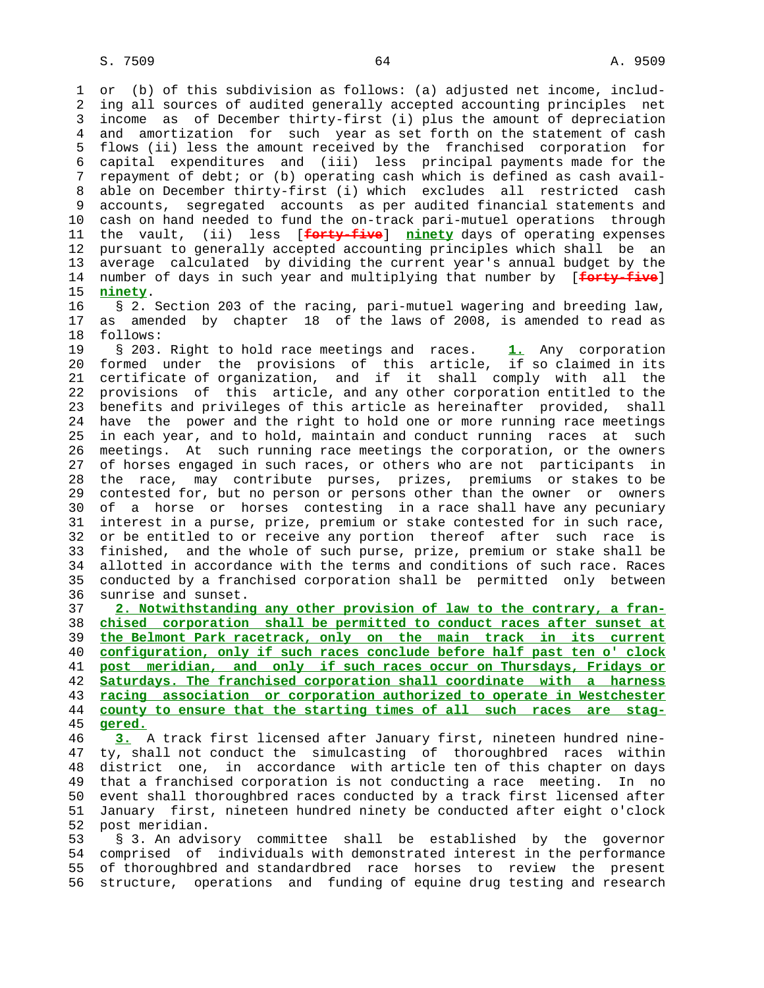1 or (b) of this subdivision as follows: (a) adjusted net income, includ- 2 ing all sources of audited generally accepted accounting principles net 3 income as of December thirty-first (i) plus the amount of depreciation 4 and amortization for such year as set forth on the statement of cash 5 flows (ii) less the amount received by the franchised corporation for 6 capital expenditures and (iii) less principal payments made for the 7 repayment of debt; or (b) operating cash which is defined as cash avail- 8 able on December thirty-first (i) which excludes all restricted cash accounts, segregated accounts as per audited financial statements and 10 cash on hand needed to fund the on-track pari-mutuel operations through 11 the vault, (ii) less [**forty-five**] **ninety** days of operating expenses 12 pursuant to generally accepted accounting principles which shall be an 13 average calculated by dividing the current year's annual budget by the 14 number of days in such year and multiplying that number by [**forty-five**] 15 **ninety**.

 16 § 2. Section 203 of the racing, pari-mutuel wagering and breeding law, 17 as amended by chapter 18 of the laws of 2008, is amended to read as 18 follows:

 19 § 203. Right to hold race meetings and races. **1.** Any corporation 20 formed under the provisions of this article, if so claimed in its 21 certificate of organization, and if it shall comply with all the 22 provisions of this article, and any other corporation entitled to the 23 benefits and privileges of this article as hereinafter provided, shall 24 have the power and the right to hold one or more running race meetings 25 in each year, and to hold, maintain and conduct running races at such 26 meetings. At such running race meetings the corporation, or the owners 27 of horses engaged in such races, or others who are not participants in 28 the race, may contribute purses, prizes, premiums or stakes to be 29 contested for, but no person or persons other than the owner or owners 30 of a horse or horses contesting in a race shall have any pecuniary 31 interest in a purse, prize, premium or stake contested for in such race, 32 or be entitled to or receive any portion thereof after such race is 33 finished, and the whole of such purse, prize, premium or stake shall be 34 allotted in accordance with the terms and conditions of such race. Races 35 conducted by a franchised corporation shall be permitted only between 36 sunrise and sunset.

**2. Notwithstanding any other provision of law to the contrary, a fran- chised corporation shall be permitted to conduct races after sunset at the Belmont Park racetrack, only on the main track in its current configuration, only if such races conclude before half past ten o' clock post meridian, and only if such races occur on Thursdays, Fridays or Saturdays. The franchised corporation shall coordinate with a harness racing association or corporation authorized to operate in Westchester county to ensure that the starting times of all such races are stag-** 45 **gered.**

 46 **3.** A track first licensed after January first, nineteen hundred nine- 47 ty, shall not conduct the simulcasting of thoroughbred races within 48 district one, in accordance with article ten of this chapter on days 49 that a franchised corporation is not conducting a race meeting. In no 50 event shall thoroughbred races conducted by a track first licensed after 51 January first, nineteen hundred ninety be conducted after eight o'clock 52 post meridian.

 53 § 3. An advisory committee shall be established by the governor 54 comprised of individuals with demonstrated interest in the performance 55 of thoroughbred and standardbred race horses to review the present 56 structure, operations and funding of equine drug testing and research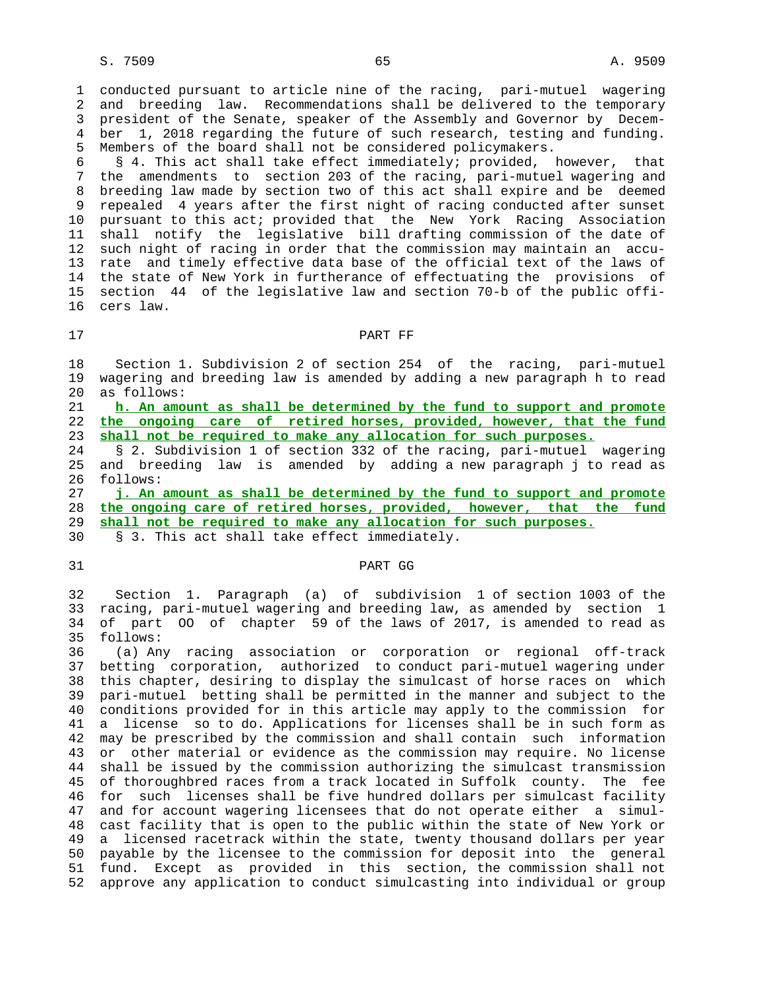1 conducted pursuant to article nine of the racing, pari-mutuel wagering 2 and breeding law. Recommendations shall be delivered to the temporary 3 president of the Senate, speaker of the Assembly and Governor by Decem- 4 ber 1, 2018 regarding the future of such research, testing and funding. 5 Members of the board shall not be considered policymakers.

 6 § 4. This act shall take effect immediately; provided, however, that 7 the amendments to section 203 of the racing, pari-mutuel wagering and 8 breeding law made by section two of this act shall expire and be deemed 9 repealed 4 years after the first night of racing conducted after sunset 10 pursuant to this act; provided that the New York Racing Association 11 shall notify the legislative bill drafting commission of the date of 12 such night of racing in order that the commission may maintain an accu- 13 rate and timely effective data base of the official text of the laws of 14 the state of New York in furtherance of effectuating the provisions of 15 section 44 of the legislative law and section 70-b of the public offi- 16 cers law.

### 17 PART FF

 18 Section 1. Subdivision 2 of section 254 of the racing, pari-mutuel 19 wagering and breeding law is amended by adding a new paragraph h to read 20 as follows:

 21 **h. An amount as shall be determined by the fund to support and promote** 22 **the ongoing care of retired horses, provided, however, that the fund** 23 **shall not be required to make any allocation for such purposes.**

 24 § 2. Subdivision 1 of section 332 of the racing, pari-mutuel wagering 25 and breeding law is amended by adding a new paragraph j to read as 26 follows:

 27 **j. An amount as shall be determined by the fund to support and promote** 28 **the ongoing care of retired horses, provided, however, that the fund** 29 **shall not be required to make any allocation for such purposes.**

30 § 3. This act shall take effect immediately.

# 31 PART GG

 32 Section 1. Paragraph (a) of subdivision 1 of section 1003 of the 33 racing, pari-mutuel wagering and breeding law, as amended by section 1 34 of part OO of chapter 59 of the laws of 2017, is amended to read as 35 follows:

 36 (a) Any racing association or corporation or regional off-track 37 betting corporation, authorized to conduct pari-mutuel wagering under 38 this chapter, desiring to display the simulcast of horse races on which 39 pari-mutuel betting shall be permitted in the manner and subject to the 40 conditions provided for in this article may apply to the commission for 41 a license so to do. Applications for licenses shall be in such form as 42 may be prescribed by the commission and shall contain such information 43 or other material or evidence as the commission may require. No license 44 shall be issued by the commission authorizing the simulcast transmission 45 of thoroughbred races from a track located in Suffolk county. The fee 46 for such licenses shall be five hundred dollars per simulcast facility 47 and for account wagering licensees that do not operate either a simul- 48 cast facility that is open to the public within the state of New York or 49 a licensed racetrack within the state, twenty thousand dollars per year 50 payable by the licensee to the commission for deposit into the general 51 fund. Except as provided in this section, the commission shall not 52 approve any application to conduct simulcasting into individual or group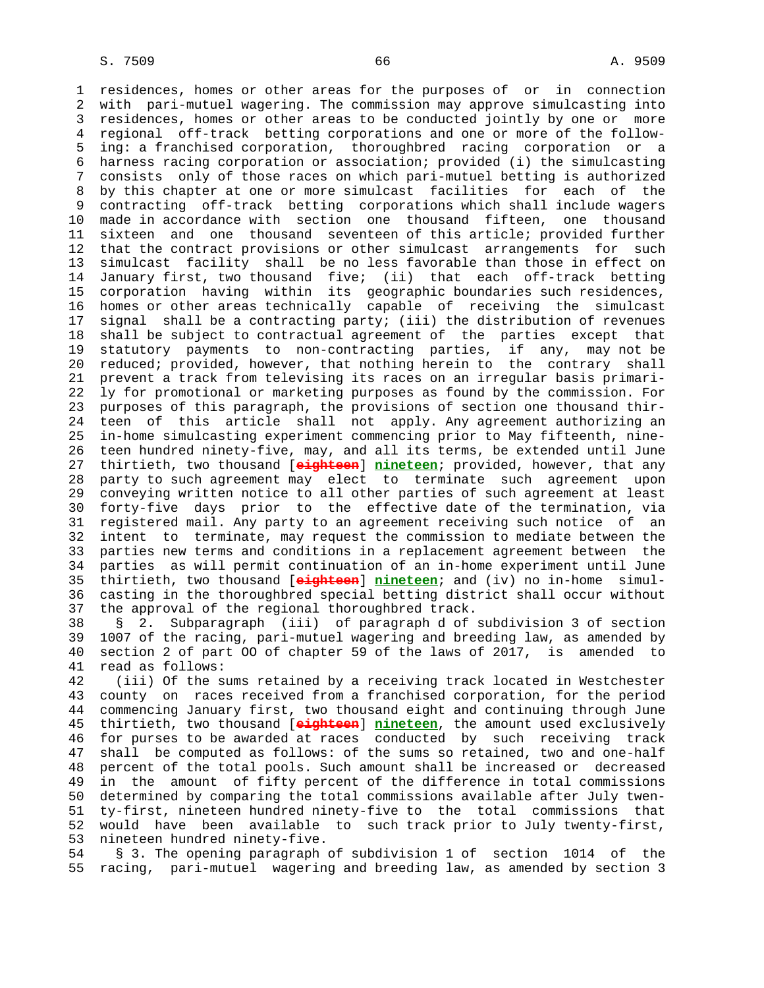1 residences, homes or other areas for the purposes of or in connection 2 with pari-mutuel wagering. The commission may approve simulcasting into 3 residences, homes or other areas to be conducted jointly by one or more 4 regional off-track betting corporations and one or more of the follow- 5 ing: a franchised corporation, thoroughbred racing corporation or a 6 harness racing corporation or association; provided (i) the simulcasting 7 consists only of those races on which pari-mutuel betting is authorized 8 by this chapter at one or more simulcast facilities for each of the 9 contracting off-track betting corporations which shall include wagers 10 made in accordance with section one thousand fifteen, one thousand 11 sixteen and one thousand seventeen of this article; provided further 12 that the contract provisions or other simulcast arrangements for such 13 simulcast facility shall be no less favorable than those in effect on 14 January first, two thousand five; (ii) that each off-track betting 15 corporation having within its geographic boundaries such residences, 16 homes or other areas technically capable of receiving the simulcast 17 signal shall be a contracting party; (iii) the distribution of revenues 18 shall be subject to contractual agreement of the parties except that 19 statutory payments to non-contracting parties, if any, may not be 20 reduced; provided, however, that nothing herein to the contrary shall 21 prevent a track from televising its races on an irregular basis primari- 22 ly for promotional or marketing purposes as found by the commission. For 23 purposes of this paragraph, the provisions of section one thousand thir- 24 teen of this article shall not apply. Any agreement authorizing an 25 in-home simulcasting experiment commencing prior to May fifteenth, nine- 26 teen hundred ninety-five, may, and all its terms, be extended until June 27 thirtieth, two thousand [**eighteen**] **nineteen**; provided, however, that any 28 party to such agreement may elect to terminate such agreement upon 29 conveying written notice to all other parties of such agreement at least 30 forty-five days prior to the effective date of the termination, via 31 registered mail. Any party to an agreement receiving such notice of an 32 intent to terminate, may request the commission to mediate between the 33 parties new terms and conditions in a replacement agreement between the 34 parties as will permit continuation of an in-home experiment until June 35 thirtieth, two thousand [**eighteen**] **nineteen**; and (iv) no in-home simul- 36 casting in the thoroughbred special betting district shall occur without 37 the approval of the regional thoroughbred track.

 38 § 2. Subparagraph (iii) of paragraph d of subdivision 3 of section 39 1007 of the racing, pari-mutuel wagering and breeding law, as amended by 40 section 2 of part OO of chapter 59 of the laws of 2017, is amended to 41 read as follows:

 42 (iii) Of the sums retained by a receiving track located in Westchester 43 county on races received from a franchised corporation, for the period 44 commencing January first, two thousand eight and continuing through June 45 thirtieth, two thousand [**eighteen**] **nineteen**, the amount used exclusively 46 for purses to be awarded at races conducted by such receiving track 47 shall be computed as follows: of the sums so retained, two and one-half 48 percent of the total pools. Such amount shall be increased or decreased 49 in the amount of fifty percent of the difference in total commissions 50 determined by comparing the total commissions available after July twen- 51 ty-first, nineteen hundred ninety-five to the total commissions that 52 would have been available to such track prior to July twenty-first, 53 nineteen hundred ninety-five.

 54 § 3. The opening paragraph of subdivision 1 of section 1014 of the 55 racing, pari-mutuel wagering and breeding law, as amended by section 3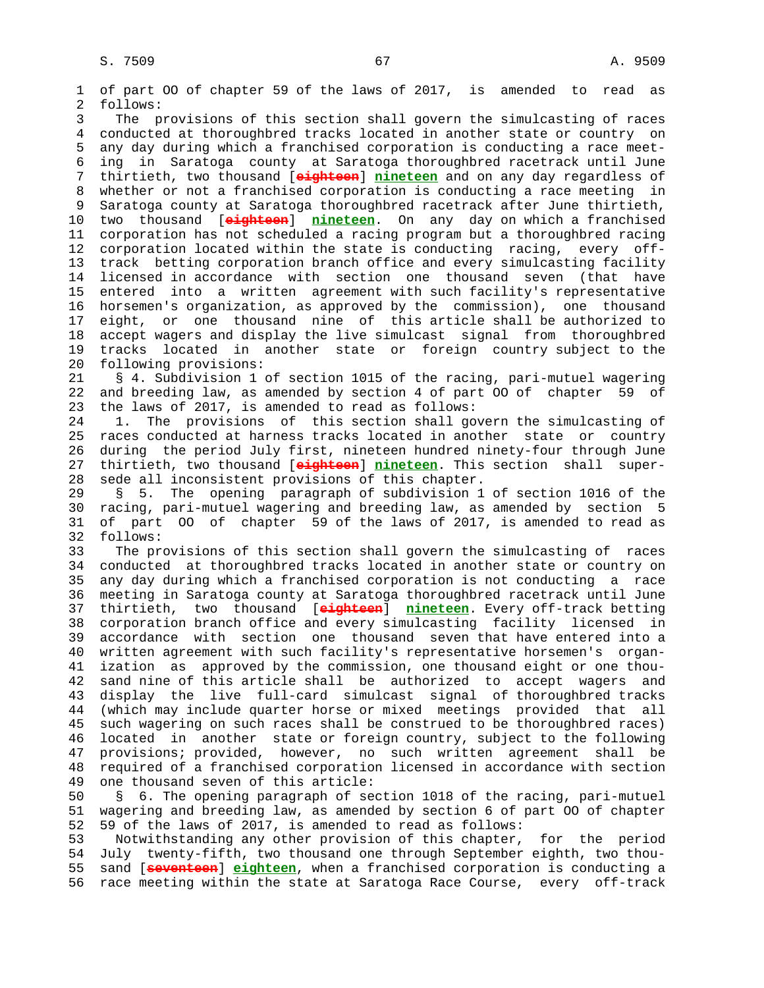1 of part OO of chapter 59 of the laws of 2017, is amended to read as 2 follows: 3 The provisions of this section shall govern the simulcasting of races 4 conducted at thoroughbred tracks located in another state or country on 5 any day during which a franchised corporation is conducting a race meet- 6 ing in Saratoga county at Saratoga thoroughbred racetrack until June 7 thirtieth, two thousand [**eighteen**] **nineteen** and on any day regardless of 8 whether or not a franchised corporation is conducting a race meeting in 9 Saratoga county at Saratoga thoroughbred racetrack after June thirtieth, 10 two thousand [**eighteen**] **nineteen**. On any day on which a franchised 11 corporation has not scheduled a racing program but a thoroughbred racing 12 corporation located within the state is conducting racing, every off- 13 track betting corporation branch office and every simulcasting facility 14 licensed in accordance with section one thousand seven (that have 15 entered into a written agreement with such facility's representative 16 horsemen's organization, as approved by the commission), one thousand 17 eight, or one thousand nine of this article shall be authorized to 18 accept wagers and display the live simulcast signal from thoroughbred 19 tracks located in another state or foreign country subject to the 20 following provisions: 21 § 4. Subdivision 1 of section 1015 of the racing, pari-mutuel wagering 22 and breeding law, as amended by section 4 of part OO of chapter 59 of 23 the laws of 2017, is amended to read as follows: 24 1. The provisions of this section shall govern the simulcasting of 25 races conducted at harness tracks located in another state or country 26 during the period July first, nineteen hundred ninety-four through June 27 thirtieth, two thousand [**eighteen**] **nineteen**. This section shall super- 28 sede all inconsistent provisions of this chapter. 29 § 5. The opening paragraph of subdivision 1 of section 1016 of the 30 racing, pari-mutuel wagering and breeding law, as amended by section 5 31 of part OO of chapter 59 of the laws of 2017, is amended to read as 32 follows: 33 The provisions of this section shall govern the simulcasting of races 34 conducted at thoroughbred tracks located in another state or country on 35 any day during which a franchised corporation is not conducting a race 36 meeting in Saratoga county at Saratoga thoroughbred racetrack until June 37 thirtieth, two thousand [**eighteen**] **nineteen**. Every off-track betting 38 corporation branch office and every simulcasting facility licensed in 39 accordance with section one thousand seven that have entered into a 40 written agreement with such facility's representative horsemen's organ- 41 ization as approved by the commission, one thousand eight or one thou- 42 sand nine of this article shall be authorized to accept wagers and 43 display the live full-card simulcast signal of thoroughbred tracks 44 (which may include quarter horse or mixed meetings provided that all 45 such wagering on such races shall be construed to be thoroughbred races) 46 located in another state or foreign country, subject to the following 47 provisions; provided, however, no such written agreement shall be 48 required of a franchised corporation licensed in accordance with section 49 one thousand seven of this article: 50 § 6. The opening paragraph of section 1018 of the racing, pari-mutuel 51 wagering and breeding law, as amended by section 6 of part OO of chapter 52 59 of the laws of 2017, is amended to read as follows: 53 Notwithstanding any other provision of this chapter, for the period

 54 July twenty-fifth, two thousand one through September eighth, two thou- 55 sand [**seventeen**] **eighteen**, when a franchised corporation is conducting a 56 race meeting within the state at Saratoga Race Course, every off-track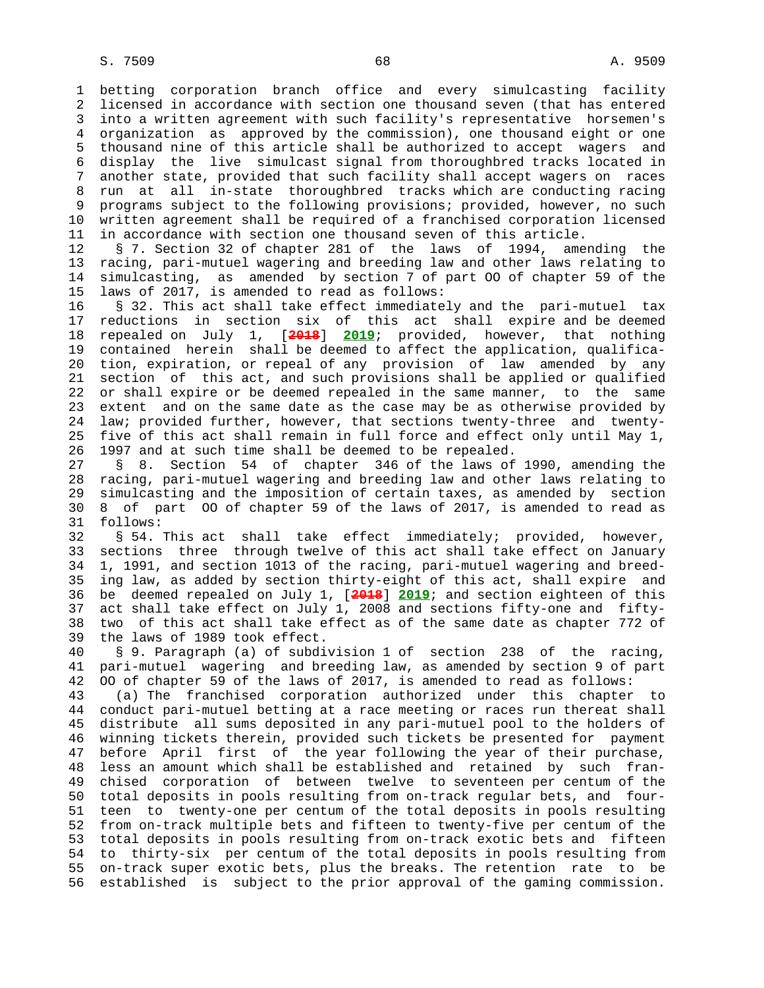$S. 7509$  68  $A. 9509$ 

 1 betting corporation branch office and every simulcasting facility 2 licensed in accordance with section one thousand seven (that has entered 3 into a written agreement with such facility's representative horsemen's 4 organization as approved by the commission), one thousand eight or one 5 thousand nine of this article shall be authorized to accept wagers and 6 display the live simulcast signal from thoroughbred tracks located in 7 another state, provided that such facility shall accept wagers on races 8 run at all in-state thoroughbred tracks which are conducting racing 9 programs subject to the following provisions; provided, however, no such 10 written agreement shall be required of a franchised corporation licensed 11 in accordance with section one thousand seven of this article.

 12 § 7. Section 32 of chapter 281 of the laws of 1994, amending the 13 racing, pari-mutuel wagering and breeding law and other laws relating to 14 simulcasting, as amended by section 7 of part OO of chapter 59 of the 15 laws of 2017, is amended to read as follows:

 16 § 32. This act shall take effect immediately and the pari-mutuel tax 17 reductions in section six of this act shall expire and be deemed 18 repealed on July 1, [**2018**] **2019**; provided, however, that nothing 19 contained herein shall be deemed to affect the application, qualifica- 20 tion, expiration, or repeal of any provision of law amended by any 21 section of this act, and such provisions shall be applied or qualified 22 or shall expire or be deemed repealed in the same manner, to the same 23 extent and on the same date as the case may be as otherwise provided by 24 law; provided further, however, that sections twenty-three and twenty- 25 five of this act shall remain in full force and effect only until May 1, 26 1997 and at such time shall be deemed to be repealed.

 27 § 8. Section 54 of chapter 346 of the laws of 1990, amending the 28 racing, pari-mutuel wagering and breeding law and other laws relating to 29 simulcasting and the imposition of certain taxes, as amended by section 30 8 of part OO of chapter 59 of the laws of 2017, is amended to read as 31 follows:

 32 § 54. This act shall take effect immediately; provided, however, 33 sections three through twelve of this act shall take effect on January 34 1, 1991, and section 1013 of the racing, pari-mutuel wagering and breed- 35 ing law, as added by section thirty-eight of this act, shall expire and 36 be deemed repealed on July 1, [**2018**] **2019**; and section eighteen of this 37 act shall take effect on July 1, 2008 and sections fifty-one and fifty- 38 two of this act shall take effect as of the same date as chapter 772 of 39 the laws of 1989 took effect.

 40 § 9. Paragraph (a) of subdivision 1 of section 238 of the racing, 41 pari-mutuel wagering and breeding law, as amended by section 9 of part 42 OO of chapter 59 of the laws of 2017, is amended to read as follows:

 43 (a) The franchised corporation authorized under this chapter to 44 conduct pari-mutuel betting at a race meeting or races run thereat shall 45 distribute all sums deposited in any pari-mutuel pool to the holders of 46 winning tickets therein, provided such tickets be presented for payment 47 before April first of the year following the year of their purchase, 48 less an amount which shall be established and retained by such fran- 49 chised corporation of between twelve to seventeen per centum of the 50 total deposits in pools resulting from on-track regular bets, and four- 51 teen to twenty-one per centum of the total deposits in pools resulting 52 from on-track multiple bets and fifteen to twenty-five per centum of the 53 total deposits in pools resulting from on-track exotic bets and fifteen 54 to thirty-six per centum of the total deposits in pools resulting from 55 on-track super exotic bets, plus the breaks. The retention rate to be 56 established is subject to the prior approval of the gaming commission.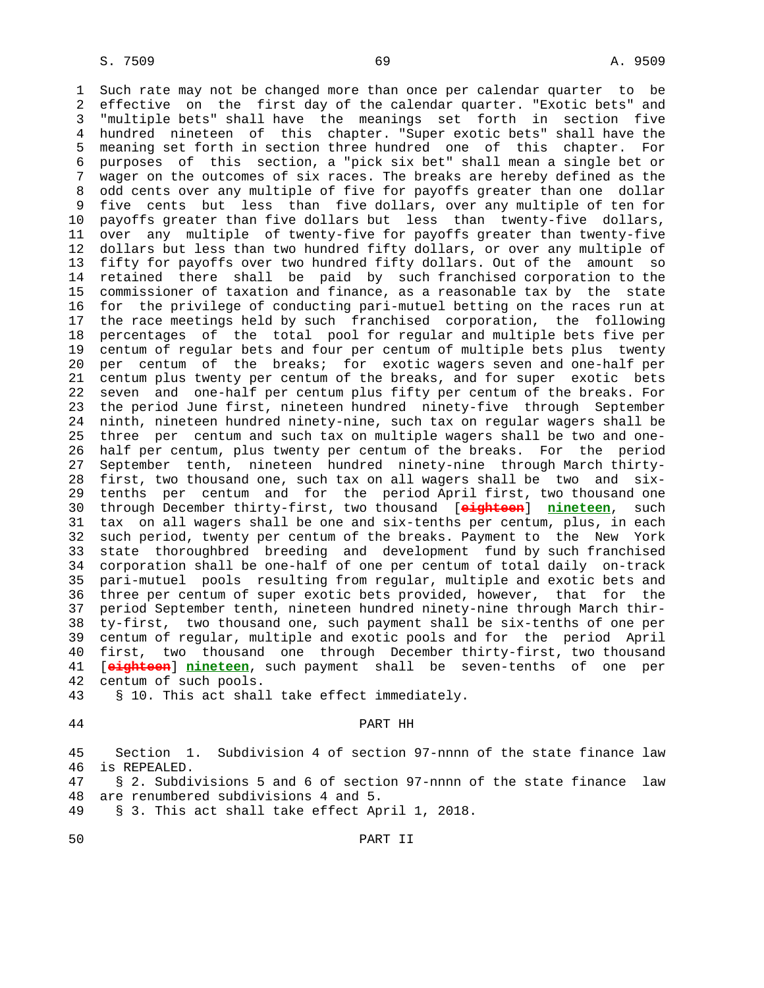1 Such rate may not be changed more than once per calendar quarter to be 2 effective on the first day of the calendar quarter. "Exotic bets" and 3 "multiple bets" shall have the meanings set forth in section five 4 hundred nineteen of this chapter. "Super exotic bets" shall have the 5 meaning set forth in section three hundred one of this chapter. For 6 purposes of this section, a "pick six bet" shall mean a single bet or 7 wager on the outcomes of six races. The breaks are hereby defined as the 8 odd cents over any multiple of five for payoffs greater than one dollar<br>9 five cents but less than five dollars, over any multiple of ten for five cents but less than five dollars, over any multiple of ten for 10 payoffs greater than five dollars but less than twenty-five dollars, 11 over any multiple of twenty-five for payoffs greater than twenty-five 12 dollars but less than two hundred fifty dollars, or over any multiple of 13 fifty for payoffs over two hundred fifty dollars. Out of the amount so 14 retained there shall be paid by such franchised corporation to the 15 commissioner of taxation and finance, as a reasonable tax by the state 16 for the privilege of conducting pari-mutuel betting on the races run at 17 the race meetings held by such franchised corporation, the following 18 percentages of the total pool for regular and multiple bets five per 19 centum of regular bets and four per centum of multiple bets plus twenty 20 per centum of the breaks; for exotic wagers seven and one-half per 21 centum plus twenty per centum of the breaks, and for super exotic bets 22 seven and one-half per centum plus fifty per centum of the breaks. For 23 the period June first, nineteen hundred ninety-five through September 24 ninth, nineteen hundred ninety-nine, such tax on regular wagers shall be 25 three per centum and such tax on multiple wagers shall be two and one- 26 half per centum, plus twenty per centum of the breaks. For the period 27 September tenth, nineteen hundred ninety-nine through March thirty- 28 first, two thousand one, such tax on all wagers shall be two and six- 29 tenths per centum and for the period April first, two thousand one 30 through December thirty-first, two thousand [**eighteen**] **nineteen**, such 31 tax on all wagers shall be one and six-tenths per centum, plus, in each 32 such period, twenty per centum of the breaks. Payment to the New York 33 state thoroughbred breeding and development fund by such franchised 34 corporation shall be one-half of one per centum of total daily on-track 35 pari-mutuel pools resulting from regular, multiple and exotic bets and 36 three per centum of super exotic bets provided, however, that for the 37 period September tenth, nineteen hundred ninety-nine through March thir- 38 ty-first, two thousand one, such payment shall be six-tenths of one per 39 centum of regular, multiple and exotic pools and for the period April 40 first, two thousand one through December thirty-first, two thousand 41 [**eighteen**] **nineteen**, such payment shall be seven-tenths of one per 42 centum of such pools.

43 § 10. This act shall take effect immediately.

### 44 PART HH

 45 Section 1. Subdivision 4 of section 97-nnnn of the state finance law 46 is REPEALED.

 47 § 2. Subdivisions 5 and 6 of section 97-nnnn of the state finance law 48 are renumbered subdivisions 4 and 5.

49 § 3. This act shall take effect April 1, 2018.

## 50 PART II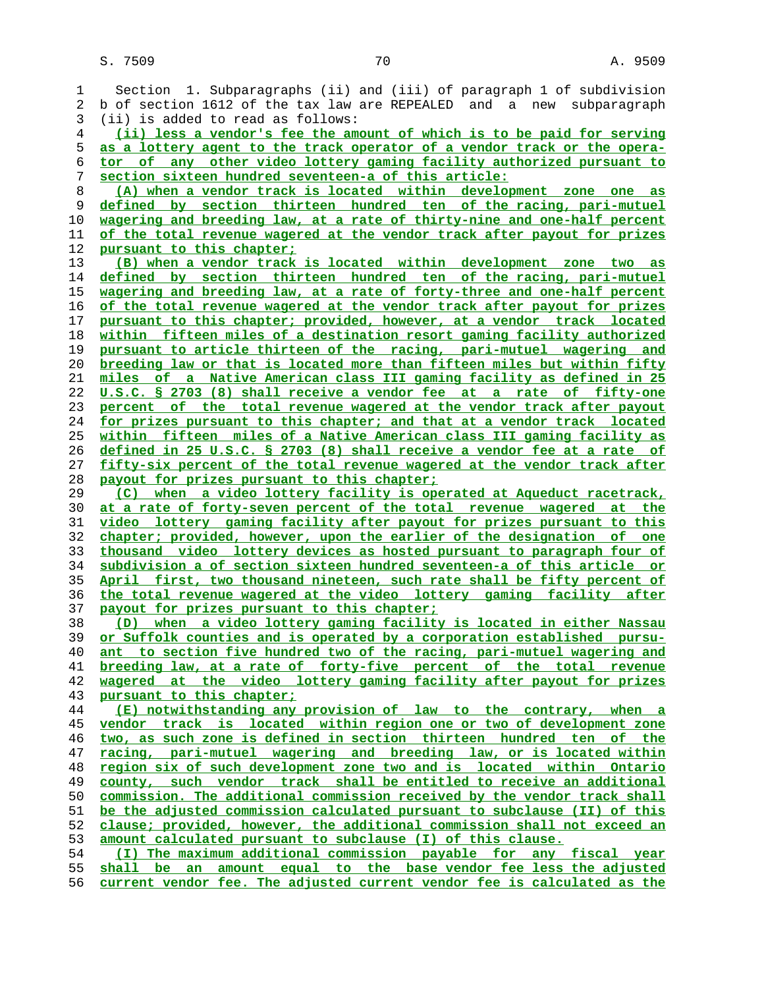1 Section 1. Subparagraphs (ii) and (iii) of paragraph 1 of subdivision 2 b of section 1612 of the tax law are REPEALED and a new subparagraph 3 (ii) is added to read as follows: **(ii) less a vendor's fee the amount of which is to be paid for serving as a lottery agent to the track operator of a vendor track or the opera- tor of any other video lottery gaming facility authorized pursuant to section sixteen hundred seventeen-a of this article: (A) when a vendor track is located within development zone one as defined by section thirteen hundred ten of the racing, pari-mutuel wagering and breeding law, at a rate of thirty-nine and one-half percent of the total revenue wagered at the vendor track after payout for prizes pursuant to this chapter; (B) when a vendor track is located within development zone two as defined by section thirteen hundred ten of the racing, pari-mutuel wagering and breeding law, at a rate of forty-three and one-half percent of the total revenue wagered at the vendor track after payout for prizes pursuant to this chapter; provided, however, at a vendor track located within fifteen miles of a destination resort gaming facility authorized pursuant to article thirteen of the racing, pari-mutuel wagering and breeding law or that is located more than fifteen miles but within fifty miles of a Native American class III gaming facility as defined in 25 U.S.C. § 2703 (8) shall receive a vendor fee at a rate of fifty-one percent of the total revenue wagered at the vendor track after payout for prizes pursuant to this chapter; and that at a vendor track located within fifteen miles of a Native American class III gaming facility as defined in 25 U.S.C. § 2703 (8) shall receive a vendor fee at a rate of fifty-six percent of the total revenue wagered at the vendor track after payout for prizes pursuant to this chapter; (C) when a video lottery facility is operated at Aqueduct racetrack, at a rate of forty-seven percent of the total revenue wagered at the video lottery gaming facility after payout for prizes pursuant to this chapter; provided, however, upon the earlier of the designation of one thousand video lottery devices as hosted pursuant to paragraph four of subdivision a of section sixteen hundred seventeen-a of this article or April first, two thousand nineteen, such rate shall be fifty percent of the total revenue wagered at the video lottery gaming facility after payout for prizes pursuant to this chapter; (D) when a video lottery gaming facility is located in either Nassau or Suffolk counties and is operated by a corporation established pursu- ant to section five hundred two of the racing, pari-mutuel wagering and breeding law, at a rate of forty-five percent of the total revenue wagered at the video lottery gaming facility after payout for prizes pursuant to this chapter; (E) notwithstanding any provision of law to the contrary, when a vendor track is located within region one or two of development zone two, as such zone is defined in section thirteen hundred ten of the racing, pari-mutuel wagering and breeding law, or is located within region six of such development zone two and is located within Ontario county, such vendor track shall be entitled to receive an additional commission. The additional commission received by the vendor track shall be the adjusted commission calculated pursuant to subclause (II) of this clause; provided, however, the additional commission shall not exceed an amount calculated pursuant to subclause (I) of this clause. (I) The maximum additional commission payable for any fiscal year shall be an amount equal to the base vendor fee less the adjusted current vendor fee. The adjusted current vendor fee is calculated as the**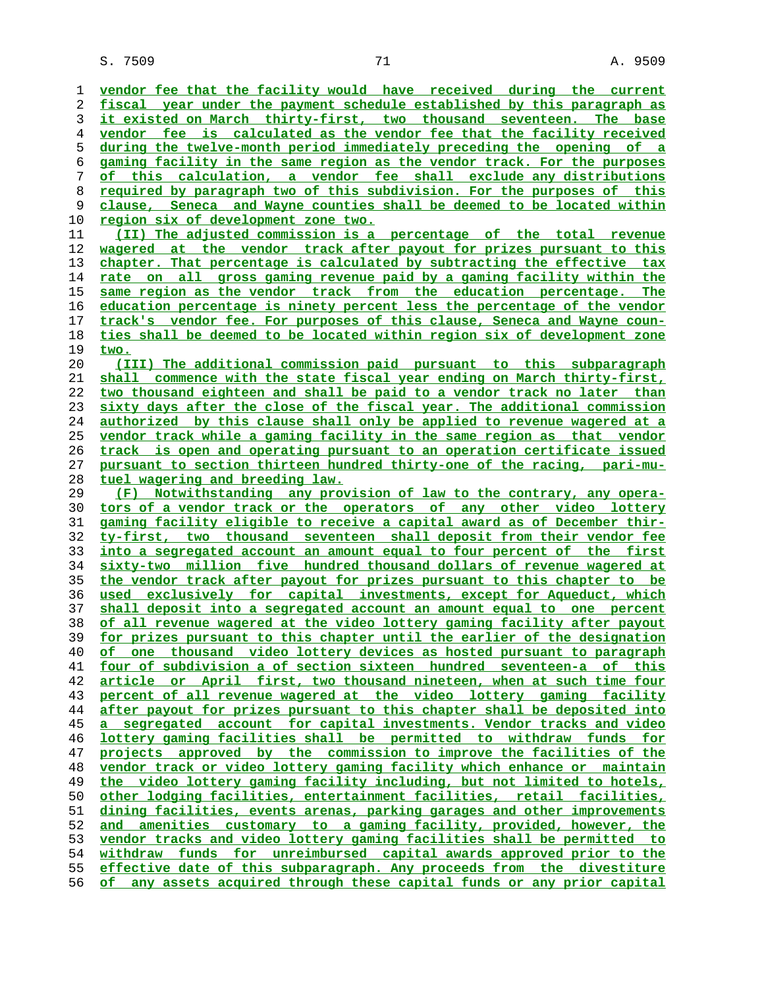S. 7509 71 A. 9509

**vendor fee that the facility would have received during the current fiscal year under the payment schedule established by this paragraph as it existed on March thirty-first, two thousand seventeen. The base vendor fee is calculated as the vendor fee that the facility received during the twelve-month period immediately preceding the opening of a gaming facility in the same region as the vendor track. For the purposes of this calculation, a vendor fee shall exclude any distributions required by paragraph two of this subdivision. For the purposes of this clause, Seneca and Wayne counties shall be deemed to be located within region six of development zone two. (II) The adjusted commission is a percentage of the total revenue wagered at the vendor track after payout for prizes pursuant to this chapter. That percentage is calculated by subtracting the effective tax rate on all gross gaming revenue paid by a gaming facility within the same region as the vendor track from the education percentage. The education percentage is ninety percent less the percentage of the vendor track's vendor fee. For purposes of this clause, Seneca and Wayne coun- ties shall be deemed to be located within region six of development zone two. (III) The additional commission paid pursuant to this subparagraph shall commence with the state fiscal year ending on March thirty-first, two thousand eighteen and shall be paid to a vendor track no later than sixty days after the close of the fiscal year. The additional commission authorized by this clause shall only be applied to revenue wagered at a vendor track while a gaming facility in the same region as that vendor track is open and operating pursuant to an operation certificate issued pursuant to section thirteen hundred thirty-one of the racing, pari-mu- tuel wagering and breeding law. (F) Notwithstanding any provision of law to the contrary, any opera- tors of a vendor track or the operators of any other video lottery gaming facility eligible to receive a capital award as of December thir- ty-first, two thousand seventeen shall deposit from their vendor fee into a segregated account an amount equal to four percent of the first sixty-two million five hundred thousand dollars of revenue wagered at the vendor track after payout for prizes pursuant to this chapter to be used exclusively for capital investments, except for Aqueduct, which shall deposit into a segregated account an amount equal to one percent of all revenue wagered at the video lottery gaming facility after payout for prizes pursuant to this chapter until the earlier of the designation of one thousand video lottery devices as hosted pursuant to paragraph four of subdivision a of section sixteen hundred seventeen-a of this article or April first, two thousand nineteen, when at such time four percent of all revenue wagered at the video lottery gaming facility after payout for prizes pursuant to this chapter shall be deposited into a segregated account for capital investments. Vendor tracks and video lottery gaming facilities shall be permitted to withdraw funds for projects approved by the commission to improve the facilities of the vendor track or video lottery gaming facility which enhance or maintain the video lottery gaming facility including, but not limited to hotels, other lodging facilities, entertainment facilities, retail facilities, dining facilities, events arenas, parking garages and other improvements and amenities customary to a gaming facility, provided, however, the vendor tracks and video lottery gaming facilities shall be permitted to withdraw funds for unreimbursed capital awards approved prior to the effective date of this subparagraph. Any proceeds from the divestiture of any assets acquired through these capital funds or any prior capital**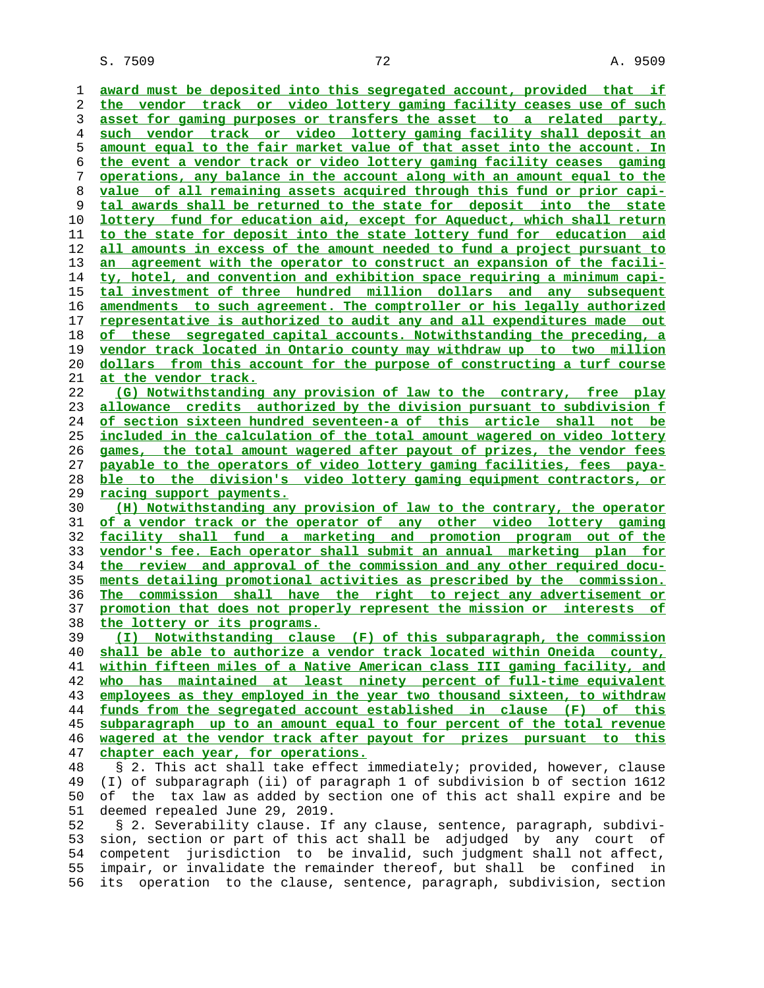S. 7509 72 A. 9509

**award must be deposited into this segregated account, provided that if the vendor track or video lottery gaming facility ceases use of such asset for gaming purposes or transfers the asset to a related party, such vendor track or video lottery gaming facility shall deposit an amount equal to the fair market value of that asset into the account. In the event a vendor track or video lottery gaming facility ceases gaming operations, any balance in the account along with an amount equal to the value of all remaining assets acquired through this fund or prior capi- tal awards shall be returned to the state for deposit into the state lottery fund for education aid, except for Aqueduct, which shall return to the state for deposit into the state lottery fund for education aid all amounts in excess of the amount needed to fund a project pursuant to an agreement with the operator to construct an expansion of the facili- ty, hotel, and convention and exhibition space requiring a minimum capi- tal investment of three hundred million dollars and any subsequent amendments to such agreement. The comptroller or his legally authorized representative is authorized to audit any and all expenditures made out of these segregated capital accounts. Notwithstanding the preceding, a vendor track located in Ontario county may withdraw up to two million dollars from this account for the purpose of constructing a turf course at the vendor track. (G) Notwithstanding any provision of law to the contrary, free play allowance credits authorized by the division pursuant to subdivision f of section sixteen hundred seventeen-a of this article shall not be included in the calculation of the total amount wagered on video lottery games, the total amount wagered after payout of prizes, the vendor fees payable to the operators of video lottery gaming facilities, fees paya- ble to the division's video lottery gaming equipment contractors, or racing support payments. (H) Notwithstanding any provision of law to the contrary, the operator of a vendor track or the operator of any other video lottery gaming facility shall fund a marketing and promotion program out of the vendor's fee. Each operator shall submit an annual marketing plan for the review and approval of the commission and any other required docu- ments detailing promotional activities as prescribed by the commission. The commission shall have the right to reject any advertisement or promotion that does not properly represent the mission or interests of the lottery or its programs. (I) Notwithstanding clause (F) of this subparagraph, the commission shall be able to authorize a vendor track located within Oneida county, within fifteen miles of a Native American class III gaming facility, and who has maintained at least ninety percent of full-time equivalent employees as they employed in the year two thousand sixteen, to withdraw funds from the segregated account established in clause (F) of this subparagraph up to an amount equal to four percent of the total revenue wagered at the vendor track after payout for prizes pursuant to this chapter each year, for operations.** 48 § 2. This act shall take effect immediately; provided, however, clause 49 (I) of subparagraph (ii) of paragraph 1 of subdivision b of section 1612 50 of the tax law as added by section one of this act shall expire and be 51 deemed repealed June 29, 2019. 52 § 2. Severability clause. If any clause, sentence, paragraph, subdivi- 53 sion, section or part of this act shall be adjudged by any court of<br>54 competent jurisdiction to be invalid, such judgment shall not affect, 54 competent jurisdiction to be invalid, such judgment shall not affect, 55 impair, or invalidate the remainder thereof, but shall be confined in 56 its operation to the clause, sentence, paragraph, subdivision, section